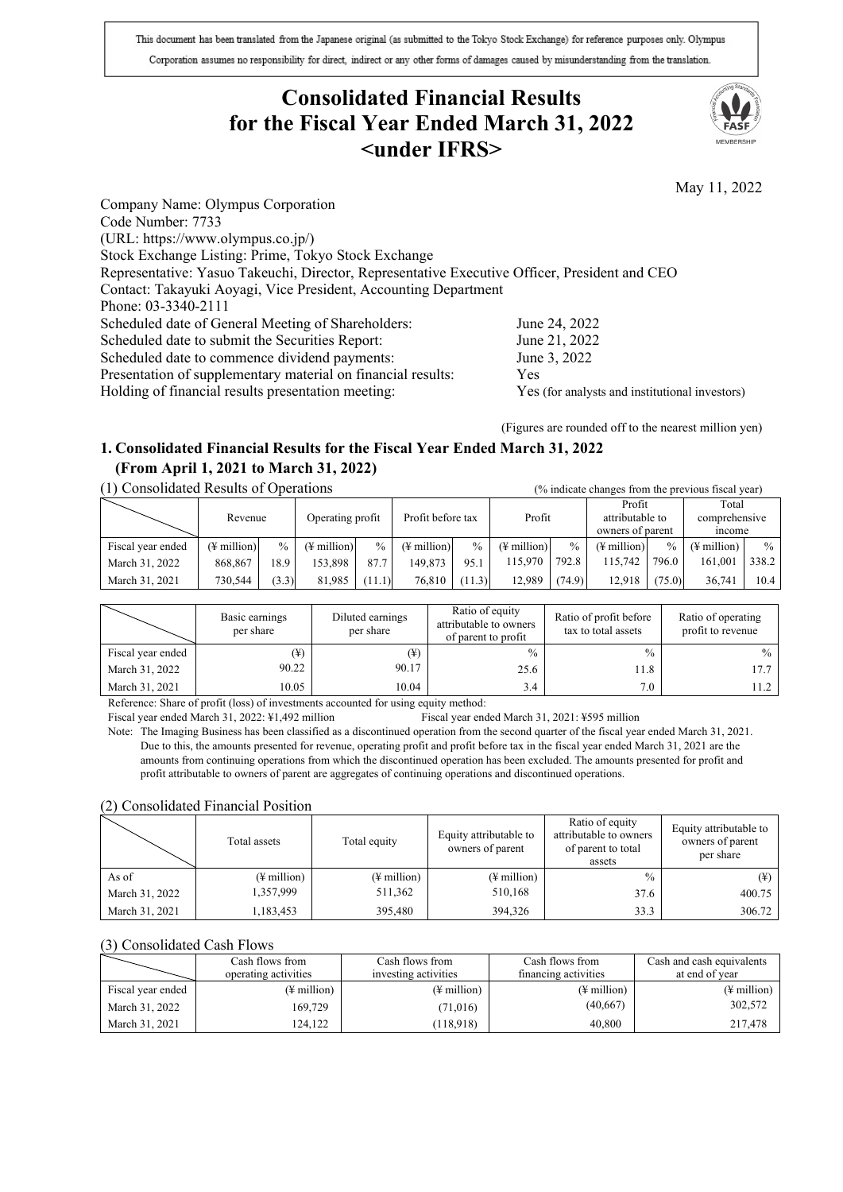This document has been translated from the Japanese original (as submitted to the Tokyo Stock Exchange) for reference purposes only. Olympus Corporation assumes no responsibility for direct, indirect or any other forms of damages caused by misunderstanding from the translation.

# **Consolidated Financial Results for the Fiscal Year Ended March 31, 2022 <under IFRS>**



May 11, 2022

Company Name: Olympus Corporation Code Number: 7733 (URL: https://www.olympus.co.jp/) Stock Exchange Listing: Prime, Tokyo Stock Exchange Representative: Yasuo Takeuchi, Director, Representative Executive Officer, President and CEO Contact: Takayuki Aoyagi, Vice President, Accounting Department Phone: 03-3340-2111 Scheduled date of General Meeting of Shareholders: June 24, 2022<br>Scheduled date to submit the Securities Report: June 21, 2022 Scheduled date to submit the Securities Report: Scheduled date to commence dividend payments: June 3, 2022 Presentation of supplementary material on financial results: Yes Holding of financial results presentation meeting: Yes (for analysts and institutional investors)

(Figures are rounded off to the nearest million yen)

# **1. Consolidated Financial Results for the Fiscal Year Ended March 31, 2022 (From April 1, 2021 to March 31, 2022)**

# (1) Consolidated Results of Operations (% indicate changes from the previous fiscal year)

| Consondated Results of Oberations |                         |                  |                         |                   |                         |               | 70 mulcate changes from the previous fiscal year) |                 |                         |               |                         |               |
|-----------------------------------|-------------------------|------------------|-------------------------|-------------------|-------------------------|---------------|---------------------------------------------------|-----------------|-------------------------|---------------|-------------------------|---------------|
| Revenue                           |                         |                  |                         |                   |                         |               |                                                   |                 | Profit                  |               | Total                   |               |
|                                   |                         | Operating profit |                         | Profit before tax |                         | Profit        |                                                   | attributable to |                         | comprehensive |                         |               |
|                                   |                         |                  |                         |                   |                         |               |                                                   |                 | owners of parent        |               | <i>ncome</i>            |               |
| Fiscal year ended                 | $(\frac{1}{2}$ million) | $\%$             | $(\frac{1}{2})$ million | $\frac{0}{0}$     | $(\frac{1}{2})$ million | $\frac{0}{0}$ | $(\frac{1}{2})$ million                           | $\frac{0}{0}$   | $(\frac{1}{2})$ million | $\frac{0}{0}$ | $(\frac{1}{2})$ million | $\frac{0}{0}$ |
| March 31, 2022                    | 868,867                 | 18.9             | 153.898                 | 87.7              | 149.873                 | 95.1          | 115,970                                           | 792.8           | 115.742                 | 796.0         | 161,001                 | 338.2         |
| March 31, 2021                    | 730.544                 | (3.3)            | 81,985                  | (1.1)             | 76.810                  | (11.3)        | 12.989                                            | (74.9)          | 12.918                  | (75.0)        | 36,741                  | 10.4          |

|                   | Basic earnings<br>per share | Diluted earnings<br>per share | Ratio of equity<br>attributable to owners<br>of parent to profit | Ratio of profit before<br>tax to total assets | Ratio of operating<br>profit to revenue |
|-------------------|-----------------------------|-------------------------------|------------------------------------------------------------------|-----------------------------------------------|-----------------------------------------|
| Fiscal year ended | (¥)                         | (¥)                           | $\frac{0}{0}$                                                    | $\frac{0}{0}$                                 | $\frac{0}{0}$                           |
| March 31, 2022    | 90.22                       | 90.17                         | 25.6                                                             | 11.8                                          |                                         |
| March 31, 2021    | 10.05                       | 10.04                         | 3.4                                                              | 7.0                                           |                                         |

Reference: Share of profit (loss) of investments accounted for using equity method:

Fiscal year ended March 31, 2022: ¥1,492 million Fiscal year ended March 31, 2021: ¥595 million

Note: The Imaging Business has been classified as a discontinued operation from the second quarter of the fiscal year ended March 31, 2021. Due to this, the amounts presented for revenue, operating profit and profit before tax in the fiscal year ended March 31, 2021 are the amounts from continuing operations from which the discontinued operation has been excluded. The amounts presented for profit and profit attributable to owners of parent are aggregates of continuing operations and discontinued operations.

#### (2) Consolidated Financial Position

|                | Total assets | Total equity | Equity attributable to<br>owners of parent | Ratio of equity<br>attributable to owners<br>of parent to total<br>assets | Equity attributable to<br>owners of parent<br>per share |
|----------------|--------------|--------------|--------------------------------------------|---------------------------------------------------------------------------|---------------------------------------------------------|
| As of          | (¥ million)  | (¥ million)  | $(\frac{1}{2})$ million                    | $\frac{0}{0}$                                                             | (¥)                                                     |
| March 31, 2022 | 1,357,999    | 511,362      | 510,168                                    | 37.6                                                                      | 400.75                                                  |
| March 31, 2021 | 1,183,453    | 395,480      | 394,326                                    | 33.3                                                                      | 306.72                                                  |

#### (3) Consolidated Cash Flows

|                   | Cash flows from<br>operating activities | Cash flows from<br>investing activities | Cash flows from<br>financing activities | Cash and cash equivalents<br>at end of year |
|-------------------|-----------------------------------------|-----------------------------------------|-----------------------------------------|---------------------------------------------|
| Fiscal year ended | (¥ million)                             | $(\frac{1}{2}$ million)                 | $(\frac{1}{2})$ million                 | $(\frac{1}{2}$ million)                     |
| March 31, 2022    | 169.729                                 | (71, 016)                               | (40, 667)                               | 302,572                                     |
| March 31, 2021    | 24.122                                  | (118,918)                               | 40,800                                  | 217,478                                     |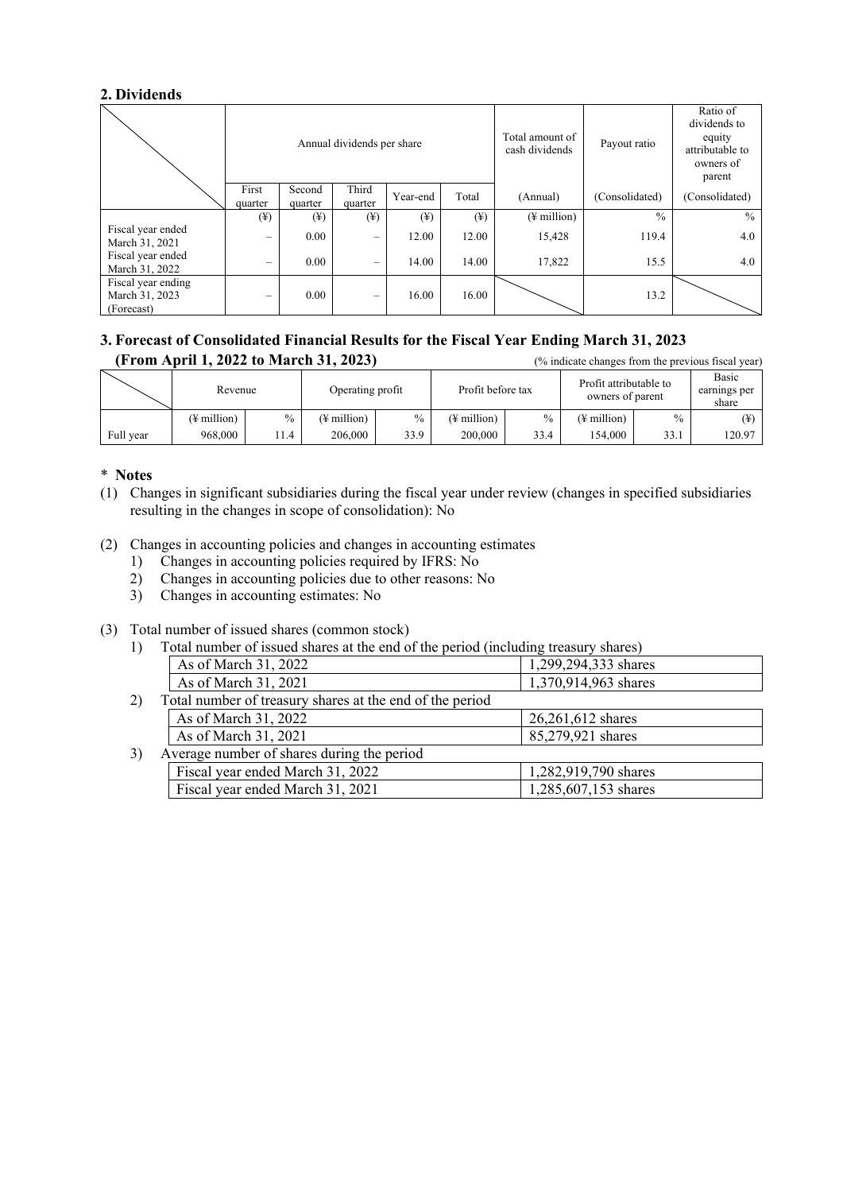# **2. Dividends**

|                                                    |                              |                              | Annual dividends per share |          |                              | Total amount of<br>cash dividends | Payout ratio   | Ratio of<br>dividends to<br>equity<br>attributable to<br>owners of<br>parent |
|----------------------------------------------------|------------------------------|------------------------------|----------------------------|----------|------------------------------|-----------------------------------|----------------|------------------------------------------------------------------------------|
|                                                    | First<br>quarter             | Second<br>quarter            | Third<br>quarter           | Year-end | Total                        | (Annual)                          | (Consolidated) | (Consolidated)                                                               |
|                                                    | $(\textcircled{\texttt{f}})$ | $(\textcircled{\texttt{4}})$ | $(\yen)$                   | $(\yen)$ | $(\textcircled{\texttt{f}})$ | $(\frac{1}{2})$ million           | $\frac{0}{0}$  | $\frac{0}{0}$                                                                |
| Fiscal year ended<br>March 31, 2021                | $\overline{\phantom{0}}$     | 0.00                         | -                          | 12.00    | 12.00                        | 15,428                            | 119.4          | 4.0                                                                          |
| Fiscal year ended<br>March 31, 2022                | $\overline{\phantom{0}}$     | 0.00                         | $\overline{\phantom{0}}$   | 14.00    | 14.00                        | 17,822                            | 15.5           | 4.0                                                                          |
| Fiscal year ending<br>March 31, 2023<br>(Forecast) | $\overline{\phantom{0}}$     | 0.00                         |                            | 16.00    | 16.00                        |                                   | 13.2           |                                                                              |

# **3. Forecast of Consolidated Financial Results for the Fiscal Year Ending March 31, 2023 (From April 1, 2022 to March 31, 2023)** (% indicate changes from the previous fiscal year)

|           | Revenue     |      | Operating profit        |      | Profit before tax |               | Profit attributable to<br>owners of parent |               | Basic<br>earnings per<br>share |
|-----------|-------------|------|-------------------------|------|-------------------|---------------|--------------------------------------------|---------------|--------------------------------|
|           | (¥ million) | $\%$ | $(\frac{1}{2})$ million | $\%$ | (¥ million)       | $\frac{0}{0}$ | (¥ million)                                | $\frac{0}{0}$ |                                |
| Full year | 968,000     | 11.4 | 206,000                 | 33.9 | 200,000           | 33.4          | 154.000                                    | 33.1          | 120.97                         |

# \* **Notes**

- (1) Changes in significant subsidiaries during the fiscal year under review (changes in specified subsidiaries resulting in the changes in scope of consolidation): No
- (2) Changes in accounting policies and changes in accounting estimates
	- 1) Changes in accounting policies required by IFRS: No
	- 2) Changes in accounting policies due to other reasons: No
	- 3) Changes in accounting estimates: No
- (3) Total number of issued shares (common stock)
	- 1) Total number of issued shares at the end of the period (including treasury shares)

|    | As of March 31, 2022                                     | 1,299,294,333 shares |  |
|----|----------------------------------------------------------|----------------------|--|
|    | As of March 31, 2021                                     | 1,370,914,963 shares |  |
| 2) | Total number of treasury shares at the end of the period |                      |  |
|    | As of March 31, 2022                                     | 26,261,612 shares    |  |
|    | As of March 31, 2021                                     | 85,279,921 shares    |  |
| 3) | Average number of shares during the period               |                      |  |
|    | Fiscal year ended March 31, 2022                         | 1,282,919,790 shares |  |
|    | Fiscal year ended March 31, 2021                         | 1,285,607,153 shares |  |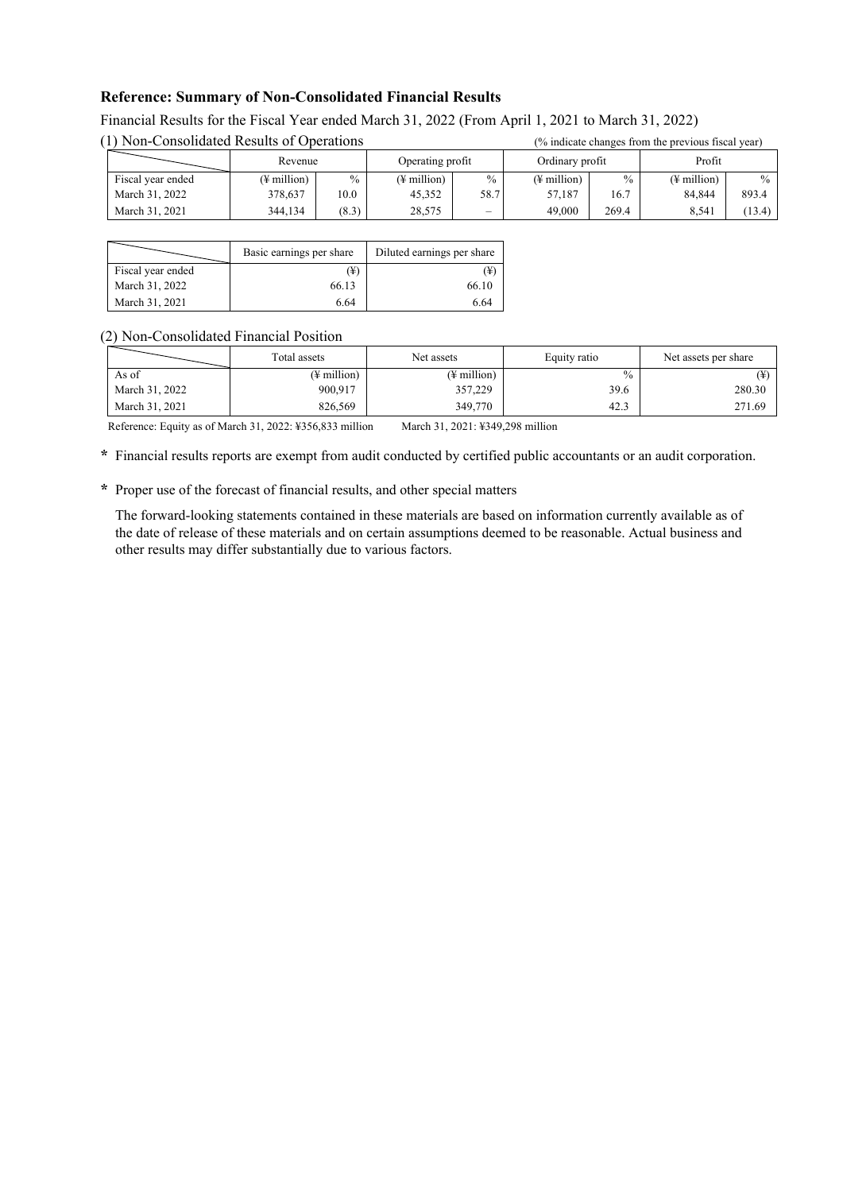# **Reference: Summary of Non-Consolidated Financial Results**

| (1) Non-Consolidated Results of Operations |             | (% indicate changes from the previous fiscal year) |                         |               |                         |       |                         |               |
|--------------------------------------------|-------------|----------------------------------------------------|-------------------------|---------------|-------------------------|-------|-------------------------|---------------|
|                                            | Revenue     |                                                    | Operating profit        |               | Ordinary profit         |       | Profit                  |               |
| Fiscal year ended                          | (¥ million) | $\%$                                               | $(\frac{1}{2})$ million | $\frac{0}{0}$ | $(\frac{1}{2})$ million | $\%$  | $(\frac{1}{2})$ million | $\frac{0}{0}$ |
| March 31, 2022                             | 378,637     | 10.0                                               | 45.352                  | 58.7          | 57.187                  | 16.7  | 84.844                  | 893.4         |
| March 31, 2021                             | 344.134     | (8.3)                                              | 28,575                  | $\sim$        | 49,000                  | 269.4 | 8.541                   | (13.4)        |

#### Financial Results for the Fiscal Year ended March 31, 2022 (From April 1, 2021 to March 31, 2022)  $(1)$  Non-Consolidated Results of Operations ( $(0, 1)$  indicate changes from the previous fiscal year)

|                   | Basic earnings per share | Diluted earnings per share |
|-------------------|--------------------------|----------------------------|
| Fiscal year ended | (¥)                      | (¥)                        |
| March 31, 2022    | 66.13                    | 66.10                      |
| March 31, 2021    | 6.64                     | 6.64                       |

#### (2) Non-Consolidated Financial Position

|                | Total assets | Net assets  | Equity ratio | Net assets per share |
|----------------|--------------|-------------|--------------|----------------------|
| As of          | (¥ million)  | (¥ million) | $\%$         |                      |
| March 31, 2022 | 900.917      | 357,229     | 39.6         | 280.30               |
| March 31, 2021 | 826,569      | 349,770     | 42.3         | 271.69               |

Reference: Equity as of March 31, 2022: ¥356,833 million March 31, 2021: ¥349,298 million

**\*** Financial results reports are exempt from audit conducted by certified public accountants or an audit corporation.

**\*** Proper use of the forecast of financial results, and other special matters

The forward-looking statements contained in these materials are based on information currently available as of the date of release of these materials and on certain assumptions deemed to be reasonable. Actual business and other results may differ substantially due to various factors.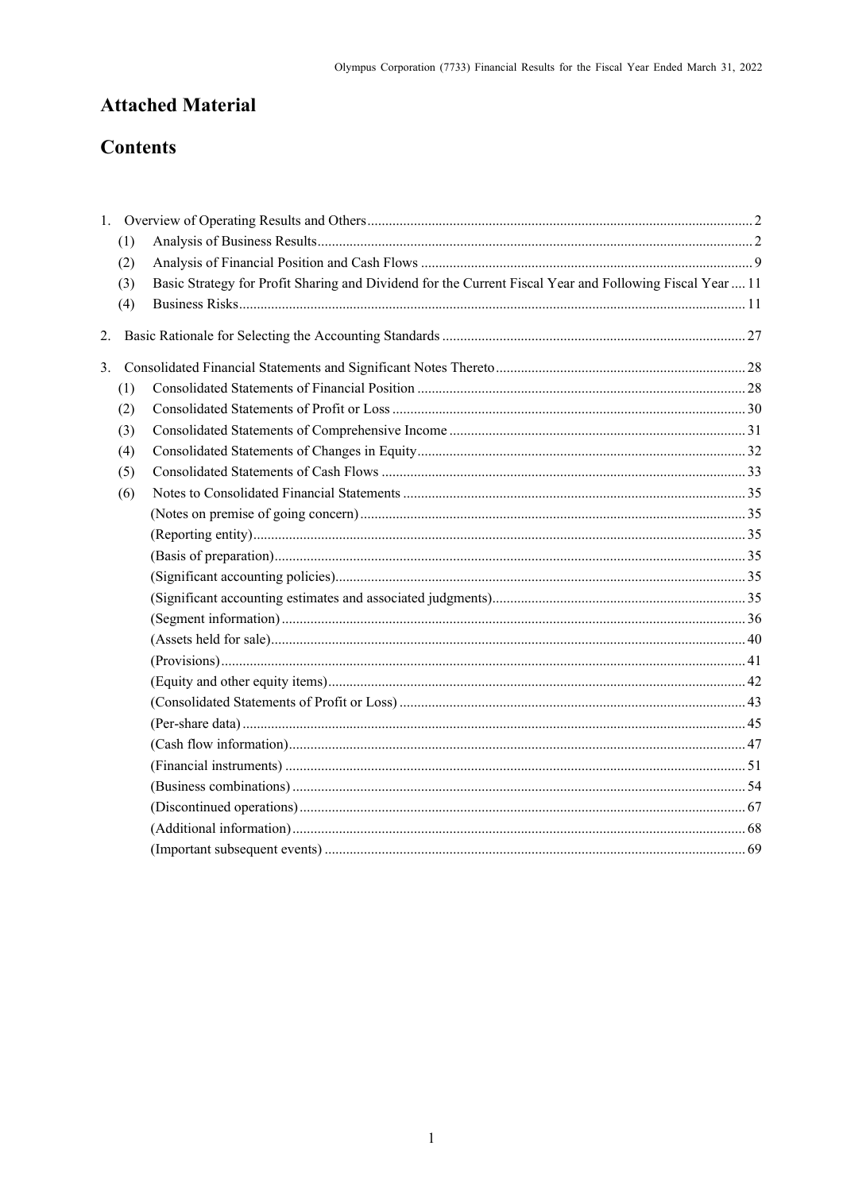# **Attached Material**

# **Contents**

|    | (1) |                                                                                                          |  |
|----|-----|----------------------------------------------------------------------------------------------------------|--|
|    | (2) |                                                                                                          |  |
|    | (3) | Basic Strategy for Profit Sharing and Dividend for the Current Fiscal Year and Following Fiscal Year  11 |  |
|    | (4) |                                                                                                          |  |
| 2. |     |                                                                                                          |  |
| 3. |     |                                                                                                          |  |
|    | (1) |                                                                                                          |  |
|    | (2) |                                                                                                          |  |
|    | (3) |                                                                                                          |  |
|    | (4) |                                                                                                          |  |
|    | (5) |                                                                                                          |  |
|    | (6) |                                                                                                          |  |
|    |     |                                                                                                          |  |
|    |     |                                                                                                          |  |
|    |     |                                                                                                          |  |
|    |     |                                                                                                          |  |
|    |     |                                                                                                          |  |
|    |     |                                                                                                          |  |
|    |     |                                                                                                          |  |
|    |     |                                                                                                          |  |
|    |     |                                                                                                          |  |
|    |     |                                                                                                          |  |
|    |     |                                                                                                          |  |
|    |     |                                                                                                          |  |
|    |     |                                                                                                          |  |
|    |     |                                                                                                          |  |
|    |     |                                                                                                          |  |
|    |     |                                                                                                          |  |
|    |     |                                                                                                          |  |
|    |     |                                                                                                          |  |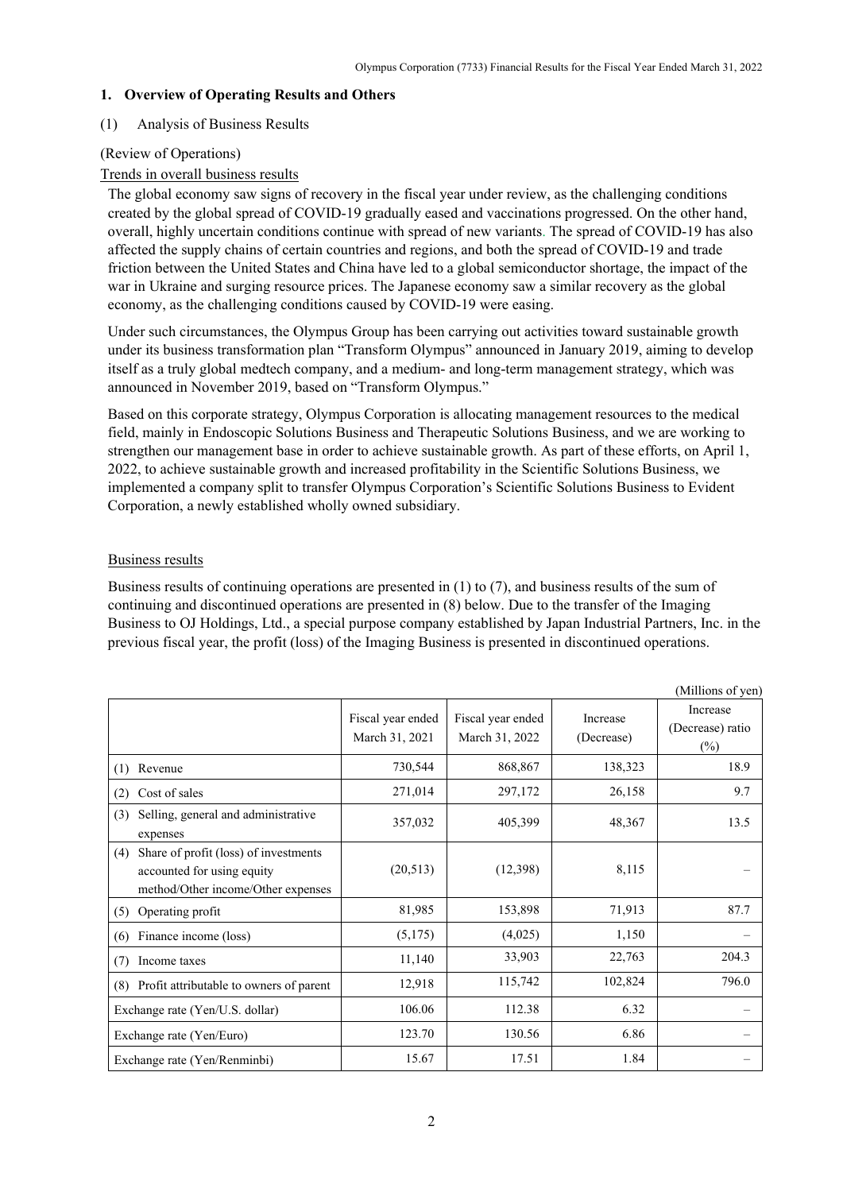#### <span id="page-4-0"></span>**1. Overview of Operating Results and Others**

#### <span id="page-4-1"></span>(1) Analysis of Business Results

### (Review of Operations)

## Trends in overall business results

The global economy saw signs of recovery in the fiscal year under review, as the challenging conditions created by the global spread of COVID-19 gradually eased and vaccinations progressed. On the other hand, overall, highly uncertain conditions continue with spread of new variants. The spread of COVID-19 has also affected the supply chains of certain countries and regions, and both the spread of COVID-19 and trade friction between the United States and China have led to a global semiconductor shortage, the impact of the war in Ukraine and surging resource prices. The Japanese economy saw a similar recovery as the global economy, as the challenging conditions caused by COVID-19 were easing.

Under such circumstances, the Olympus Group has been carrying out activities toward sustainable growth under its business transformation plan "Transform Olympus" announced in January 2019, aiming to develop itself as a truly global medtech company, and a medium- and long-term management strategy, which was announced in November 2019, based on "Transform Olympus."

Based on this corporate strategy, Olympus Corporation is allocating management resources to the medical field, mainly in Endoscopic Solutions Business and Therapeutic Solutions Business, and we are working to strengthen our management base in order to achieve sustainable growth. As part of these efforts, on April 1, 2022, to achieve sustainable growth and increased profitability in the Scientific Solutions Business, we implemented a company split to transfer Olympus Corporation's Scientific Solutions Business to Evident Corporation, a newly established wholly owned subsidiary.

## Business results

Business results of continuing operations are presented in (1) to (7), and business results of the sum of continuing and discontinued operations are presented in (8) below. Due to the transfer of the Imaging Business to OJ Holdings, Ltd., a special purpose company established by Japan Industrial Partners, Inc. in the previous fiscal year, the profit (loss) of the Imaging Business is presented in discontinued operations.

|                                                                                                                  |                                     |                                     |                        | (Millions of yen)                      |
|------------------------------------------------------------------------------------------------------------------|-------------------------------------|-------------------------------------|------------------------|----------------------------------------|
|                                                                                                                  | Fiscal year ended<br>March 31, 2021 | Fiscal year ended<br>March 31, 2022 | Increase<br>(Decrease) | Increase<br>(Decrease) ratio<br>$(\%)$ |
| Revenue<br>(1)                                                                                                   | 730,544                             | 868,867                             | 138,323                | 18.9                                   |
| Cost of sales<br>(2)                                                                                             | 271,014                             | 297,172                             | 26,158                 | 9.7                                    |
| (3)<br>Selling, general and administrative<br>expenses                                                           | 357,032                             | 405,399                             | 48,367                 | 13.5                                   |
| Share of profit (loss) of investments<br>(4)<br>accounted for using equity<br>method/Other income/Other expenses | (20,513)                            | (12, 398)                           | 8,115                  |                                        |
| Operating profit<br>(5)                                                                                          | 81,985                              | 153,898                             | 71,913                 | 87.7                                   |
| Finance income (loss)<br>(6)                                                                                     | (5,175)                             | (4,025)                             | 1,150                  |                                        |
| (7)<br>Income taxes                                                                                              | 11,140                              | 33,903                              | 22,763                 | 204.3                                  |
| Profit attributable to owners of parent<br>(8)                                                                   | 12,918                              | 115,742                             | 102,824                | 796.0                                  |
| Exchange rate (Yen/U.S. dollar)                                                                                  | 106.06                              | 112.38                              | 6.32                   |                                        |
| Exchange rate (Yen/Euro)                                                                                         | 123.70                              | 130.56                              | 6.86                   |                                        |
| Exchange rate (Yen/Renminbi)                                                                                     | 15.67                               | 17.51                               | 1.84                   |                                        |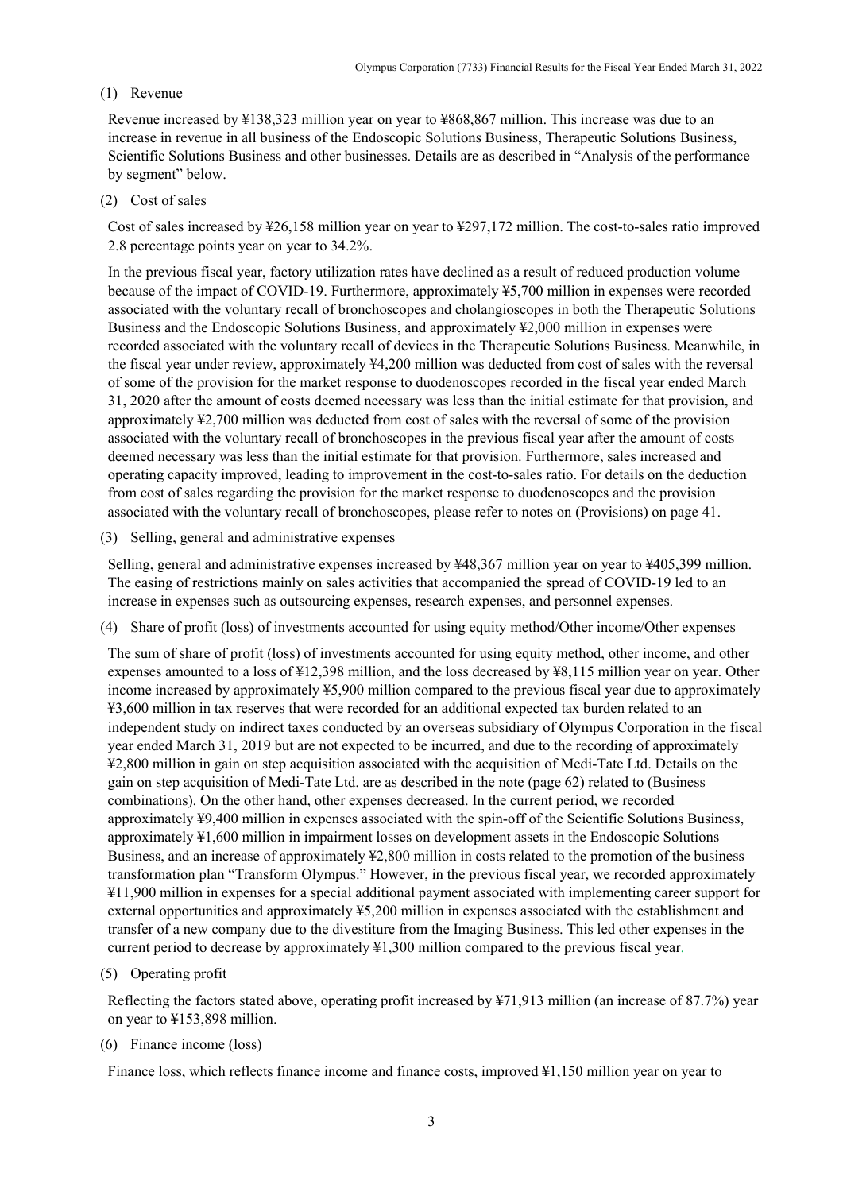#### (1) Revenue

Revenue increased by ¥138,323 million year on year to ¥868,867 million. This increase was due to an increase in revenue in all business of the Endoscopic Solutions Business, Therapeutic Solutions Business, Scientific Solutions Business and other businesses. Details are as described in "Analysis of the performance by segment" below.

#### (2) Cost of sales

Cost of sales increased by ¥26,158 million year on year to ¥297,172 million. The cost-to-sales ratio improved 2.8 percentage points year on year to 34.2%.

In the previous fiscal year, factory utilization rates have declined as a result of reduced production volume because of the impact of COVID-19. Furthermore, approximately ¥5,700 million in expenses were recorded associated with the voluntary recall of bronchoscopes and cholangioscopes in both the Therapeutic Solutions Business and the Endoscopic Solutions Business, and approximately ¥2,000 million in expenses were recorded associated with the voluntary recall of devices in the Therapeutic Solutions Business. Meanwhile, in the fiscal year under review, approximately ¥4,200 million was deducted from cost of sales with the reversal of some of the provision for the market response to duodenoscopes recorded in the fiscal year ended March 31, 2020 after the amount of costs deemed necessary was less than the initial estimate for that provision, and approximately ¥2,700 million was deducted from cost of sales with the reversal of some of the provision associated with the voluntary recall of bronchoscopes in the previous fiscal year after the amount of costs deemed necessary was less than the initial estimate for that provision. Furthermore, sales increased and operating capacity improved, leading to improvement in the cost-to-sales ratio. For details on the deduction from cost of sales regarding the provision for the market response to duodenoscopes and the provision associated with the voluntary recall of bronchoscopes, please refer to notes on (Provisions) on page 41.

(3) Selling, general and administrative expenses

Selling, general and administrative expenses increased by ¥48,367 million year on year to ¥405,399 million. The easing of restrictions mainly on sales activities that accompanied the spread of COVID-19 led to an increase in expenses such as outsourcing expenses, research expenses, and personnel expenses.

(4) Share of profit (loss) of investments accounted for using equity method/Other income/Other expenses

The sum of share of profit (loss) of investments accounted for using equity method, other income, and other expenses amounted to a loss of ¥12,398 million, and the loss decreased by ¥8,115 million year on year. Other income increased by approximately ¥5,900 million compared to the previous fiscal year due to approximately ¥3,600 million in tax reserves that were recorded for an additional expected tax burden related to an independent study on indirect taxes conducted by an overseas subsidiary of Olympus Corporation in the fiscal year ended March 31, 2019 but are not expected to be incurred, and due to the recording of approximately ¥2,800 million in gain on step acquisition associated with the acquisition of Medi-Tate Ltd. Details on the gain on step acquisition of Medi-Tate Ltd. are as described in the note (page 62) related to (Business combinations). On the other hand, other expenses decreased. In the current period, we recorded approximately ¥9,400 million in expenses associated with the spin-off of the Scientific Solutions Business, approximately ¥1,600 million in impairment losses on development assets in the Endoscopic Solutions Business, and an increase of approximately ¥2,800 million in costs related to the promotion of the business transformation plan "Transform Olympus." However, in the previous fiscal year, we recorded approximately ¥11,900 million in expenses for a special additional payment associated with implementing career support for external opportunities and approximately ¥5,200 million in expenses associated with the establishment and transfer of a new company due to the divestiture from the Imaging Business. This led other expenses in the current period to decrease by approximately ¥1,300 million compared to the previous fiscal year.

(5) Operating profit

Reflecting the factors stated above, operating profit increased by ¥71,913 million (an increase of 87.7%) year on year to ¥153,898 million.

(6) Finance income (loss)

Finance loss, which reflects finance income and finance costs, improved ¥1,150 million year on year to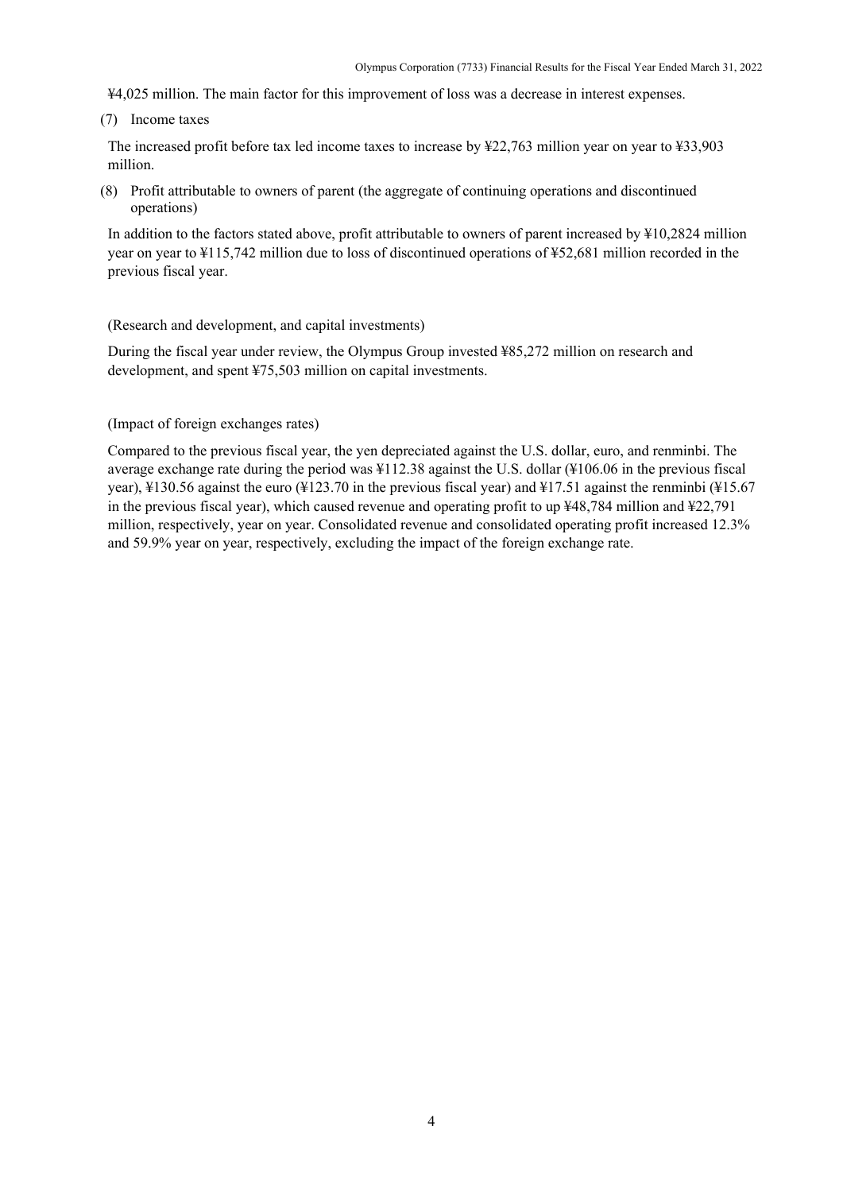¥4,025 million. The main factor for this improvement of loss was a decrease in interest expenses.

(7) Income taxes

The increased profit before tax led income taxes to increase by ¥22,763 million year on year to ¥33,903 million.

(8) Profit attributable to owners of parent (the aggregate of continuing operations and discontinued operations)

In addition to the factors stated above, profit attributable to owners of parent increased by ¥10,2824 million year on year to ¥115,742 million due to loss of discontinued operations of ¥52,681 million recorded in the previous fiscal year.

#### (Research and development, and capital investments)

During the fiscal year under review, the Olympus Group invested ¥85,272 million on research and development, and spent ¥75,503 million on capital investments.

#### (Impact of foreign exchanges rates)

Compared to the previous fiscal year, the yen depreciated against the U.S. dollar, euro, and renminbi. The average exchange rate during the period was ¥112.38 against the U.S. dollar (¥106.06 in the previous fiscal year), ¥130.56 against the euro (¥123.70 in the previous fiscal year) and ¥17.51 against the renminbi (¥15.67 in the previous fiscal year), which caused revenue and operating profit to up ¥48,784 million and ¥22,791 million, respectively, year on year. Consolidated revenue and consolidated operating profit increased 12.3% and 59.9% year on year, respectively, excluding the impact of the foreign exchange rate.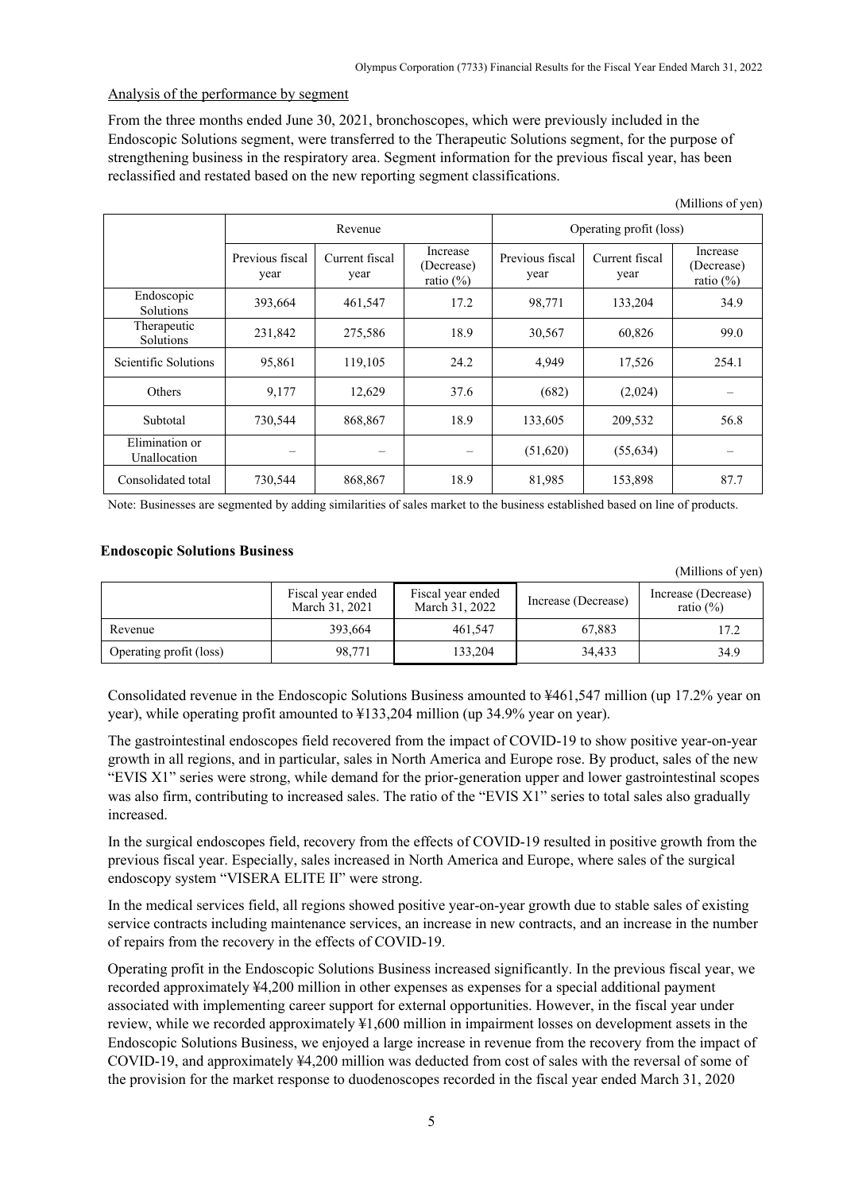$(AC11)$   $C \rightarrow$ 

 $(M<sub>i</sub>)$ lions of you)

# Analysis of the performance by segment

From the three months ended June 30, 2021, bronchoscopes, which were previously included in the Endoscopic Solutions segment, were transferred to the Therapeutic Solutions segment, for the purpose of strengthening business in the respiratory area. Segment information for the previous fiscal year, has been reclassified and restated based on the new reporting segment classifications.

|                                |                         |                        |                                        |                         |                        | (TATHIOIIS OF ACIT)                    |
|--------------------------------|-------------------------|------------------------|----------------------------------------|-------------------------|------------------------|----------------------------------------|
|                                | Revenue                 |                        |                                        | Operating profit (loss) |                        |                                        |
|                                | Previous fiscal<br>year | Current fiscal<br>year | Increase<br>(Decrease)<br>ratio $(\%)$ | Previous fiscal<br>year | Current fiscal<br>year | Increase<br>(Decrease)<br>ratio $(\%)$ |
| Endoscopic<br>Solutions        | 393,664                 | 461,547                | 17.2                                   | 98,771                  | 133,204                | 34.9                                   |
| Therapeutic<br>Solutions       | 231,842                 | 275,586                | 18.9                                   | 30,567                  | 60,826                 | 99.0                                   |
| Scientific Solutions           | 95,861                  | 119,105                | 24.2                                   | 4,949                   | 17,526                 | 254.1                                  |
| Others                         | 9,177                   | 12,629                 | 37.6                                   | (682)                   | (2,024)                |                                        |
| Subtotal                       | 730,544                 | 868,867                | 18.9                                   | 133,605                 | 209,532                | 56.8                                   |
| Elimination or<br>Unallocation |                         |                        |                                        | (51,620)                | (55, 634)              |                                        |
| Consolidated total             | 730,544                 | 868,867                | 18.9                                   | 81,985                  | 153,898                | 87.7                                   |

Note: Businesses are segmented by adding similarities of sales market to the business established based on line of products.

## **Endoscopic Solutions Business**

|                         |                                     |                                     |                     | $\mu$ -, $\mu$ , $\mu$ , $\mu$ , $\mu$ , $\mu$ , $\mu$ , $\mu$ , $\mu$ , $\mu$ , $\mu$ , $\mu$ , $\mu$ , $\mu$ , $\mu$ , $\mu$ , $\mu$ , $\mu$ , $\mu$ , $\mu$ , $\mu$ , $\mu$ , $\mu$ , $\mu$ , $\mu$ , $\mu$ , $\mu$ , $\mu$ , $\mu$ , $\mu$ , $\mu$ , $\mu$ , $\mu$ , $\mu$ , $\mu$ , $\mu$ , $\mu$ |
|-------------------------|-------------------------------------|-------------------------------------|---------------------|--------------------------------------------------------------------------------------------------------------------------------------------------------------------------------------------------------------------------------------------------------------------------------------------------------|
|                         | Fiscal year ended<br>March 31, 2021 | Fiscal year ended<br>March 31, 2022 | Increase (Decrease) | Increase (Decrease)<br>ratio $(\%)$                                                                                                                                                                                                                                                                    |
| Revenue                 | 393,664                             | 461.547                             | 67.883              | 17.2                                                                                                                                                                                                                                                                                                   |
| Operating profit (loss) | 98,771                              | 133.204                             | 34.433              | 34.9                                                                                                                                                                                                                                                                                                   |

Consolidated revenue in the Endoscopic Solutions Business amounted to ¥461,547 million (up 17.2% year on year), while operating profit amounted to ¥133,204 million (up 34.9% year on year).

The gastrointestinal endoscopes field recovered from the impact of COVID-19 to show positive year-on-year growth in all regions, and in particular, sales in North America and Europe rose. By product, sales of the new "EVIS X1" series were strong, while demand for the prior-generation upper and lower gastrointestinal scopes was also firm, contributing to increased sales. The ratio of the "EVIS X1" series to total sales also gradually increased.

In the surgical endoscopes field, recovery from the effects of COVID-19 resulted in positive growth from the previous fiscal year. Especially, sales increased in North America and Europe, where sales of the surgical endoscopy system "VISERA ELITE II" were strong.

In the medical services field, all regions showed positive year-on-year growth due to stable sales of existing service contracts including maintenance services, an increase in new contracts, and an increase in the number of repairs from the recovery in the effects of COVID-19.

Operating profit in the Endoscopic Solutions Business increased significantly. In the previous fiscal year, we recorded approximately ¥4,200 million in other expenses as expenses for a special additional payment associated with implementing career support for external opportunities. However, in the fiscal year under review, while we recorded approximately ¥1,600 million in impairment losses on development assets in the Endoscopic Solutions Business, we enjoyed a large increase in revenue from the recovery from the impact of COVID-19, and approximately ¥4,200 million was deducted from cost of sales with the reversal of some of the provision for the market response to duodenoscopes recorded in the fiscal year ended March 31, 2020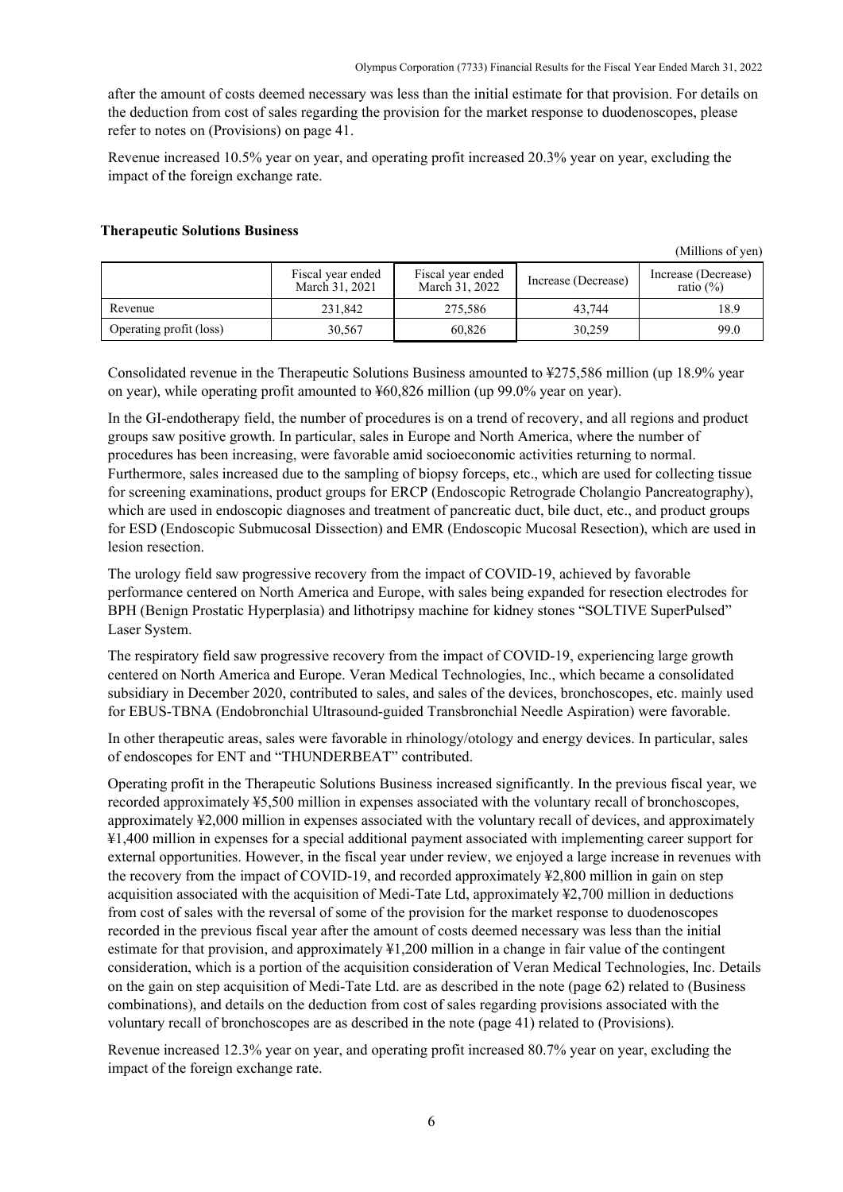after the amount of costs deemed necessary was less than the initial estimate for that provision. For details on the deduction from cost of sales regarding the provision for the market response to duodenoscopes, please refer to notes on (Provisions) on page 41.

Revenue increased 10.5% year on year, and operating profit increased 20.3% year on year, excluding the impact of the foreign exchange rate.

#### **Therapeutic Solutions Business**

(Millions of yen)

|                         | Fiscal year ended<br>March 31, 2021 | Fiscal year ended<br>March 31, 2022 | Increase (Decrease) | Increase (Decrease)<br>ratio $(\%)$ |
|-------------------------|-------------------------------------|-------------------------------------|---------------------|-------------------------------------|
| Revenue                 | 231.842                             | 275,586                             | 43.744              | 18.9                                |
| Operating profit (loss) | 30,567                              | 60,826                              | 30.259              | 99.0                                |

Consolidated revenue in the Therapeutic Solutions Business amounted to ¥275,586 million (up 18.9% year on year), while operating profit amounted to ¥60,826 million (up 99.0% year on year).

In the GI-endotherapy field, the number of procedures is on a trend of recovery, and all regions and product groups saw positive growth. In particular, sales in Europe and North America, where the number of procedures has been increasing, were favorable amid socioeconomic activities returning to normal. Furthermore, sales increased due to the sampling of biopsy forceps, etc., which are used for collecting tissue for screening examinations, product groups for ERCP (Endoscopic Retrograde Cholangio Pancreatography), which are used in endoscopic diagnoses and treatment of pancreatic duct, bile duct, etc., and product groups for ESD (Endoscopic Submucosal Dissection) and EMR (Endoscopic Mucosal Resection), which are used in lesion resection.

The urology field saw progressive recovery from the impact of COVID-19, achieved by favorable performance centered on North America and Europe, with sales being expanded for resection electrodes for BPH (Benign Prostatic Hyperplasia) and lithotripsy machine for kidney stones "SOLTIVE SuperPulsed" Laser System.

The respiratory field saw progressive recovery from the impact of COVID-19, experiencing large growth centered on North America and Europe. Veran Medical Technologies, Inc., which became a consolidated subsidiary in December 2020, contributed to sales, and sales of the devices, bronchoscopes, etc. mainly used for EBUS-TBNA (Endobronchial Ultrasound-guided Transbronchial Needle Aspiration) were favorable.

In other therapeutic areas, sales were favorable in rhinology/otology and energy devices. In particular, sales of endoscopes for ENT and "THUNDERBEAT" contributed.

Operating profit in the Therapeutic Solutions Business increased significantly. In the previous fiscal year, we recorded approximately ¥5,500 million in expenses associated with the voluntary recall of bronchoscopes, approximately ¥2,000 million in expenses associated with the voluntary recall of devices, and approximately ¥1,400 million in expenses for a special additional payment associated with implementing career support for external opportunities. However, in the fiscal year under review, we enjoyed a large increase in revenues with the recovery from the impact of COVID-19, and recorded approximately ¥2,800 million in gain on step acquisition associated with the acquisition of Medi-Tate Ltd, approximately ¥2,700 million in deductions from cost of sales with the reversal of some of the provision for the market response to duodenoscopes recorded in the previous fiscal year after the amount of costs deemed necessary was less than the initial estimate for that provision, and approximately ¥1,200 million in a change in fair value of the contingent consideration, which is a portion of the acquisition consideration of Veran Medical Technologies, Inc. Details on the gain on step acquisition of Medi-Tate Ltd. are as described in the note (page 62) related to (Business combinations), and details on the deduction from cost of sales regarding provisions associated with the voluntary recall of bronchoscopes are as described in the note (page 41) related to (Provisions).

Revenue increased 12.3% year on year, and operating profit increased 80.7% year on year, excluding the impact of the foreign exchange rate.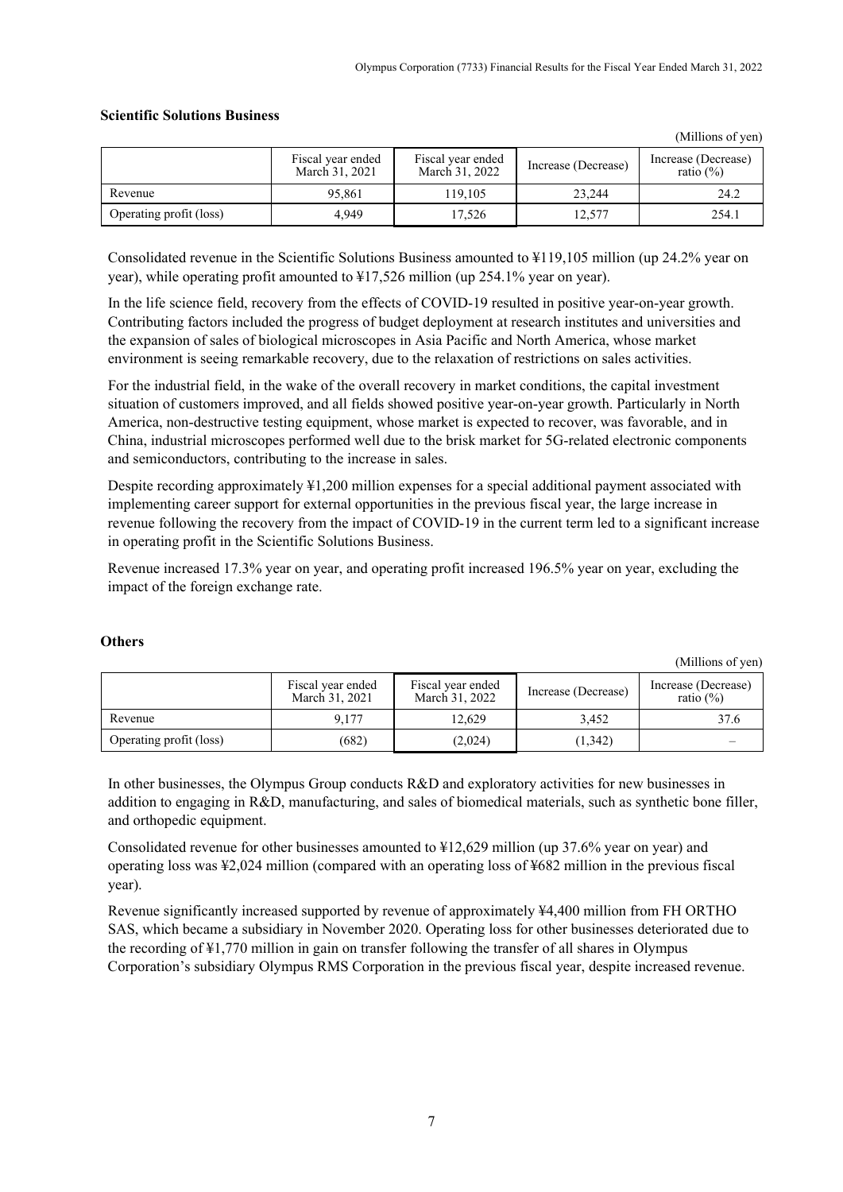(Millions of yen)

(Millions of yen)

|                         | Fiscal year ended<br>March 31, 2021 | Fiscal year ended<br>March 31, 2022 | Increase (Decrease) | Increase (Decrease)<br>ratio $(\%)$ |
|-------------------------|-------------------------------------|-------------------------------------|---------------------|-------------------------------------|
| Revenue                 | 95.861                              | 119.105                             | 23.244              | 24.2                                |
| Operating profit (loss) | 4.949                               | 17.526                              | 12,577              | 254.1                               |

# **Scientific Solutions Business**

Consolidated revenue in the Scientific Solutions Business amounted to ¥119,105 million (up 24.2% year on year), while operating profit amounted to ¥17,526 million (up 254.1% year on year).

In the life science field, recovery from the effects of COVID-19 resulted in positive year-on-year growth. Contributing factors included the progress of budget deployment at research institutes and universities and the expansion of sales of biological microscopes in Asia Pacific and North America, whose market environment is seeing remarkable recovery, due to the relaxation of restrictions on sales activities.

For the industrial field, in the wake of the overall recovery in market conditions, the capital investment situation of customers improved, and all fields showed positive year-on-year growth. Particularly in North America, non-destructive testing equipment, whose market is expected to recover, was favorable, and in China, industrial microscopes performed well due to the brisk market for 5G-related electronic components and semiconductors, contributing to the increase in sales.

Despite recording approximately ¥1,200 million expenses for a special additional payment associated with implementing career support for external opportunities in the previous fiscal year, the large increase in revenue following the recovery from the impact of COVID-19 in the current term led to a significant increase in operating profit in the Scientific Solutions Business.

Revenue increased 17.3% year on year, and operating profit increased 196.5% year on year, excluding the impact of the foreign exchange rate.

|                         | Fiscal year ended<br>March 31, 2021 | Fiscal year ended<br>March 31, 2022 | Increase (Decrease) | Increase (Decrease)<br>ratio $(\%)$ |
|-------------------------|-------------------------------------|-------------------------------------|---------------------|-------------------------------------|
| Revenue                 | 9.177                               | 12.629                              | 3.452               |                                     |
| Operating profit (loss) | (682)                               | (2,024)                             | (1, 342)            |                                     |

#### **Others**

In other businesses, the Olympus Group conducts R&D and exploratory activities for new businesses in addition to engaging in R&D, manufacturing, and sales of biomedical materials, such as synthetic bone filler, and orthopedic equipment.

Consolidated revenue for other businesses amounted to ¥12,629 million (up 37.6% year on year) and operating loss was ¥2,024 million (compared with an operating loss of ¥682 million in the previous fiscal year).

Revenue significantly increased supported by revenue of approximately ¥4,400 million from FH ORTHO SAS, which became a subsidiary in November 2020. Operating loss for other businesses deteriorated due to the recording of ¥1,770 million in gain on transfer following the transfer of all shares in Olympus Corporation's subsidiary Olympus RMS Corporation in the previous fiscal year, despite increased revenue.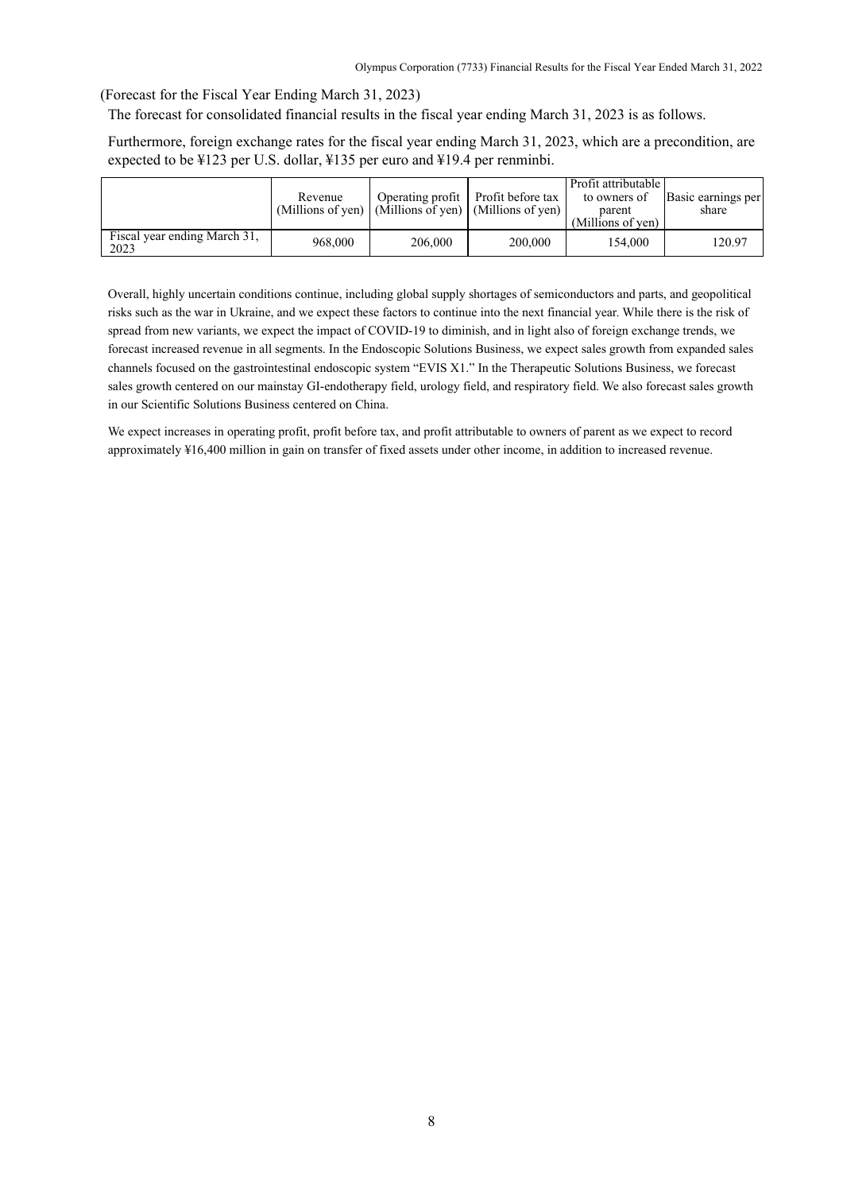(Forecast for the Fiscal Year Ending March 31, 2023)

The forecast for consolidated financial results in the fiscal year ending March 31, 2023 is as follows.

Furthermore, foreign exchange rates for the fiscal year ending March 31, 2023, which are a precondition, are expected to be ¥123 per U.S. dollar, ¥135 per euro and ¥19.4 per renminbi.

|                                      | Revenue |         | Operating profit Profit before tax<br>(Millions of yen) $\vert$ (Millions of yen) $\vert$ (Millions of yen) $\vert$ | Profit attributable<br>to owners of<br>parent<br>(Millions of yen) | Basic earnings per<br>share |
|--------------------------------------|---------|---------|---------------------------------------------------------------------------------------------------------------------|--------------------------------------------------------------------|-----------------------------|
| Fiscal year ending March 31,<br>2023 | 968,000 | 206,000 | 200,000                                                                                                             | 154.000                                                            | 120.97                      |

Overall, highly uncertain conditions continue, including global supply shortages of semiconductors and parts, and geopolitical risks such as the war in Ukraine, and we expect these factors to continue into the next financial year. While there is the risk of spread from new variants, we expect the impact of COVID-19 to diminish, and in light also of foreign exchange trends, we forecast increased revenue in all segments. In the Endoscopic Solutions Business, we expect sales growth from expanded sales channels focused on the gastrointestinal endoscopic system "EVIS X1." In the Therapeutic Solutions Business, we forecast sales growth centered on our mainstay GI-endotherapy field, urology field, and respiratory field. We also forecast sales growth in our Scientific Solutions Business centered on China.

We expect increases in operating profit, profit before tax, and profit attributable to owners of parent as we expect to record approximately ¥16,400 million in gain on transfer of fixed assets under other income, in addition to increased revenue.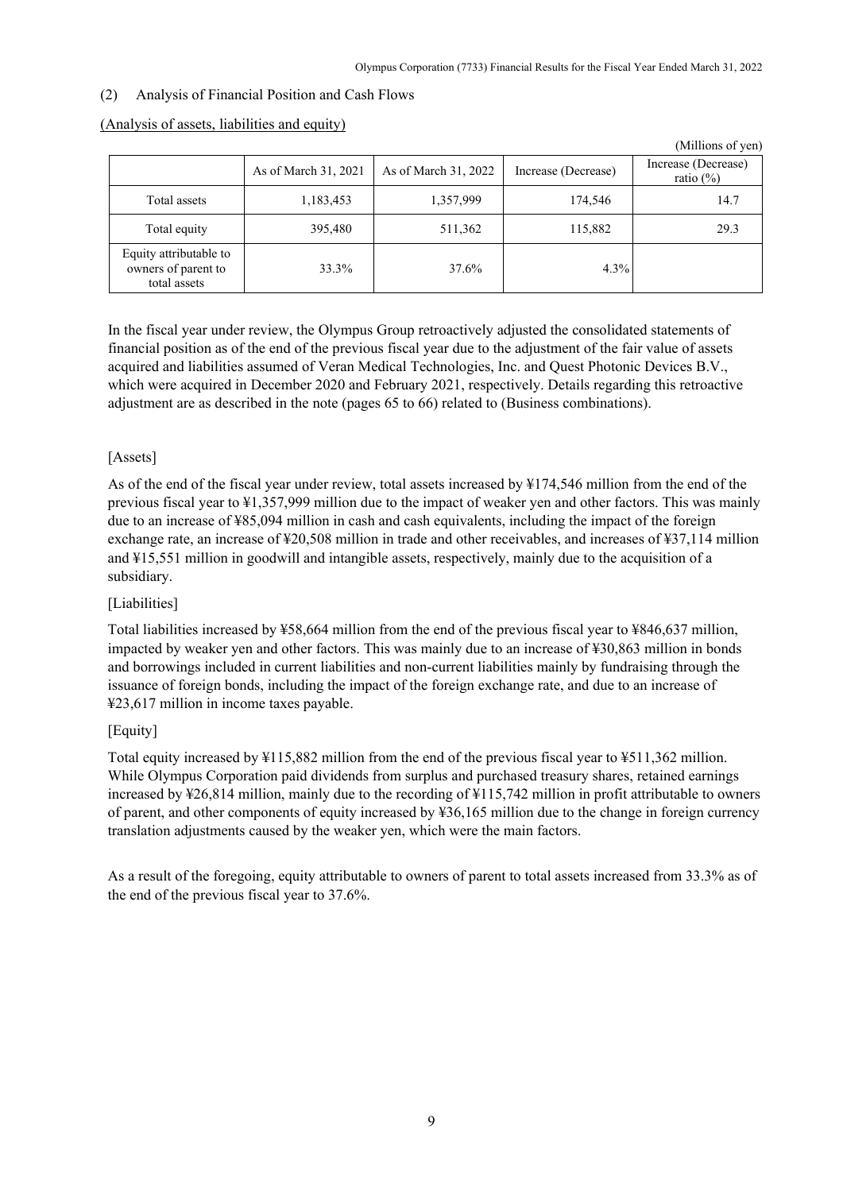$\alpha$  curves of  $\alpha$ 

# <span id="page-11-0"></span>(2) Analysis of Financial Position and Cash Flows

|                                                               |                      |                      |                     | (Millions of yen)                   |
|---------------------------------------------------------------|----------------------|----------------------|---------------------|-------------------------------------|
|                                                               | As of March 31, 2021 | As of March 31, 2022 | Increase (Decrease) | Increase (Decrease)<br>ratio $(\%)$ |
| Total assets                                                  | 1,183,453            | 1,357,999            | 174,546             | 14.7                                |
| Total equity                                                  | 395,480              | 511,362              | 115,882             | 29.3                                |
| Equity attributable to<br>owners of parent to<br>total assets | 33.3%                | 37.6%                | 4.3%                |                                     |

#### (Analysis of assets, liabilities and equity)

In the fiscal year under review, the Olympus Group retroactively adjusted the consolidated statements of financial position as of the end of the previous fiscal year due to the adjustment of the fair value of assets acquired and liabilities assumed of Veran Medical Technologies, Inc. and Quest Photonic Devices B.V., which were acquired in December 2020 and February 2021, respectively. Details regarding this retroactive adjustment are as described in the note (pages 65 to 66) related to (Business combinations).

# [Assets]

As of the end of the fiscal year under review, total assets increased by ¥174,546 million from the end of the previous fiscal year to ¥1,357,999 million due to the impact of weaker yen and other factors. This was mainly due to an increase of ¥85,094 million in cash and cash equivalents, including the impact of the foreign exchange rate, an increase of ¥20,508 million in trade and other receivables, and increases of ¥37,114 million and ¥15,551 million in goodwill and intangible assets, respectively, mainly due to the acquisition of a subsidiary.

# [Liabilities]

Total liabilities increased by ¥58,664 million from the end of the previous fiscal year to ¥846,637 million, impacted by weaker yen and other factors. This was mainly due to an increase of ¥30,863 million in bonds and borrowings included in current liabilities and non-current liabilities mainly by fundraising through the issuance of foreign bonds, including the impact of the foreign exchange rate, and due to an increase of ¥23,617 million in income taxes payable.

# [Equity]

Total equity increased by ¥115,882 million from the end of the previous fiscal year to ¥511,362 million. While Olympus Corporation paid dividends from surplus and purchased treasury shares, retained earnings increased by ¥26,814 million, mainly due to the recording of ¥115,742 million in profit attributable to owners of parent, and other components of equity increased by ¥36,165 million due to the change in foreign currency translation adjustments caused by the weaker yen, which were the main factors.

As a result of the foregoing, equity attributable to owners of parent to total assets increased from 33.3% as of the end of the previous fiscal year to 37.6%.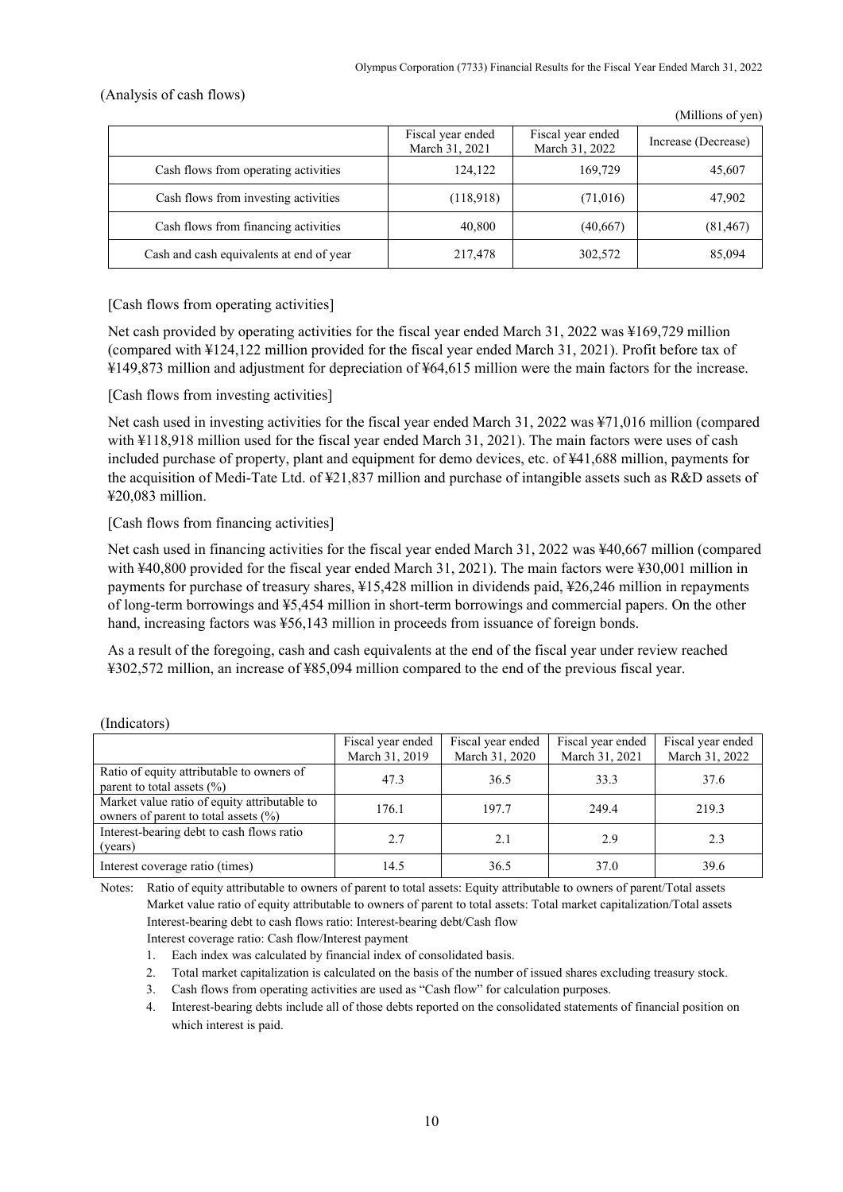(Millions of yen)

### (Analysis of cash flows)

|                                          | Fiscal year ended<br>March 31, 2021 | Fiscal year ended<br>March 31, 2022 | Increase (Decrease) |
|------------------------------------------|-------------------------------------|-------------------------------------|---------------------|
| Cash flows from operating activities     | 124,122                             | 169,729                             | 45,607              |
| Cash flows from investing activities     | (118,918)                           | (71,016)                            | 47,902              |
| Cash flows from financing activities     | 40,800                              | (40,667)                            | (81, 467)           |
| Cash and cash equivalents at end of year | 217,478                             | 302,572                             | 85,094              |

[Cash flows from operating activities]

Net cash provided by operating activities for the fiscal year ended March 31, 2022 was ¥169,729 million (compared with ¥124,122 million provided for the fiscal year ended March 31, 2021). Profit before tax of ¥149,873 million and adjustment for depreciation of ¥64,615 million were the main factors for the increase.

## [Cash flows from investing activities]

Net cash used in investing activities for the fiscal year ended March 31, 2022 was ¥71,016 million (compared with ¥118,918 million used for the fiscal year ended March 31, 2021). The main factors were uses of cash included purchase of property, plant and equipment for demo devices, etc. of ¥41,688 million, payments for the acquisition of Medi-Tate Ltd. of ¥21,837 million and purchase of intangible assets such as R&D assets of ¥20,083 million.

## [Cash flows from financing activities]

Net cash used in financing activities for the fiscal year ended March 31, 2022 was ¥40,667 million (compared with ¥40,800 provided for the fiscal year ended March 31, 2021). The main factors were ¥30,001 million in payments for purchase of treasury shares, ¥15,428 million in dividends paid, ¥26,246 million in repayments of long-term borrowings and ¥5,454 million in short-term borrowings and commercial papers. On the other hand, increasing factors was ¥56,143 million in proceeds from issuance of foreign bonds.

As a result of the foregoing, cash and cash equivalents at the end of the fiscal year under review reached ¥302,572 million, an increase of ¥85,094 million compared to the end of the previous fiscal year.

|                                                                                          | Fiscal year ended<br>March 31, 2019 | Fiscal year ended<br>March 31, 2020 | Fiscal year ended<br>March 31, 2021 | Fiscal year ended<br>March 31, 2022 |
|------------------------------------------------------------------------------------------|-------------------------------------|-------------------------------------|-------------------------------------|-------------------------------------|
| Ratio of equity attributable to owners of<br>parent to total assets $(\% )$              | 47.3                                | 36.5                                | 33.3                                | 37.6                                |
| Market value ratio of equity attributable to<br>owners of parent to total assets $(\% )$ | 176.1                               | 197.7                               | 249.4                               | 219.3                               |
| Interest-bearing debt to cash flows ratio<br>(years)                                     | 2.7                                 | 2.1                                 | 2.9                                 | 2.3                                 |
| Interest coverage ratio (times)                                                          | 14.5                                | 36.5                                | 37.0                                | 39.6                                |

#### (Indicators)

Notes: Ratio of equity attributable to owners of parent to total assets: Equity attributable to owners of parent/Total assets Market value ratio of equity attributable to owners of parent to total assets: Total market capitalization/Total assets Interest-bearing debt to cash flows ratio: Interest-bearing debt/Cash flow Interest coverage ratio: Cash flow/Interest payment

- 1. Each index was calculated by financial index of consolidated basis.
- 2. Total market capitalization is calculated on the basis of the number of issued shares excluding treasury stock.
- 3. Cash flows from operating activities are used as "Cash flow" for calculation purposes.
- 4. Interest-bearing debts include all of those debts reported on the consolidated statements of financial position on which interest is paid.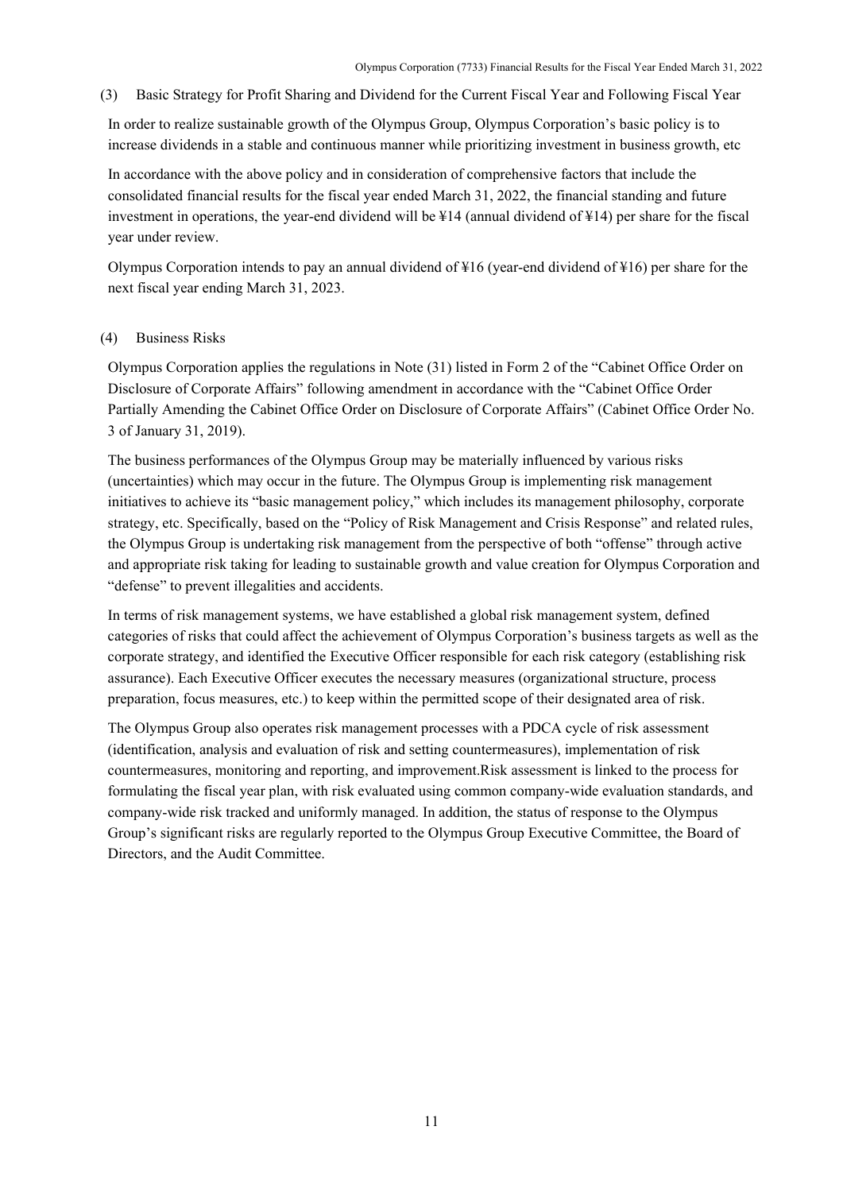<span id="page-13-0"></span>(3) Basic Strategy for Profit Sharing and Dividend for the Current Fiscal Year and Following Fiscal Year

In order to realize sustainable growth of the Olympus Group, Olympus Corporation's basic policy is to increase dividends in a stable and continuous manner while prioritizing investment in business growth, etc

In accordance with the above policy and in consideration of comprehensive factors that include the consolidated financial results for the fiscal year ended March 31, 2022, the financial standing and future investment in operations, the year-end dividend will be ¥14 (annual dividend of ¥14) per share for the fiscal year under review.

Olympus Corporation intends to pay an annual dividend of ¥16 (year-end dividend of ¥16) per share for the next fiscal year ending March 31, 2023.

## <span id="page-13-1"></span>(4) Business Risks

Olympus Corporation applies the regulations in Note (31) listed in Form 2 of the "Cabinet Office Order on Disclosure of Corporate Affairs" following amendment in accordance with the "Cabinet Office Order Partially Amending the Cabinet Office Order on Disclosure of Corporate Affairs" (Cabinet Office Order No. 3 of January 31, 2019).

The business performances of the Olympus Group may be materially influenced by various risks (uncertainties) which may occur in the future. The Olympus Group is implementing risk management initiatives to achieve its "basic management policy," which includes its management philosophy, corporate strategy, etc. Specifically, based on the "Policy of Risk Management and Crisis Response" and related rules, the Olympus Group is undertaking risk management from the perspective of both "offense" through active and appropriate risk taking for leading to sustainable growth and value creation for Olympus Corporation and "defense" to prevent illegalities and accidents.

In terms of risk management systems, we have established a global risk management system, defined categories of risks that could affect the achievement of Olympus Corporation's business targets as well as the corporate strategy, and identified the Executive Officer responsible for each risk category (establishing risk assurance). Each Executive Officer executes the necessary measures (organizational structure, process preparation, focus measures, etc.) to keep within the permitted scope of their designated area of risk.

The Olympus Group also operates risk management processes with a PDCA cycle of risk assessment (identification, analysis and evaluation of risk and setting countermeasures), implementation of risk countermeasures, monitoring and reporting, and improvement.Risk assessment is linked to the process for formulating the fiscal year plan, with risk evaluated using common company-wide evaluation standards, and company-wide risk tracked and uniformly managed. In addition, the status of response to the Olympus Group's significant risks are regularly reported to the Olympus Group Executive Committee, the Board of Directors, and the Audit Committee.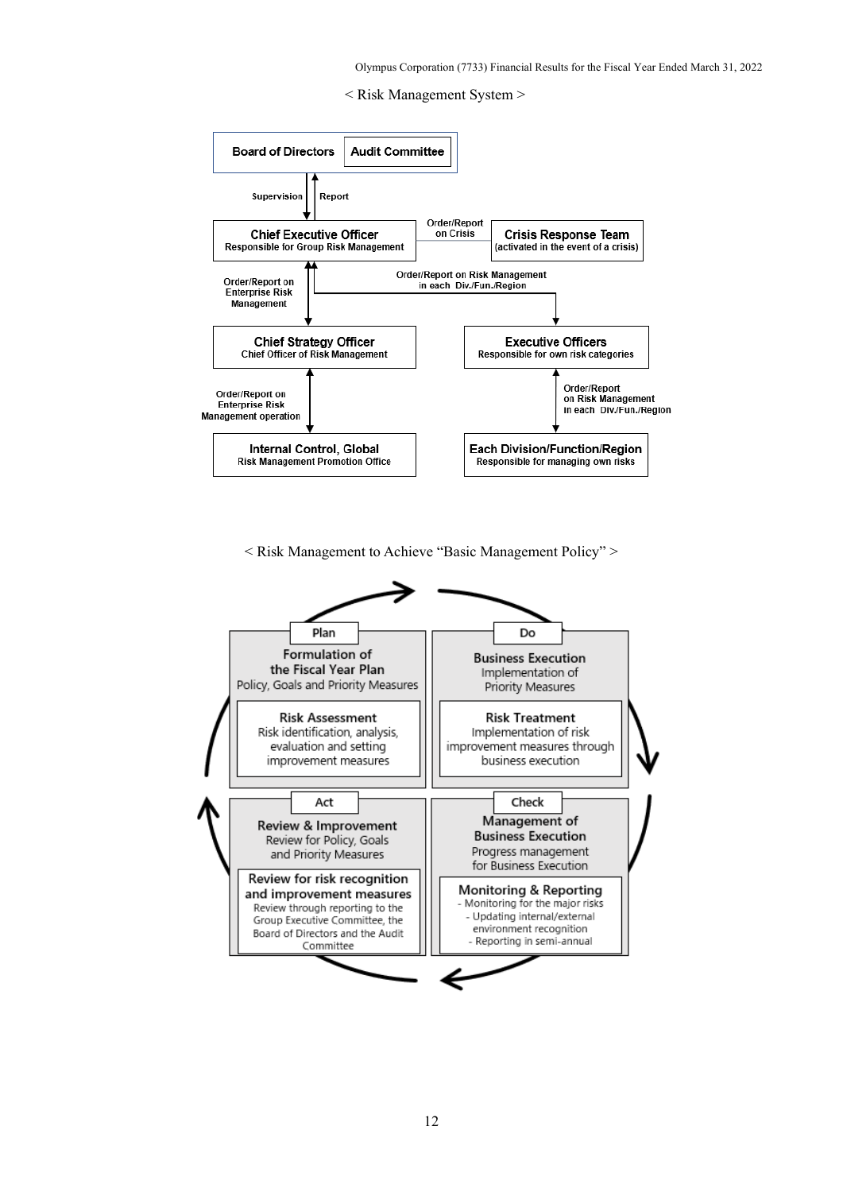



< Risk Management to Achieve "Basic Management Policy" >

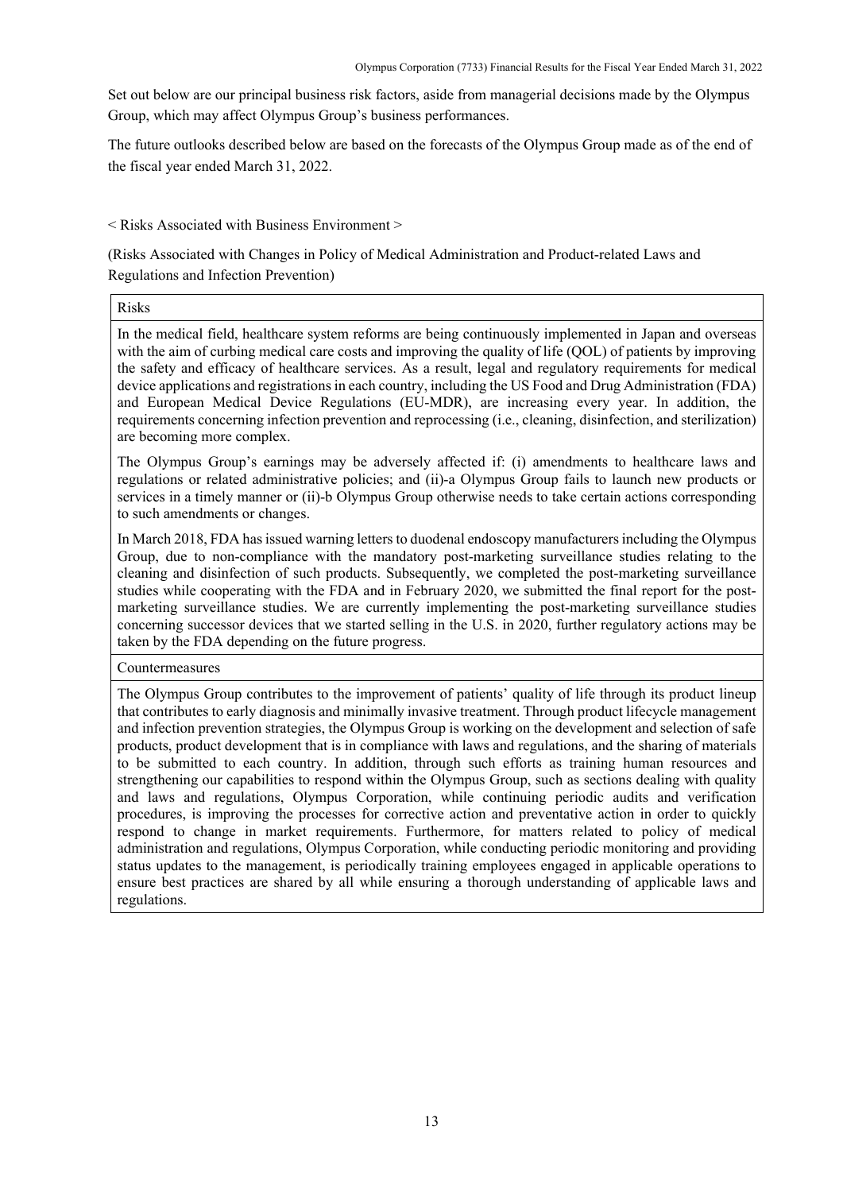Set out below are our principal business risk factors, aside from managerial decisions made by the Olympus Group, which may affect Olympus Group's business performances.

The future outlooks described below are based on the forecasts of the Olympus Group made as of the end of the fiscal year ended March 31, 2022.

## < Risks Associated with Business Environment >

(Risks Associated with Changes in Policy of Medical Administration and Product-related Laws and Regulations and Infection Prevention)

Risks

In the medical field, healthcare system reforms are being continuously implemented in Japan and overseas with the aim of curbing medical care costs and improving the quality of life (QOL) of patients by improving the safety and efficacy of healthcare services. As a result, legal and regulatory requirements for medical device applications and registrations in each country, including the US Food and Drug Administration (FDA) and European Medical Device Regulations (EU-MDR), are increasing every year. In addition, the requirements concerning infection prevention and reprocessing (i.e., cleaning, disinfection, and sterilization) are becoming more complex.

The Olympus Group's earnings may be adversely affected if: (i) amendments to healthcare laws and regulations or related administrative policies; and (ii)-a Olympus Group fails to launch new products or services in a timely manner or (ii)-b Olympus Group otherwise needs to take certain actions corresponding to such amendments or changes.

In March 2018, FDA has issued warning letters to duodenal endoscopy manufacturers including the Olympus Group, due to non-compliance with the mandatory post-marketing surveillance studies relating to the cleaning and disinfection of such products. Subsequently, we completed the post-marketing surveillance studies while cooperating with the FDA and in February 2020, we submitted the final report for the postmarketing surveillance studies. We are currently implementing the post-marketing surveillance studies concerning successor devices that we started selling in the U.S. in 2020, further regulatory actions may be taken by the FDA depending on the future progress.

Countermeasures

The Olympus Group contributes to the improvement of patients' quality of life through its product lineup that contributes to early diagnosis and minimally invasive treatment. Through product lifecycle management and infection prevention strategies, the Olympus Group is working on the development and selection of safe products, product development that is in compliance with laws and regulations, and the sharing of materials to be submitted to each country. In addition, through such efforts as training human resources and strengthening our capabilities to respond within the Olympus Group, such as sections dealing with quality and laws and regulations, Olympus Corporation, while continuing periodic audits and verification procedures, is improving the processes for corrective action and preventative action in order to quickly respond to change in market requirements. Furthermore, for matters related to policy of medical administration and regulations, Olympus Corporation, while conducting periodic monitoring and providing status updates to the management, is periodically training employees engaged in applicable operations to ensure best practices are shared by all while ensuring a thorough understanding of applicable laws and regulations.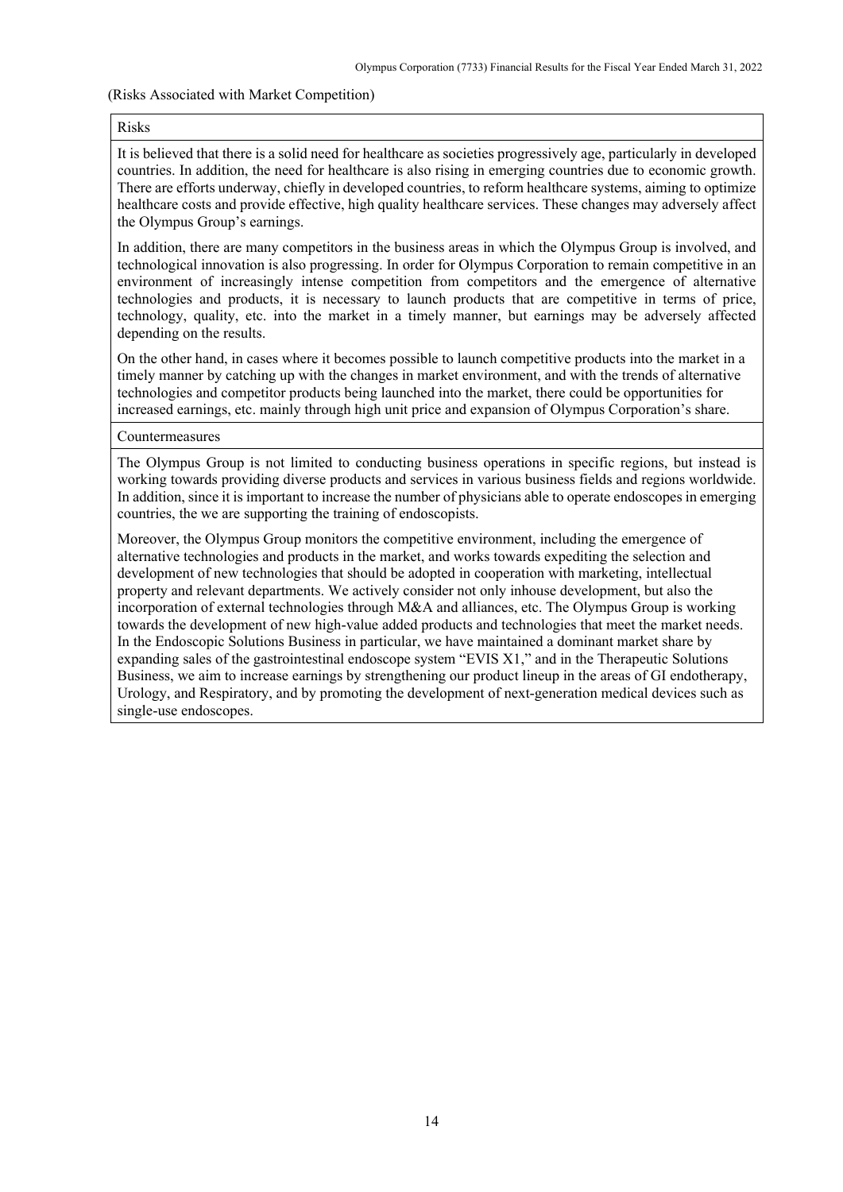#### (Risks Associated with Market Competition)

#### Risks

It is believed that there is a solid need for healthcare as societies progressively age, particularly in developed countries. In addition, the need for healthcare is also rising in emerging countries due to economic growth. There are efforts underway, chiefly in developed countries, to reform healthcare systems, aiming to optimize healthcare costs and provide effective, high quality healthcare services. These changes may adversely affect the Olympus Group's earnings.

In addition, there are many competitors in the business areas in which the Olympus Group is involved, and technological innovation is also progressing. In order for Olympus Corporation to remain competitive in an environment of increasingly intense competition from competitors and the emergence of alternative technologies and products, it is necessary to launch products that are competitive in terms of price, technology, quality, etc. into the market in a timely manner, but earnings may be adversely affected depending on the results.

On the other hand, in cases where it becomes possible to launch competitive products into the market in a timely manner by catching up with the changes in market environment, and with the trends of alternative technologies and competitor products being launched into the market, there could be opportunities for increased earnings, etc. mainly through high unit price and expansion of Olympus Corporation's share.

#### Countermeasures

The Olympus Group is not limited to conducting business operations in specific regions, but instead is working towards providing diverse products and services in various business fields and regions worldwide. In addition, since it is important to increase the number of physicians able to operate endoscopes in emerging countries, the we are supporting the training of endoscopists.

Moreover, the Olympus Group monitors the competitive environment, including the emergence of alternative technologies and products in the market, and works towards expediting the selection and development of new technologies that should be adopted in cooperation with marketing, intellectual property and relevant departments. We actively consider not only inhouse development, but also the incorporation of external technologies through M&A and alliances, etc. The Olympus Group is working towards the development of new high-value added products and technologies that meet the market needs. In the Endoscopic Solutions Business in particular, we have maintained a dominant market share by expanding sales of the gastrointestinal endoscope system "EVIS X1," and in the Therapeutic Solutions Business, we aim to increase earnings by strengthening our product lineup in the areas of GI endotherapy, Urology, and Respiratory, and by promoting the development of next-generation medical devices such as single-use endoscopes.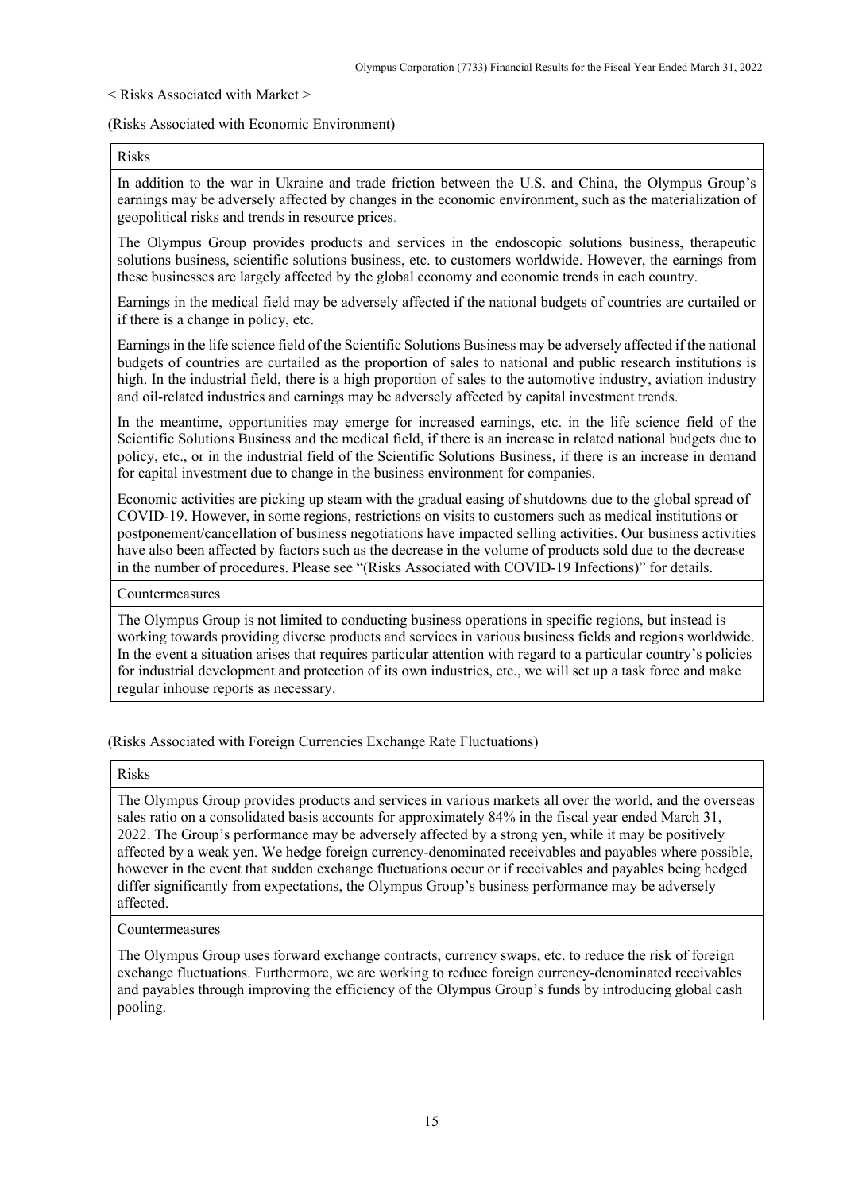< Risks Associated with Market >

(Risks Associated with Economic Environment)

Risks

In addition to the war in Ukraine and trade friction between the U.S. and China, the Olympus Group's earnings may be adversely affected by changes in the economic environment, such as the materialization of geopolitical risks and trends in resource prices.

The Olympus Group provides products and services in the endoscopic solutions business, therapeutic solutions business, scientific solutions business, etc. to customers worldwide. However, the earnings from these businesses are largely affected by the global economy and economic trends in each country.

Earnings in the medical field may be adversely affected if the national budgets of countries are curtailed or if there is a change in policy, etc.

Earnings in the life science field of the Scientific Solutions Business may be adversely affected if the national budgets of countries are curtailed as the proportion of sales to national and public research institutions is high. In the industrial field, there is a high proportion of sales to the automotive industry, aviation industry and oil-related industries and earnings may be adversely affected by capital investment trends.

In the meantime, opportunities may emerge for increased earnings, etc. in the life science field of the Scientific Solutions Business and the medical field, if there is an increase in related national budgets due to policy, etc., or in the industrial field of the Scientific Solutions Business, if there is an increase in demand for capital investment due to change in the business environment for companies.

Economic activities are picking up steam with the gradual easing of shutdowns due to the global spread of COVID-19. However, in some regions, restrictions on visits to customers such as medical institutions or postponement/cancellation of business negotiations have impacted selling activities. Our business activities have also been affected by factors such as the decrease in the volume of products sold due to the decrease in the number of procedures. Please see "(Risks Associated with COVID-19 Infections)" for details.

Countermeasures

The Olympus Group is not limited to conducting business operations in specific regions, but instead is working towards providing diverse products and services in various business fields and regions worldwide. In the event a situation arises that requires particular attention with regard to a particular country's policies for industrial development and protection of its own industries, etc., we will set up a task force and make regular inhouse reports as necessary.

(Risks Associated with Foreign Currencies Exchange Rate Fluctuations)

Risks

The Olympus Group provides products and services in various markets all over the world, and the overseas sales ratio on a consolidated basis accounts for approximately 84% in the fiscal year ended March 31, 2022. The Group's performance may be adversely affected by a strong yen, while it may be positively affected by a weak yen. We hedge foreign currency-denominated receivables and payables where possible, however in the event that sudden exchange fluctuations occur or if receivables and payables being hedged differ significantly from expectations, the Olympus Group's business performance may be adversely affected.

#### Countermeasures

The Olympus Group uses forward exchange contracts, currency swaps, etc. to reduce the risk of foreign exchange fluctuations. Furthermore, we are working to reduce foreign currency-denominated receivables and payables through improving the efficiency of the Olympus Group's funds by introducing global cash pooling.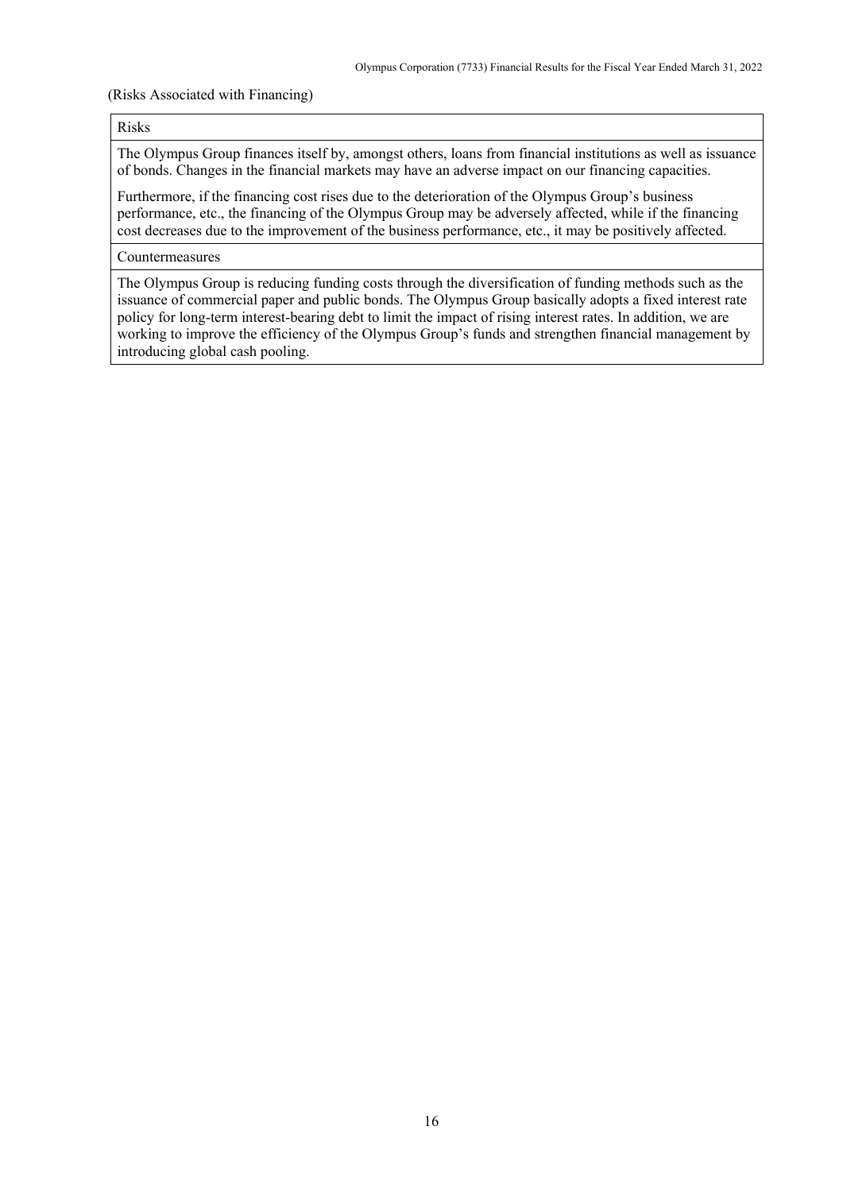#### (Risks Associated with Financing)

#### Risks

The Olympus Group finances itself by, amongst others, loans from financial institutions as well as issuance of bonds. Changes in the financial markets may have an adverse impact on our financing capacities.

Furthermore, if the financing cost rises due to the deterioration of the Olympus Group's business performance, etc., the financing of the Olympus Group may be adversely affected, while if the financing cost decreases due to the improvement of the business performance, etc., it may be positively affected.

## Countermeasures

The Olympus Group is reducing funding costs through the diversification of funding methods such as the issuance of commercial paper and public bonds. The Olympus Group basically adopts a fixed interest rate policy for long-term interest-bearing debt to limit the impact of rising interest rates. In addition, we are working to improve the efficiency of the Olympus Group's funds and strengthen financial management by introducing global cash pooling.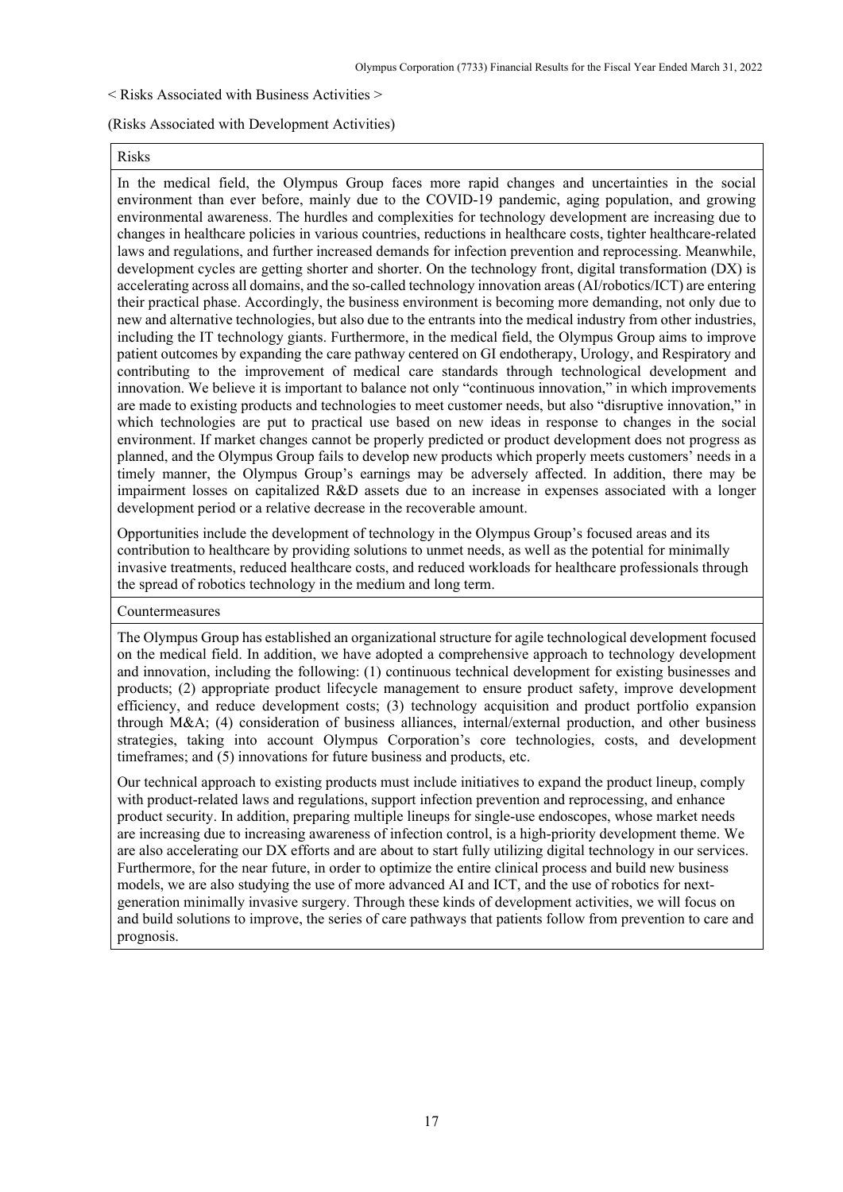#### < Risks Associated with Business Activities >

#### (Risks Associated with Development Activities)

#### Risks

In the medical field, the Olympus Group faces more rapid changes and uncertainties in the social environment than ever before, mainly due to the COVID-19 pandemic, aging population, and growing environmental awareness. The hurdles and complexities for technology development are increasing due to changes in healthcare policies in various countries, reductions in healthcare costs, tighter healthcare-related laws and regulations, and further increased demands for infection prevention and reprocessing. Meanwhile, development cycles are getting shorter and shorter. On the technology front, digital transformation (DX) is accelerating across all domains, and the so-called technology innovation areas (AI/robotics/ICT) are entering their practical phase. Accordingly, the business environment is becoming more demanding, not only due to new and alternative technologies, but also due to the entrants into the medical industry from other industries, including the IT technology giants. Furthermore, in the medical field, the Olympus Group aims to improve patient outcomes by expanding the care pathway centered on GI endotherapy, Urology, and Respiratory and contributing to the improvement of medical care standards through technological development and innovation. We believe it is important to balance not only "continuous innovation," in which improvements are made to existing products and technologies to meet customer needs, but also "disruptive innovation," in which technologies are put to practical use based on new ideas in response to changes in the social environment. If market changes cannot be properly predicted or product development does not progress as planned, and the Olympus Group fails to develop new products which properly meets customers' needs in a timely manner, the Olympus Group's earnings may be adversely affected. In addition, there may be impairment losses on capitalized R&D assets due to an increase in expenses associated with a longer development period or a relative decrease in the recoverable amount.

Opportunities include the development of technology in the Olympus Group's focused areas and its contribution to healthcare by providing solutions to unmet needs, as well as the potential for minimally invasive treatments, reduced healthcare costs, and reduced workloads for healthcare professionals through the spread of robotics technology in the medium and long term.

#### Countermeasures

The Olympus Group has established an organizational structure for agile technological development focused on the medical field. In addition, we have adopted a comprehensive approach to technology development and innovation, including the following: (1) continuous technical development for existing businesses and products; (2) appropriate product lifecycle management to ensure product safety, improve development efficiency, and reduce development costs; (3) technology acquisition and product portfolio expansion through M&A; (4) consideration of business alliances, internal/external production, and other business strategies, taking into account Olympus Corporation's core technologies, costs, and development timeframes; and (5) innovations for future business and products, etc.

Our technical approach to existing products must include initiatives to expand the product lineup, comply with product-related laws and regulations, support infection prevention and reprocessing, and enhance product security. In addition, preparing multiple lineups for single-use endoscopes, whose market needs are increasing due to increasing awareness of infection control, is a high-priority development theme. We are also accelerating our DX efforts and are about to start fully utilizing digital technology in our services. Furthermore, for the near future, in order to optimize the entire clinical process and build new business models, we are also studying the use of more advanced AI and ICT, and the use of robotics for nextgeneration minimally invasive surgery. Through these kinds of development activities, we will focus on and build solutions to improve, the series of care pathways that patients follow from prevention to care and prognosis.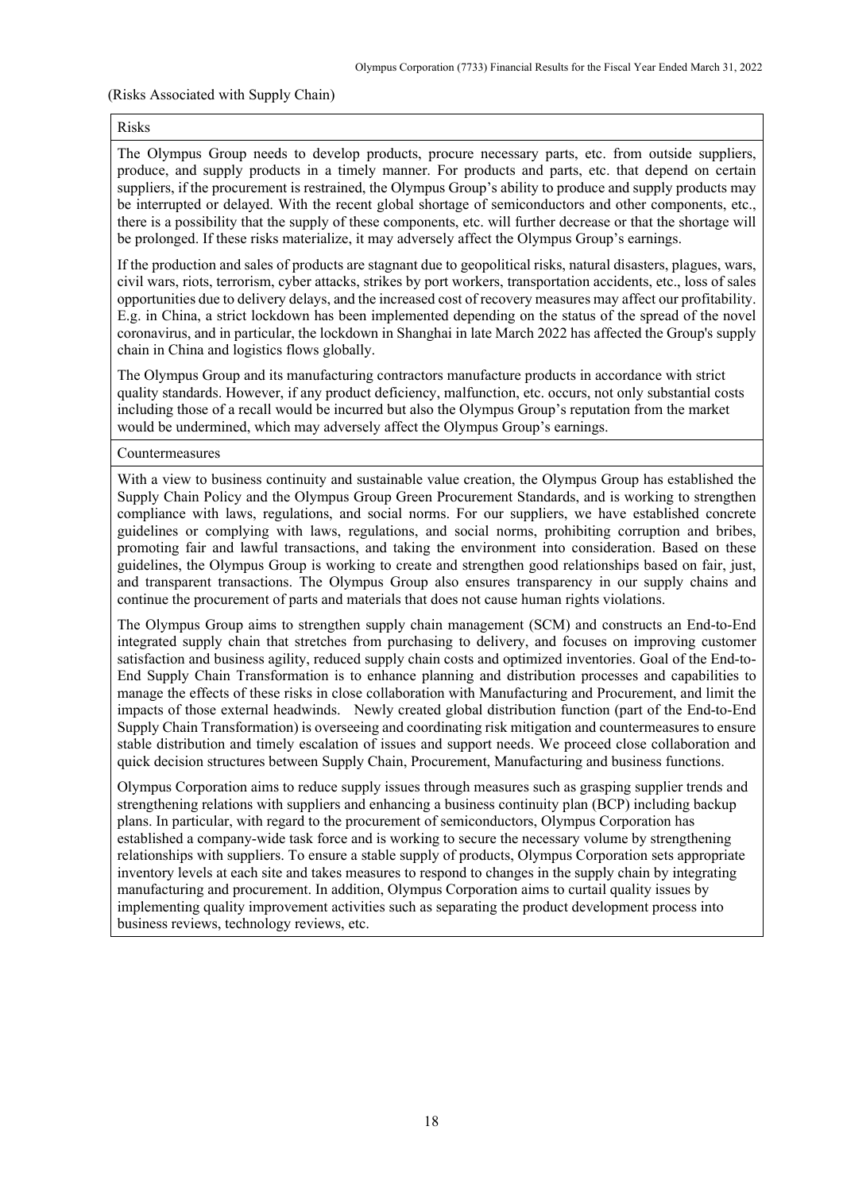#### (Risks Associated with Supply Chain)

#### Risks

The Olympus Group needs to develop products, procure necessary parts, etc. from outside suppliers, produce, and supply products in a timely manner. For products and parts, etc. that depend on certain suppliers, if the procurement is restrained, the Olympus Group's ability to produce and supply products may be interrupted or delayed. With the recent global shortage of semiconductors and other components, etc., there is a possibility that the supply of these components, etc. will further decrease or that the shortage will be prolonged. If these risks materialize, it may adversely affect the Olympus Group's earnings.

If the production and sales of products are stagnant due to geopolitical risks, natural disasters, plagues, wars, civil wars, riots, terrorism, cyber attacks, strikes by port workers, transportation accidents, etc., loss of sales opportunities due to delivery delays, and the increased cost of recovery measures may affect our profitability. E.g. in China, a strict lockdown has been implemented depending on the status of the spread of the novel coronavirus, and in particular, the lockdown in Shanghai in late March 2022 has affected the Group's supply chain in China and logistics flows globally.

The Olympus Group and its manufacturing contractors manufacture products in accordance with strict quality standards. However, if any product deficiency, malfunction, etc. occurs, not only substantial costs including those of a recall would be incurred but also the Olympus Group's reputation from the market would be undermined, which may adversely affect the Olympus Group's earnings.

#### Countermeasures

With a view to business continuity and sustainable value creation, the Olympus Group has established the Supply Chain Policy and the Olympus Group Green Procurement Standards, and is working to strengthen compliance with laws, regulations, and social norms. For our suppliers, we have established concrete guidelines or complying with laws, regulations, and social norms, prohibiting corruption and bribes, promoting fair and lawful transactions, and taking the environment into consideration. Based on these guidelines, the Olympus Group is working to create and strengthen good relationships based on fair, just, and transparent transactions. The Olympus Group also ensures transparency in our supply chains and continue the procurement of parts and materials that does not cause human rights violations.

The Olympus Group aims to strengthen supply chain management (SCM) and constructs an End-to-End integrated supply chain that stretches from purchasing to delivery, and focuses on improving customer satisfaction and business agility, reduced supply chain costs and optimized inventories. Goal of the End-to-End Supply Chain Transformation is to enhance planning and distribution processes and capabilities to manage the effects of these risks in close collaboration with Manufacturing and Procurement, and limit the impacts of those external headwinds. Newly created global distribution function (part of the End-to-End Supply Chain Transformation) is overseeing and coordinating risk mitigation and countermeasures to ensure stable distribution and timely escalation of issues and support needs. We proceed close collaboration and quick decision structures between Supply Chain, Procurement, Manufacturing and business functions.

Olympus Corporation aims to reduce supply issues through measures such as grasping supplier trends and strengthening relations with suppliers and enhancing a business continuity plan (BCP) including backup plans. In particular, with regard to the procurement of semiconductors, Olympus Corporation has established a company-wide task force and is working to secure the necessary volume by strengthening relationships with suppliers. To ensure a stable supply of products, Olympus Corporation sets appropriate inventory levels at each site and takes measures to respond to changes in the supply chain by integrating manufacturing and procurement. In addition, Olympus Corporation aims to curtail quality issues by implementing quality improvement activities such as separating the product development process into business reviews, technology reviews, etc.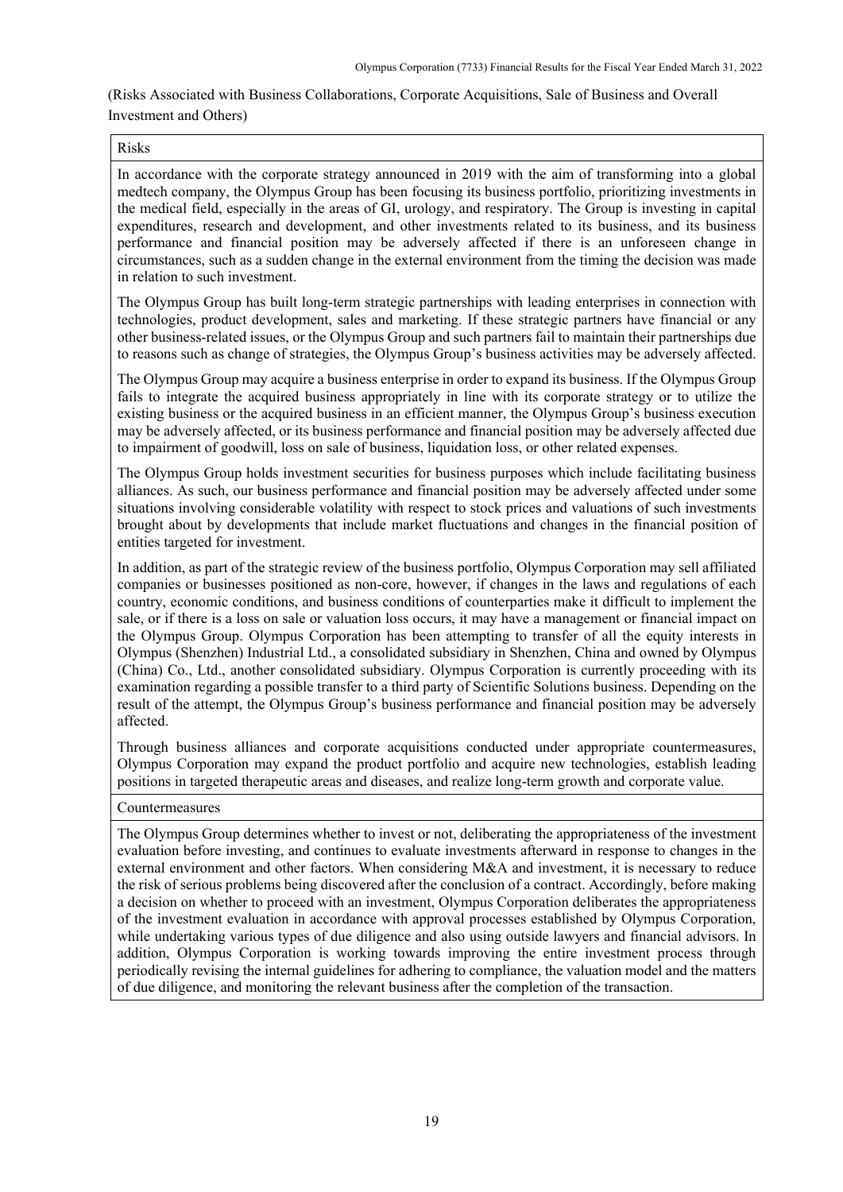# (Risks Associated with Business Collaborations, Corporate Acquisitions, Sale of Business and Overall Investment and Others)

# Risks

In accordance with the corporate strategy announced in 2019 with the aim of transforming into a global medtech company, the Olympus Group has been focusing its business portfolio, prioritizing investments in the medical field, especially in the areas of GI, urology, and respiratory. The Group is investing in capital expenditures, research and development, and other investments related to its business, and its business performance and financial position may be adversely affected if there is an unforeseen change in circumstances, such as a sudden change in the external environment from the timing the decision was made in relation to such investment.

The Olympus Group has built long-term strategic partnerships with leading enterprises in connection with technologies, product development, sales and marketing. If these strategic partners have financial or any other business-related issues, or the Olympus Group and such partners fail to maintain their partnerships due to reasons such as change of strategies, the Olympus Group's business activities may be adversely affected.

The Olympus Group may acquire a business enterprise in order to expand its business. If the Olympus Group fails to integrate the acquired business appropriately in line with its corporate strategy or to utilize the existing business or the acquired business in an efficient manner, the Olympus Group's business execution may be adversely affected, or its business performance and financial position may be adversely affected due to impairment of goodwill, loss on sale of business, liquidation loss, or other related expenses.

The Olympus Group holds investment securities for business purposes which include facilitating business alliances. As such, our business performance and financial position may be adversely affected under some situations involving considerable volatility with respect to stock prices and valuations of such investments brought about by developments that include market fluctuations and changes in the financial position of entities targeted for investment.

In addition, as part of the strategic review of the business portfolio, Olympus Corporation may sell affiliated companies or businesses positioned as non-core, however, if changes in the laws and regulations of each country, economic conditions, and business conditions of counterparties make it difficult to implement the sale, or if there is a loss on sale or valuation loss occurs, it may have a management or financial impact on the Olympus Group. Olympus Corporation has been attempting to transfer of all the equity interests in Olympus (Shenzhen) Industrial Ltd., a consolidated subsidiary in Shenzhen, China and owned by Olympus (China) Co., Ltd., another consolidated subsidiary. Olympus Corporation is currently proceeding with its examination regarding a possible transfer to a third party of Scientific Solutions business. Depending on the result of the attempt, the Olympus Group's business performance and financial position may be adversely affected.

Through business alliances and corporate acquisitions conducted under appropriate countermeasures, Olympus Corporation may expand the product portfolio and acquire new technologies, establish leading positions in targeted therapeutic areas and diseases, and realize long-term growth and corporate value.

# Countermeasures

The Olympus Group determines whether to invest or not, deliberating the appropriateness of the investment evaluation before investing, and continues to evaluate investments afterward in response to changes in the external environment and other factors. When considering M&A and investment, it is necessary to reduce the risk of serious problems being discovered after the conclusion of a contract. Accordingly, before making a decision on whether to proceed with an investment, Olympus Corporation deliberates the appropriateness of the investment evaluation in accordance with approval processes established by Olympus Corporation, while undertaking various types of due diligence and also using outside lawyers and financial advisors. In addition, Olympus Corporation is working towards improving the entire investment process through periodically revising the internal guidelines for adhering to compliance, the valuation model and the matters of due diligence, and monitoring the relevant business after the completion of the transaction.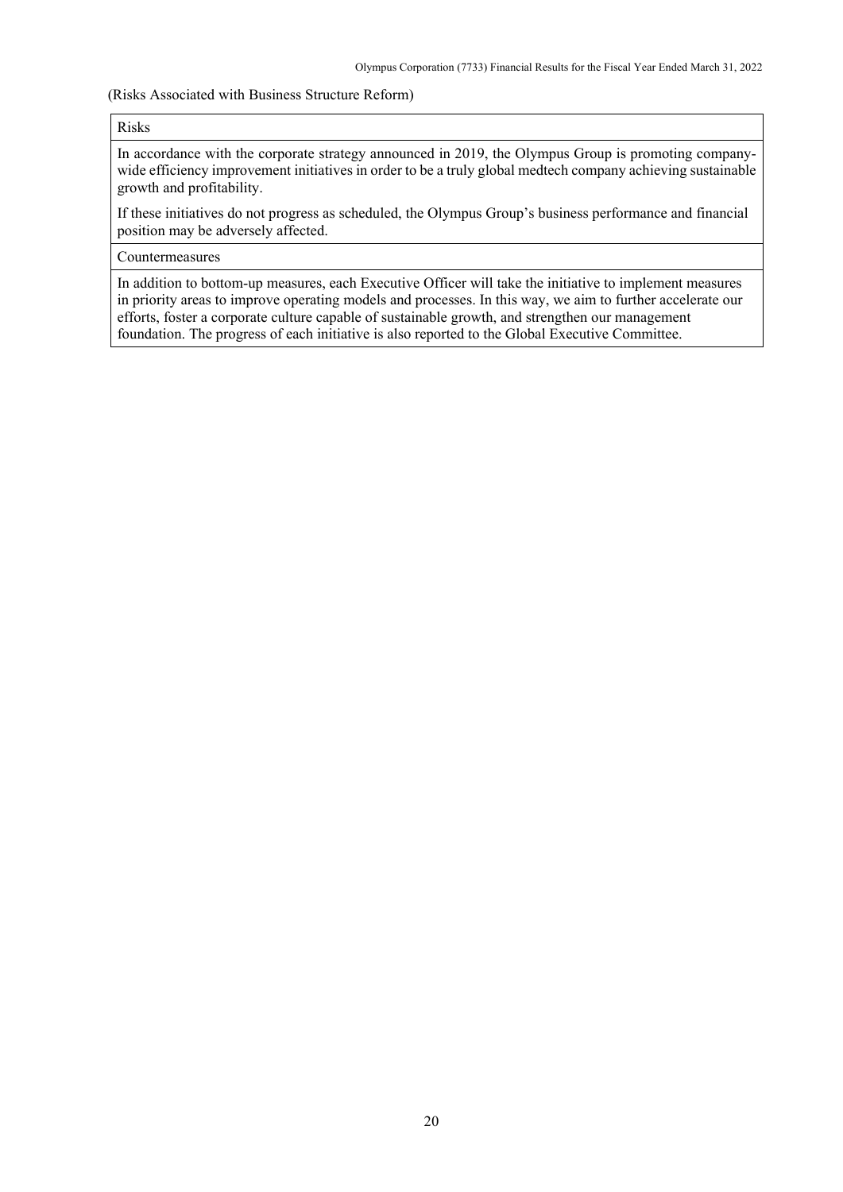#### (Risks Associated with Business Structure Reform)

#### Risks

In accordance with the corporate strategy announced in 2019, the Olympus Group is promoting companywide efficiency improvement initiatives in order to be a truly global medtech company achieving sustainable growth and profitability.

If these initiatives do not progress as scheduled, the Olympus Group's business performance and financial position may be adversely affected.

#### Countermeasures

In addition to bottom-up measures, each Executive Officer will take the initiative to implement measures in priority areas to improve operating models and processes. In this way, we aim to further accelerate our efforts, foster a corporate culture capable of sustainable growth, and strengthen our management foundation. The progress of each initiative is also reported to the Global Executive Committee.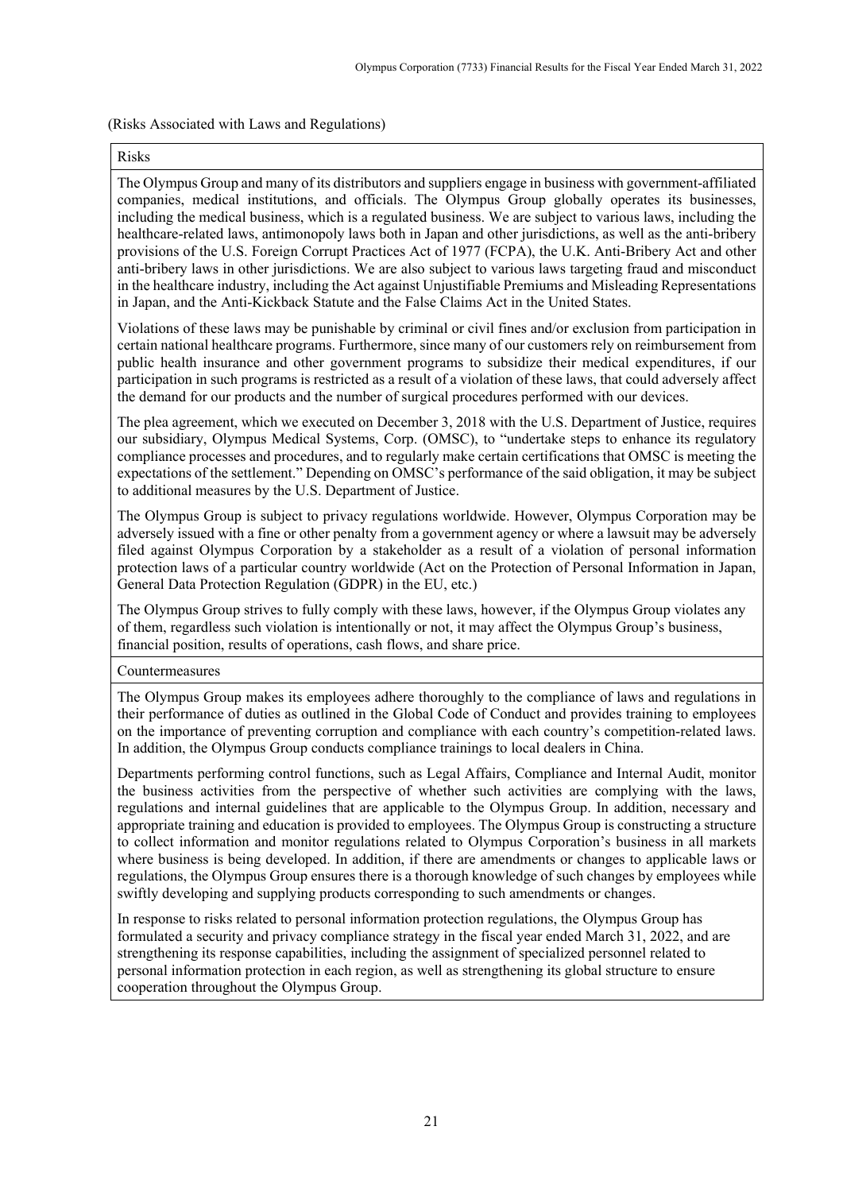# (Risks Associated with Laws and Regulations)

#### Risks

The Olympus Group and many of its distributors and suppliers engage in business with government-affiliated companies, medical institutions, and officials. The Olympus Group globally operates its businesses, including the medical business, which is a regulated business. We are subject to various laws, including the healthcare-related laws, antimonopoly laws both in Japan and other jurisdictions, as well as the anti-bribery provisions of the U.S. Foreign Corrupt Practices Act of 1977 (FCPA), the U.K. Anti-Bribery Act and other anti-bribery laws in other jurisdictions. We are also subject to various laws targeting fraud and misconduct in the healthcare industry, including the Act against Unjustifiable Premiums and Misleading Representations in Japan, and the Anti-Kickback Statute and the False Claims Act in the United States.

Violations of these laws may be punishable by criminal or civil fines and/or exclusion from participation in certain national healthcare programs. Furthermore, since many of our customers rely on reimbursement from public health insurance and other government programs to subsidize their medical expenditures, if our participation in such programs is restricted as a result of a violation of these laws, that could adversely affect the demand for our products and the number of surgical procedures performed with our devices.

The plea agreement, which we executed on December 3, 2018 with the U.S. Department of Justice, requires our subsidiary, Olympus Medical Systems, Corp. (OMSC), to "undertake steps to enhance its regulatory compliance processes and procedures, and to regularly make certain certifications that OMSC is meeting the expectations of the settlement." Depending on OMSC's performance of the said obligation, it may be subject to additional measures by the U.S. Department of Justice.

The Olympus Group is subject to privacy regulations worldwide. However, Olympus Corporation may be adversely issued with a fine or other penalty from a government agency or where a lawsuit may be adversely filed against Olympus Corporation by a stakeholder as a result of a violation of personal information protection laws of a particular country worldwide (Act on the Protection of Personal Information in Japan, General Data Protection Regulation (GDPR) in the EU, etc.)

The Olympus Group strives to fully comply with these laws, however, if the Olympus Group violates any of them, regardless such violation is intentionally or not, it may affect the Olympus Group's business, financial position, results of operations, cash flows, and share price.

Countermeasures

The Olympus Group makes its employees adhere thoroughly to the compliance of laws and regulations in their performance of duties as outlined in the Global Code of Conduct and provides training to employees on the importance of preventing corruption and compliance with each country's competition-related laws. In addition, the Olympus Group conducts compliance trainings to local dealers in China.

Departments performing control functions, such as Legal Affairs, Compliance and Internal Audit, monitor the business activities from the perspective of whether such activities are complying with the laws, regulations and internal guidelines that are applicable to the Olympus Group. In addition, necessary and appropriate training and education is provided to employees. The Olympus Group is constructing a structure to collect information and monitor regulations related to Olympus Corporation's business in all markets where business is being developed. In addition, if there are amendments or changes to applicable laws or regulations, the Olympus Group ensures there is a thorough knowledge of such changes by employees while swiftly developing and supplying products corresponding to such amendments or changes.

In response to risks related to personal information protection regulations, the Olympus Group has formulated a security and privacy compliance strategy in the fiscal year ended March 31, 2022, and are strengthening its response capabilities, including the assignment of specialized personnel related to personal information protection in each region, as well as strengthening its global structure to ensure cooperation throughout the Olympus Group.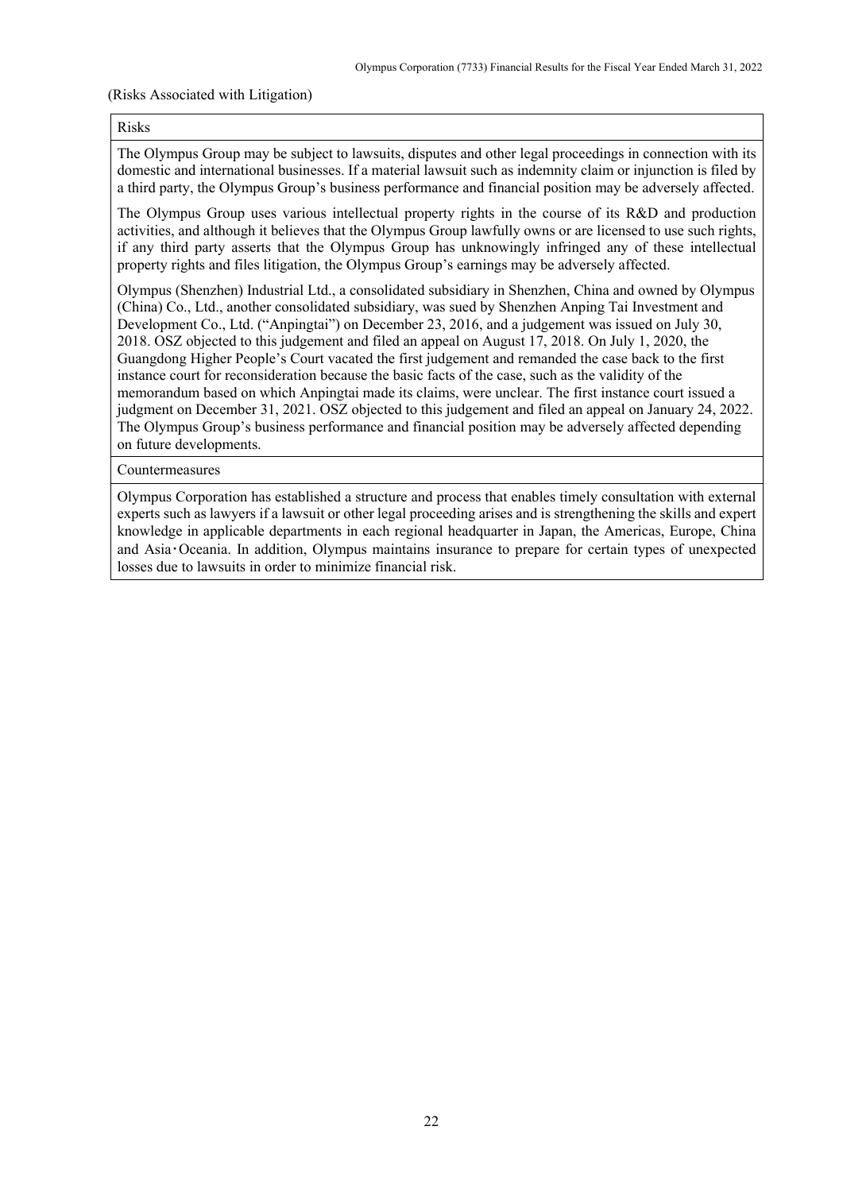#### (Risks Associated with Litigation)

#### Risks

The Olympus Group may be subject to lawsuits, disputes and other legal proceedings in connection with its domestic and international businesses. If a material lawsuit such as indemnity claim or injunction is filed by a third party, the Olympus Group's business performance and financial position may be adversely affected.

The Olympus Group uses various intellectual property rights in the course of its R&D and production activities, and although it believes that the Olympus Group lawfully owns or are licensed to use such rights, if any third party asserts that the Olympus Group has unknowingly infringed any of these intellectual property rights and files litigation, the Olympus Group's earnings may be adversely affected.

Olympus (Shenzhen) Industrial Ltd., a consolidated subsidiary in Shenzhen, China and owned by Olympus (China) Co., Ltd., another consolidated subsidiary, was sued by Shenzhen Anping Tai Investment and Development Co., Ltd. ("Anpingtai") on December 23, 2016, and a judgement was issued on July 30, 2018. OSZ objected to this judgement and filed an appeal on August 17, 2018. On July 1, 2020, the Guangdong Higher People's Court vacated the first judgement and remanded the case back to the first instance court for reconsideration because the basic facts of the case, such as the validity of the memorandum based on which Anpingtai made its claims, were unclear. The first instance court issued a judgment on December 31, 2021. OSZ objected to this judgement and filed an appeal on January 24, 2022. The Olympus Group's business performance and financial position may be adversely affected depending on future developments.

Countermeasures

Olympus Corporation has established a structure and process that enables timely consultation with external experts such as lawyers if a lawsuit or other legal proceeding arises and is strengthening the skills and expert knowledge in applicable departments in each regional headquarter in Japan, the Americas, Europe, China and Asia・Oceania. In addition, Olympus maintains insurance to prepare for certain types of unexpected losses due to lawsuits in order to minimize financial risk.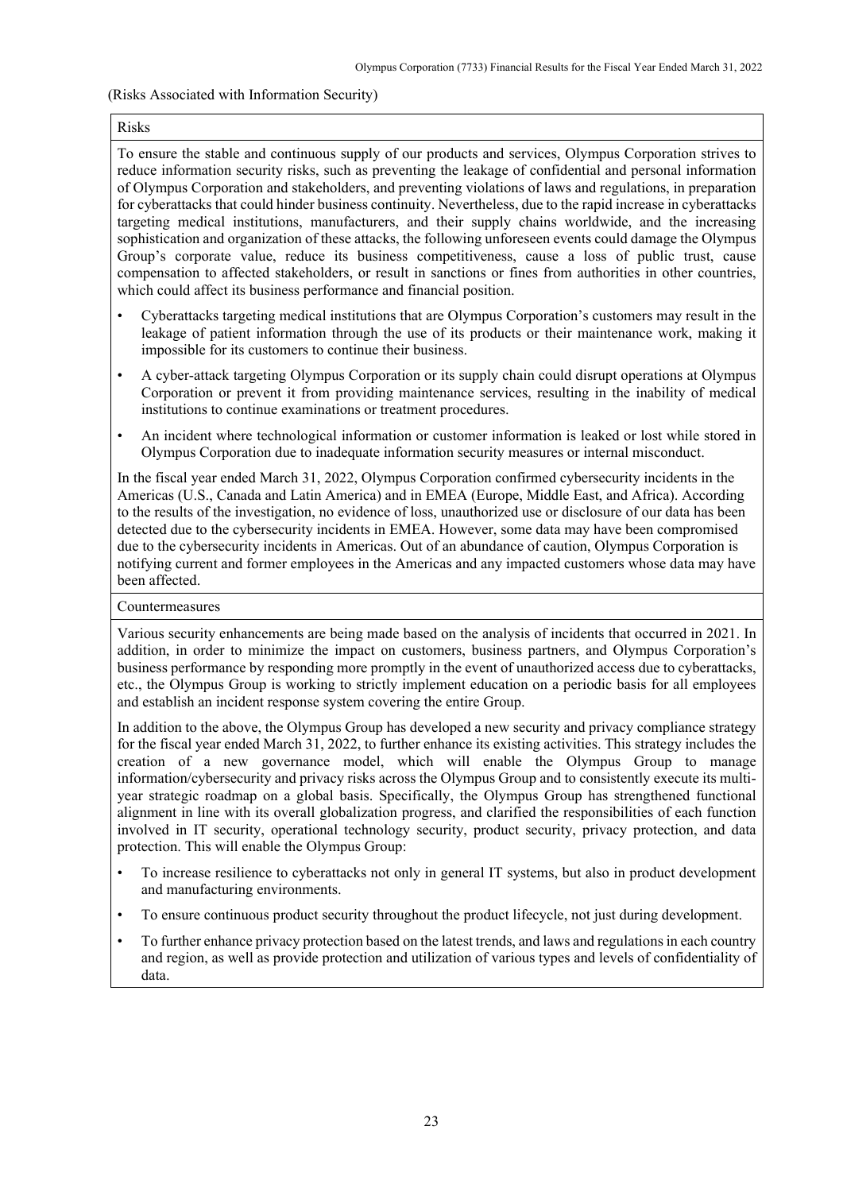## (Risks Associated with Information Security)

#### Risks

To ensure the stable and continuous supply of our products and services, Olympus Corporation strives to reduce information security risks, such as preventing the leakage of confidential and personal information of Olympus Corporation and stakeholders, and preventing violations of laws and regulations, in preparation for cyberattacks that could hinder business continuity. Nevertheless, due to the rapid increase in cyberattacks targeting medical institutions, manufacturers, and their supply chains worldwide, and the increasing sophistication and organization of these attacks, the following unforeseen events could damage the Olympus Group's corporate value, reduce its business competitiveness, cause a loss of public trust, cause compensation to affected stakeholders, or result in sanctions or fines from authorities in other countries, which could affect its business performance and financial position.

- Cyberattacks targeting medical institutions that are Olympus Corporation's customers may result in the leakage of patient information through the use of its products or their maintenance work, making it impossible for its customers to continue their business.
- A cyber-attack targeting Olympus Corporation or its supply chain could disrupt operations at Olympus Corporation or prevent it from providing maintenance services, resulting in the inability of medical institutions to continue examinations or treatment procedures.
- An incident where technological information or customer information is leaked or lost while stored in Olympus Corporation due to inadequate information security measures or internal misconduct.

In the fiscal year ended March 31, 2022, Olympus Corporation confirmed cybersecurity incidents in the Americas (U.S., Canada and Latin America) and in EMEA (Europe, Middle East, and Africa). According to the results of the investigation, no evidence of loss, unauthorized use or disclosure of our data has been detected due to the cybersecurity incidents in EMEA. However, some data may have been compromised due to the cybersecurity incidents in Americas. Out of an abundance of caution, Olympus Corporation is notifying current and former employees in the Americas and any impacted customers whose data may have been affected.

#### Countermeasures

Various security enhancements are being made based on the analysis of incidents that occurred in 2021. In addition, in order to minimize the impact on customers, business partners, and Olympus Corporation's business performance by responding more promptly in the event of unauthorized access due to cyberattacks, etc., the Olympus Group is working to strictly implement education on a periodic basis for all employees and establish an incident response system covering the entire Group.

In addition to the above, the Olympus Group has developed a new security and privacy compliance strategy for the fiscal year ended March 31, 2022, to further enhance its existing activities. This strategy includes the creation of a new governance model, which will enable the Olympus Group to manage information/cybersecurity and privacy risks across the Olympus Group and to consistently execute its multiyear strategic roadmap on a global basis. Specifically, the Olympus Group has strengthened functional alignment in line with its overall globalization progress, and clarified the responsibilities of each function involved in IT security, operational technology security, product security, privacy protection, and data protection. This will enable the Olympus Group:

- To increase resilience to cyberattacks not only in general IT systems, but also in product development and manufacturing environments.
- To ensure continuous product security throughout the product lifecycle, not just during development.
- To further enhance privacy protection based on the latest trends, and laws and regulations in each country and region, as well as provide protection and utilization of various types and levels of confidentiality of data.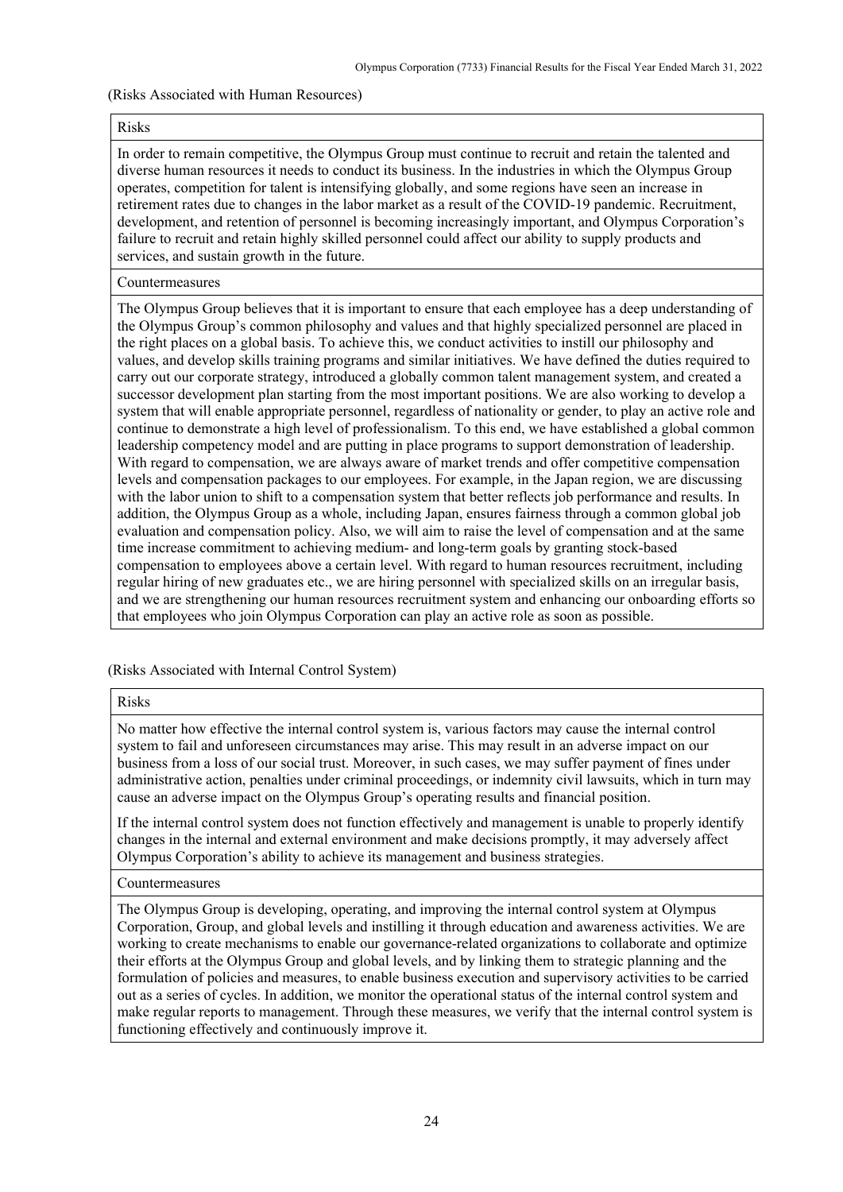#### (Risks Associated with Human Resources)

#### Risks

In order to remain competitive, the Olympus Group must continue to recruit and retain the talented and diverse human resources it needs to conduct its business. In the industries in which the Olympus Group operates, competition for talent is intensifying globally, and some regions have seen an increase in retirement rates due to changes in the labor market as a result of the COVID-19 pandemic. Recruitment, development, and retention of personnel is becoming increasingly important, and Olympus Corporation's failure to recruit and retain highly skilled personnel could affect our ability to supply products and services, and sustain growth in the future.

#### Countermeasures

The Olympus Group believes that it is important to ensure that each employee has a deep understanding of the Olympus Group's common philosophy and values and that highly specialized personnel are placed in the right places on a global basis. To achieve this, we conduct activities to instill our philosophy and values, and develop skills training programs and similar initiatives. We have defined the duties required to carry out our corporate strategy, introduced a globally common talent management system, and created a successor development plan starting from the most important positions. We are also working to develop a system that will enable appropriate personnel, regardless of nationality or gender, to play an active role and continue to demonstrate a high level of professionalism. To this end, we have established a global common leadership competency model and are putting in place programs to support demonstration of leadership. With regard to compensation, we are always aware of market trends and offer competitive compensation levels and compensation packages to our employees. For example, in the Japan region, we are discussing with the labor union to shift to a compensation system that better reflects job performance and results. In addition, the Olympus Group as a whole, including Japan, ensures fairness through a common global job evaluation and compensation policy. Also, we will aim to raise the level of compensation and at the same time increase commitment to achieving medium- and long-term goals by granting stock-based compensation to employees above a certain level. With regard to human resources recruitment, including regular hiring of new graduates etc., we are hiring personnel with specialized skills on an irregular basis, and we are strengthening our human resources recruitment system and enhancing our onboarding efforts so that employees who join Olympus Corporation can play an active role as soon as possible.

(Risks Associated with Internal Control System)

#### Risks

No matter how effective the internal control system is, various factors may cause the internal control system to fail and unforeseen circumstances may arise. This may result in an adverse impact on our business from a loss of our social trust. Moreover, in such cases, we may suffer payment of fines under administrative action, penalties under criminal proceedings, or indemnity civil lawsuits, which in turn may cause an adverse impact on the Olympus Group's operating results and financial position.

If the internal control system does not function effectively and management is unable to properly identify changes in the internal and external environment and make decisions promptly, it may adversely affect Olympus Corporation's ability to achieve its management and business strategies.

#### Countermeasures

The Olympus Group is developing, operating, and improving the internal control system at Olympus Corporation, Group, and global levels and instilling it through education and awareness activities. We are working to create mechanisms to enable our governance-related organizations to collaborate and optimize their efforts at the Olympus Group and global levels, and by linking them to strategic planning and the formulation of policies and measures, to enable business execution and supervisory activities to be carried out as a series of cycles. In addition, we monitor the operational status of the internal control system and make regular reports to management. Through these measures, we verify that the internal control system is functioning effectively and continuously improve it.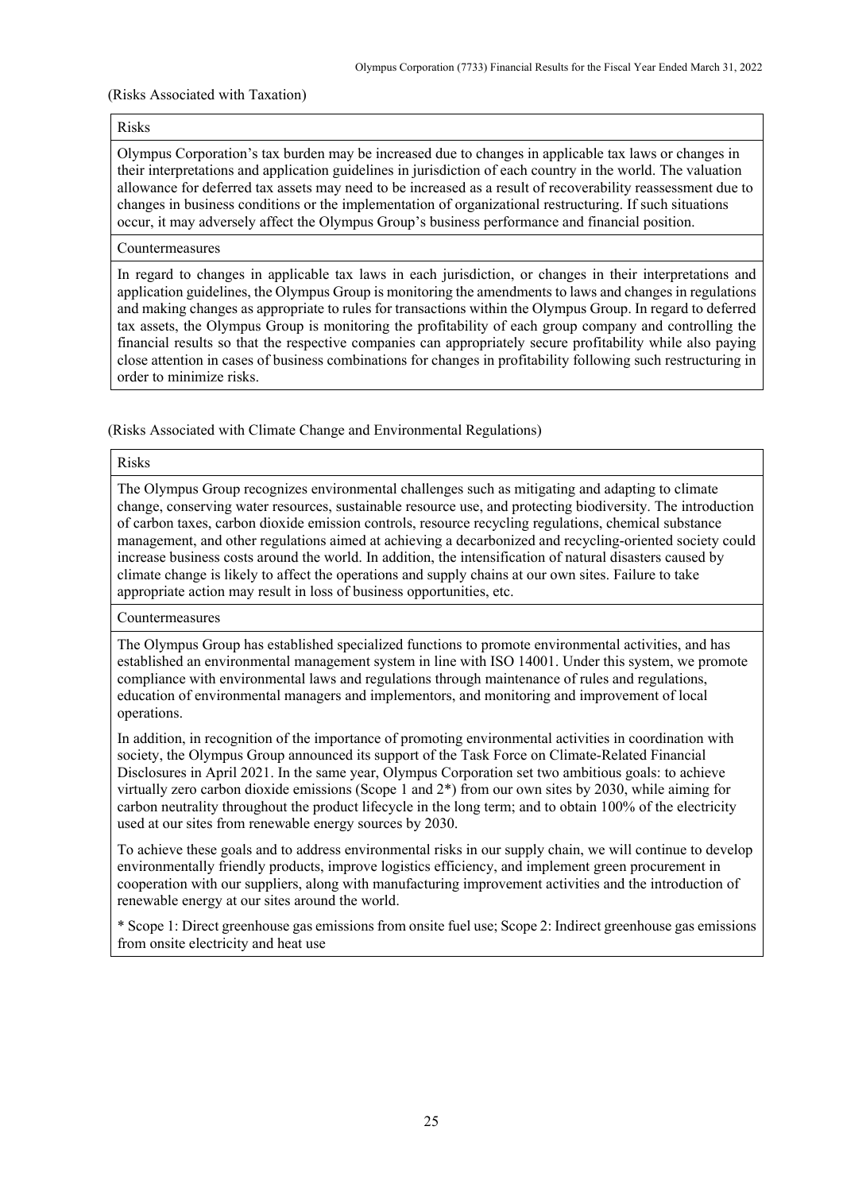### (Risks Associated with Taxation)

#### Risks

Olympus Corporation's tax burden may be increased due to changes in applicable tax laws or changes in their interpretations and application guidelines in jurisdiction of each country in the world. The valuation allowance for deferred tax assets may need to be increased as a result of recoverability reassessment due to changes in business conditions or the implementation of organizational restructuring. If such situations occur, it may adversely affect the Olympus Group's business performance and financial position.

# Countermeasures

In regard to changes in applicable tax laws in each jurisdiction, or changes in their interpretations and application guidelines, the Olympus Group is monitoring the amendments to laws and changes in regulations and making changes as appropriate to rules for transactions within the Olympus Group. In regard to deferred tax assets, the Olympus Group is monitoring the profitability of each group company and controlling the financial results so that the respective companies can appropriately secure profitability while also paying close attention in cases of business combinations for changes in profitability following such restructuring in order to minimize risks.

(Risks Associated with Climate Change and Environmental Regulations)

#### Risks

The Olympus Group recognizes environmental challenges such as mitigating and adapting to climate change, conserving water resources, sustainable resource use, and protecting biodiversity. The introduction of carbon taxes, carbon dioxide emission controls, resource recycling regulations, chemical substance management, and other regulations aimed at achieving a decarbonized and recycling-oriented society could increase business costs around the world. In addition, the intensification of natural disasters caused by climate change is likely to affect the operations and supply chains at our own sites. Failure to take appropriate action may result in loss of business opportunities, etc.

# Countermeasures

The Olympus Group has established specialized functions to promote environmental activities, and has established an environmental management system in line with ISO 14001. Under this system, we promote compliance with environmental laws and regulations through maintenance of rules and regulations, education of environmental managers and implementors, and monitoring and improvement of local operations.

In addition, in recognition of the importance of promoting environmental activities in coordination with society, the Olympus Group announced its support of the Task Force on Climate-Related Financial Disclosures in April 2021. In the same year, Olympus Corporation set two ambitious goals: to achieve virtually zero carbon dioxide emissions (Scope 1 and 2\*) from our own sites by 2030, while aiming for carbon neutrality throughout the product lifecycle in the long term; and to obtain 100% of the electricity used at our sites from renewable energy sources by 2030.

To achieve these goals and to address environmental risks in our supply chain, we will continue to develop environmentally friendly products, improve logistics efficiency, and implement green procurement in cooperation with our suppliers, along with manufacturing improvement activities and the introduction of renewable energy at our sites around the world.

\* Scope 1: Direct greenhouse gas emissions from onsite fuel use; Scope 2: Indirect greenhouse gas emissions from onsite electricity and heat use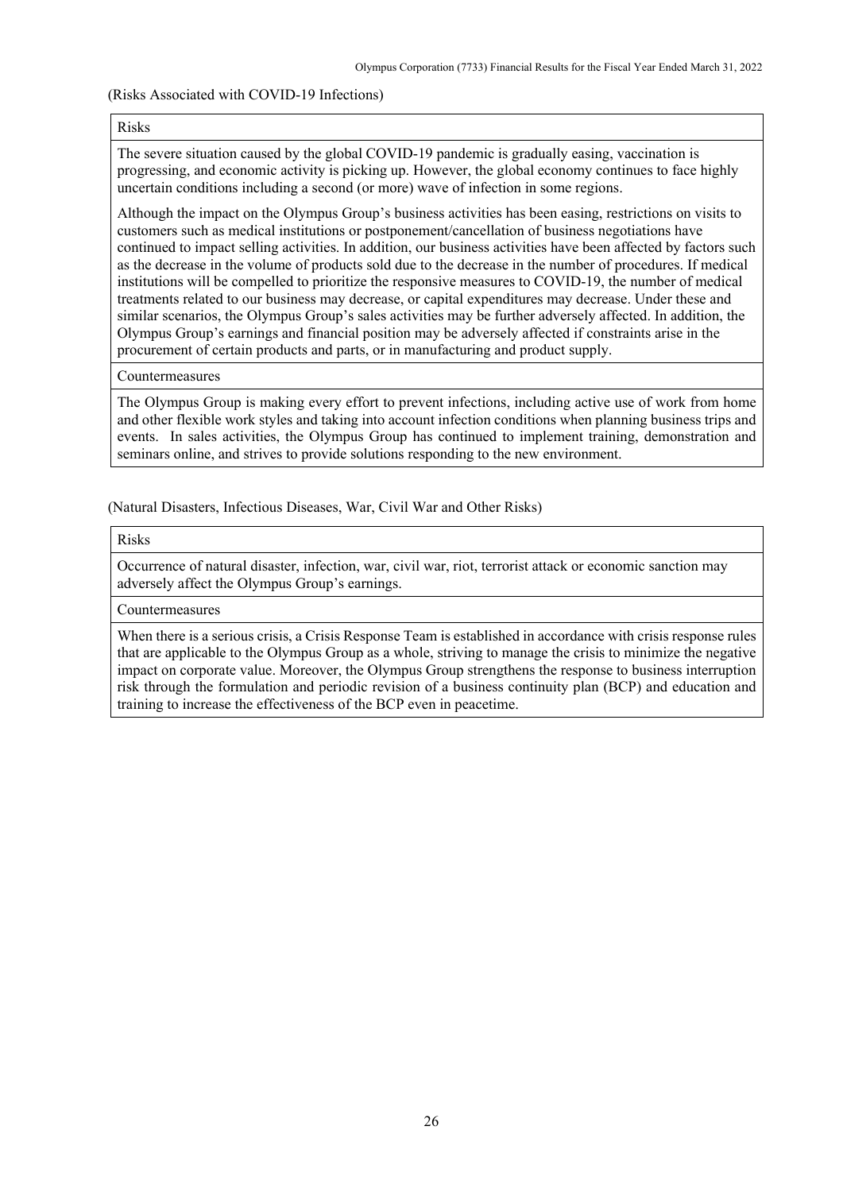## (Risks Associated with COVID-19 Infections)

#### Risks

The severe situation caused by the global COVID-19 pandemic is gradually easing, vaccination is progressing, and economic activity is picking up. However, the global economy continues to face highly uncertain conditions including a second (or more) wave of infection in some regions.

Although the impact on the Olympus Group's business activities has been easing, restrictions on visits to customers such as medical institutions or postponement/cancellation of business negotiations have continued to impact selling activities. In addition, our business activities have been affected by factors such as the decrease in the volume of products sold due to the decrease in the number of procedures. If medical institutions will be compelled to prioritize the responsive measures to COVID-19, the number of medical treatments related to our business may decrease, or capital expenditures may decrease. Under these and similar scenarios, the Olympus Group's sales activities may be further adversely affected. In addition, the Olympus Group's earnings and financial position may be adversely affected if constraints arise in the procurement of certain products and parts, or in manufacturing and product supply.

#### Countermeasures

The Olympus Group is making every effort to prevent infections, including active use of work from home and other flexible work styles and taking into account infection conditions when planning business trips and events. In sales activities, the Olympus Group has continued to implement training, demonstration and seminars online, and strives to provide solutions responding to the new environment.

(Natural Disasters, Infectious Diseases, War, Civil War and Other Risks)

#### Risks

Occurrence of natural disaster, infection, war, civil war, riot, terrorist attack or economic sanction may adversely affect the Olympus Group's earnings.

# Countermeasures

When there is a serious crisis, a Crisis Response Team is established in accordance with crisis response rules that are applicable to the Olympus Group as a whole, striving to manage the crisis to minimize the negative impact on corporate value. Moreover, the Olympus Group strengthens the response to business interruption risk through the formulation and periodic revision of a business continuity plan (BCP) and education and training to increase the effectiveness of the BCP even in peacetime.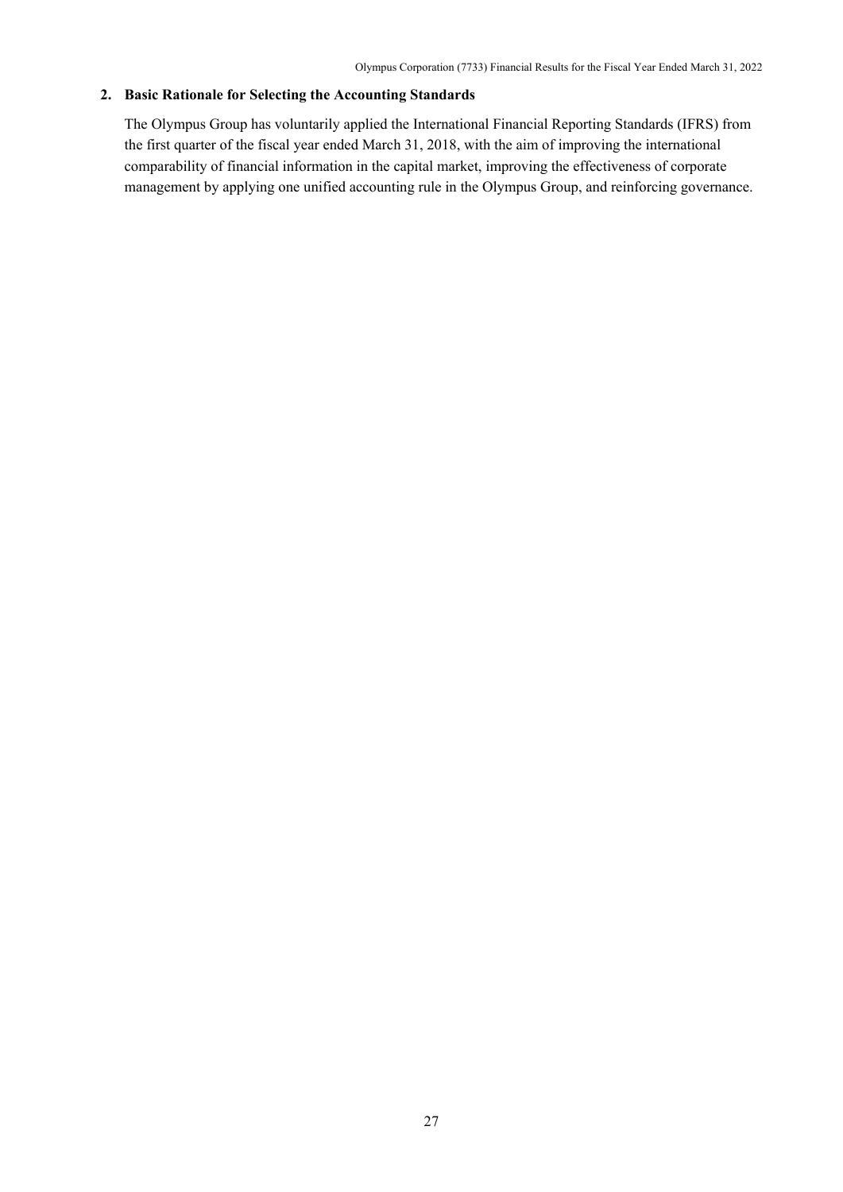# <span id="page-29-0"></span>**2. Basic Rationale for Selecting the Accounting Standards**

The Olympus Group has voluntarily applied the International Financial Reporting Standards (IFRS) from the first quarter of the fiscal year ended March 31, 2018, with the aim of improving the international comparability of financial information in the capital market, improving the effectiveness of corporate management by applying one unified accounting rule in the Olympus Group, and reinforcing governance.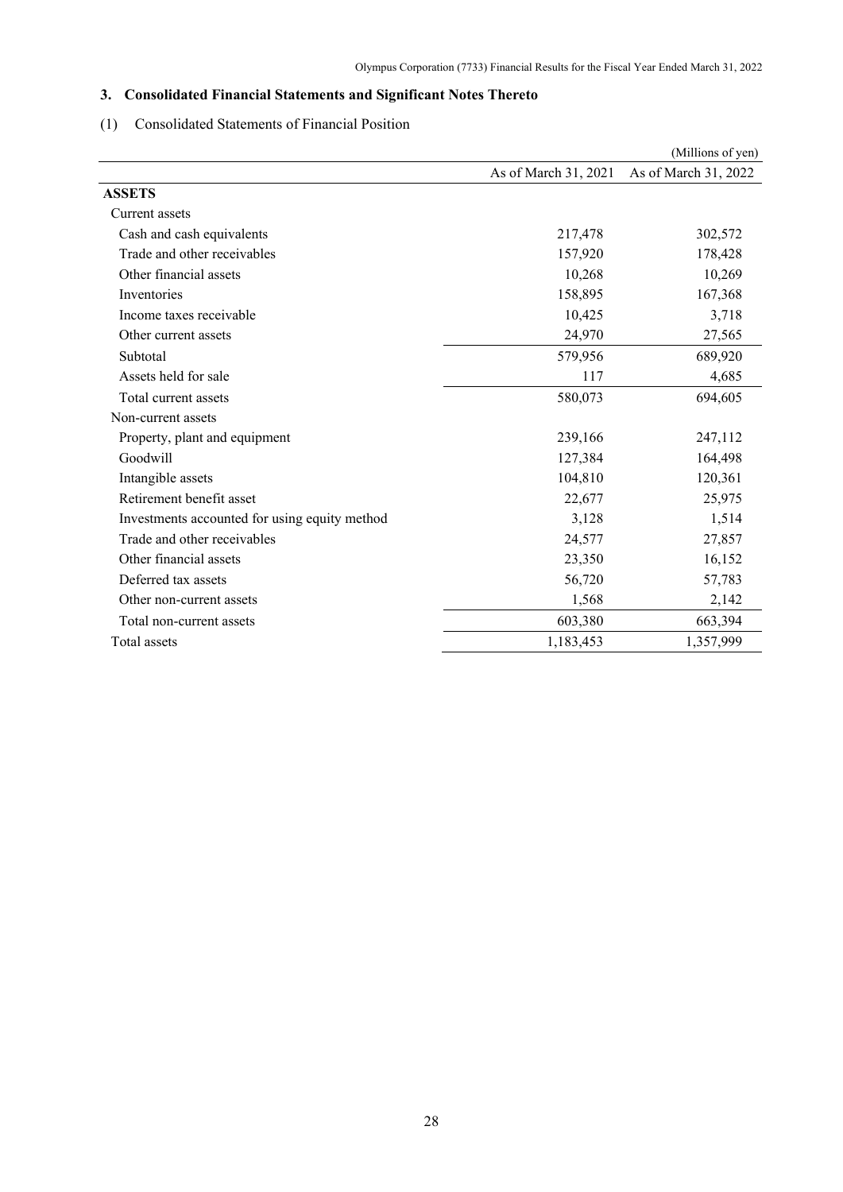# <span id="page-30-0"></span>**3. Consolidated Financial Statements and Significant Notes Thereto**

# <span id="page-30-1"></span>(1) Consolidated Statements of Financial Position

|                                               |                      | (Millions of yen)    |
|-----------------------------------------------|----------------------|----------------------|
|                                               | As of March 31, 2021 | As of March 31, 2022 |
| <b>ASSETS</b>                                 |                      |                      |
| Current assets                                |                      |                      |
| Cash and cash equivalents                     | 217,478              | 302,572              |
| Trade and other receivables                   | 157,920              | 178,428              |
| Other financial assets                        | 10,268               | 10,269               |
| Inventories                                   | 158,895              | 167,368              |
| Income taxes receivable                       | 10,425               | 3,718                |
| Other current assets                          | 24,970               | 27,565               |
| Subtotal                                      | 579,956              | 689,920              |
| Assets held for sale                          | 117                  | 4,685                |
| Total current assets                          | 580,073              | 694,605              |
| Non-current assets                            |                      |                      |
| Property, plant and equipment                 | 239,166              | 247,112              |
| Goodwill                                      | 127,384              | 164,498              |
| Intangible assets                             | 104,810              | 120,361              |
| Retirement benefit asset                      | 22,677               | 25,975               |
| Investments accounted for using equity method | 3,128                | 1,514                |
| Trade and other receivables                   | 24,577               | 27,857               |
| Other financial assets                        | 23,350               | 16,152               |
| Deferred tax assets                           | 56,720               | 57,783               |
| Other non-current assets                      | 1,568                | 2,142                |
| Total non-current assets                      | 603,380              | 663,394              |
| Total assets                                  | 1,183,453            | 1,357,999            |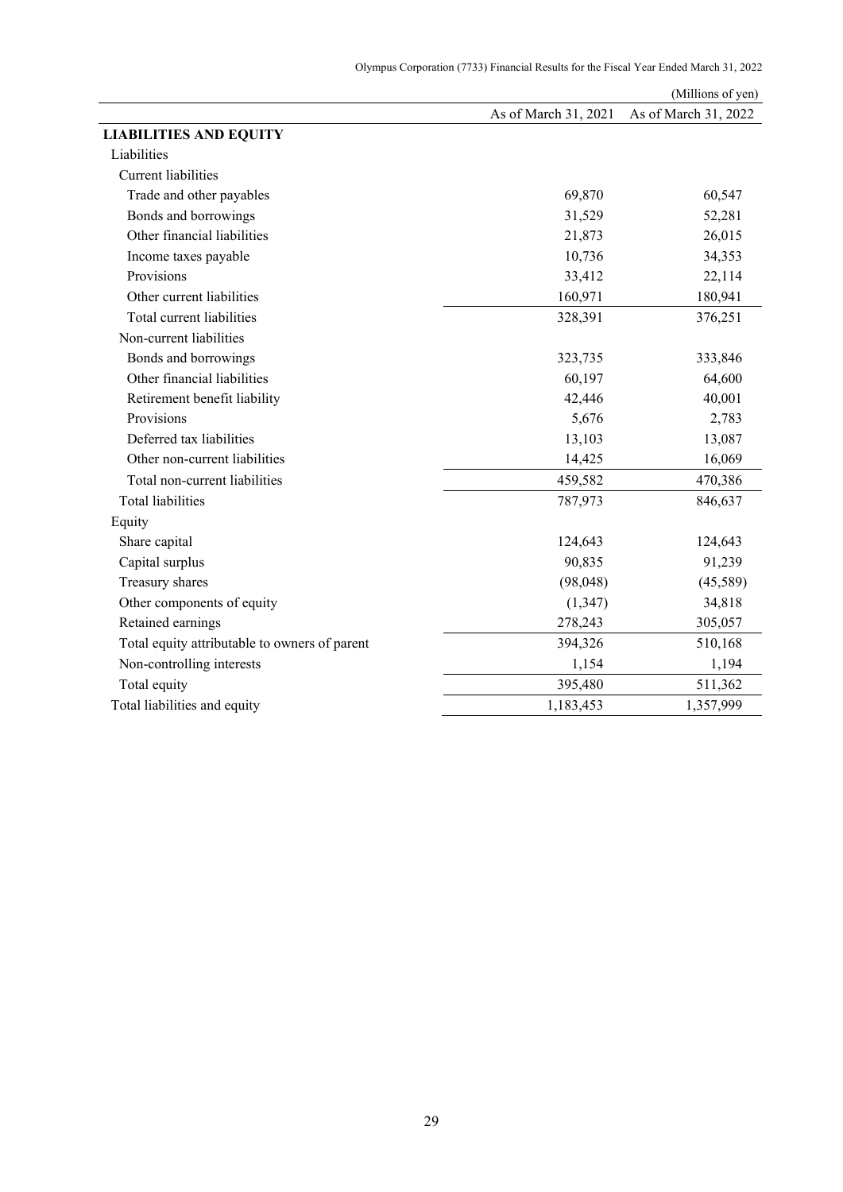|                                               |                      | (Millions of yen)    |
|-----------------------------------------------|----------------------|----------------------|
|                                               | As of March 31, 2021 | As of March 31, 2022 |
| <b>LIABILITIES AND EQUITY</b>                 |                      |                      |
| Liabilities                                   |                      |                      |
| Current liabilities                           |                      |                      |
| Trade and other payables                      | 69,870               | 60,547               |
| Bonds and borrowings                          | 31,529               | 52,281               |
| Other financial liabilities                   | 21,873               | 26,015               |
| Income taxes payable                          | 10,736               | 34,353               |
| Provisions                                    | 33,412               | 22,114               |
| Other current liabilities                     | 160,971              | 180,941              |
| Total current liabilities                     | 328,391              | 376,251              |
| Non-current liabilities                       |                      |                      |
| Bonds and borrowings                          | 323,735              | 333,846              |
| Other financial liabilities                   | 60,197               | 64,600               |
| Retirement benefit liability                  | 42,446               | 40,001               |
| Provisions                                    | 5,676                | 2,783                |
| Deferred tax liabilities                      | 13,103               | 13,087               |
| Other non-current liabilities                 | 14,425               | 16,069               |
| Total non-current liabilities                 | 459,582              | 470,386              |
| <b>Total liabilities</b>                      | 787,973              | 846,637              |
| Equity                                        |                      |                      |
| Share capital                                 | 124,643              | 124,643              |
| Capital surplus                               | 90,835               | 91,239               |
| Treasury shares                               | (98, 048)            | (45,589)             |
| Other components of equity                    | (1, 347)             | 34,818               |
| Retained earnings                             | 278,243              | 305,057              |
| Total equity attributable to owners of parent | 394,326              | 510,168              |
| Non-controlling interests                     | 1,154                | 1,194                |
| Total equity                                  | 395,480              | 511,362              |
| Total liabilities and equity                  | 1,183,453            | 1,357,999            |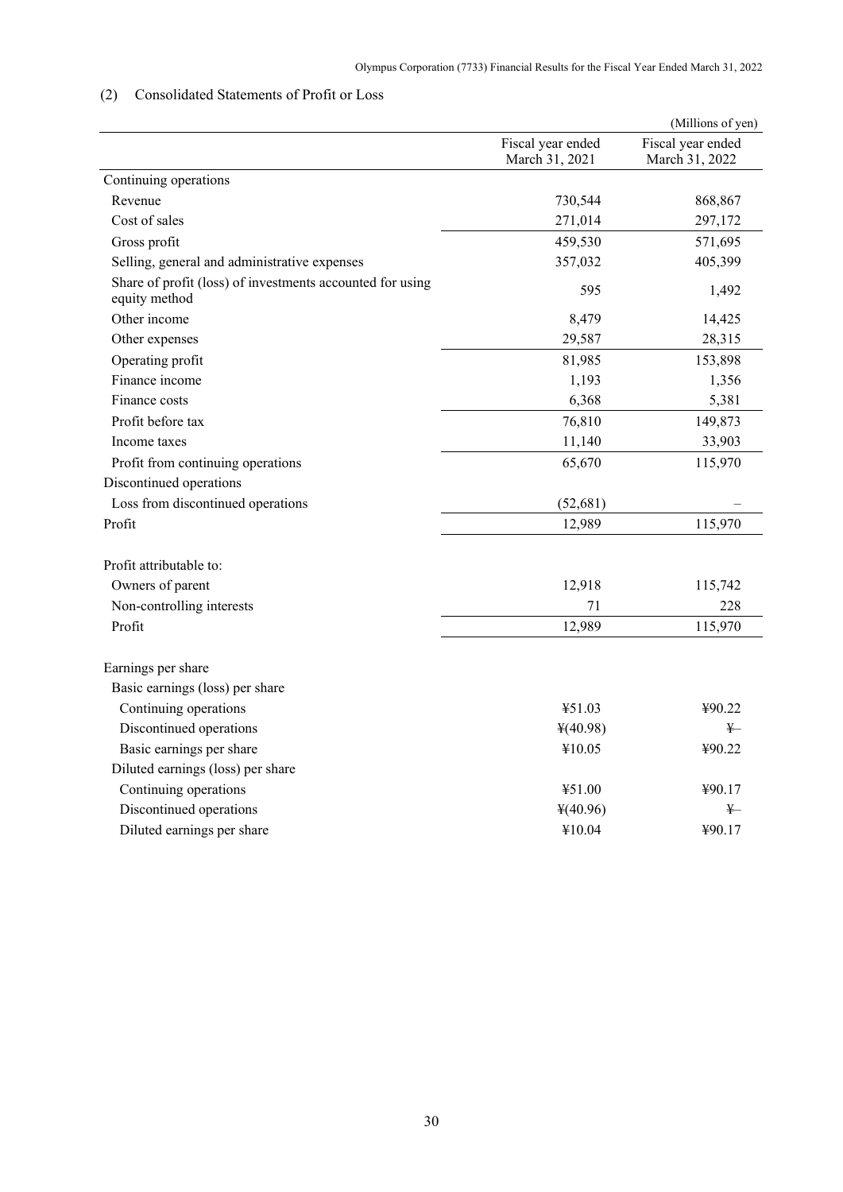# <span id="page-32-0"></span>(2) Consolidated Statements of Profit or Loss

|                                                                            |                                     | (Millions of yen)                   |
|----------------------------------------------------------------------------|-------------------------------------|-------------------------------------|
|                                                                            | Fiscal year ended<br>March 31, 2021 | Fiscal year ended<br>March 31, 2022 |
| Continuing operations                                                      |                                     |                                     |
| Revenue                                                                    | 730,544                             | 868,867                             |
| Cost of sales                                                              | 271,014                             | 297,172                             |
| Gross profit                                                               | 459,530                             | 571,695                             |
| Selling, general and administrative expenses                               | 357,032                             | 405,399                             |
| Share of profit (loss) of investments accounted for using<br>equity method | 595                                 | 1,492                               |
| Other income                                                               | 8,479                               | 14,425                              |
| Other expenses                                                             | 29,587                              | 28,315                              |
| Operating profit                                                           | 81,985                              | 153,898                             |
| Finance income                                                             | 1,193                               | 1,356                               |
| Finance costs                                                              | 6,368                               | 5,381                               |
| Profit before tax                                                          | 76,810                              | 149,873                             |
| Income taxes                                                               | 11,140                              | 33,903                              |
| Profit from continuing operations                                          | 65,670                              | 115,970                             |
| Discontinued operations                                                    |                                     |                                     |
| Loss from discontinued operations                                          | (52, 681)                           |                                     |
| Profit                                                                     | 12,989                              | 115,970                             |
| Profit attributable to:                                                    |                                     |                                     |
| Owners of parent                                                           | 12,918                              | 115,742                             |
| Non-controlling interests                                                  | 71                                  | 228                                 |
| Profit                                                                     | 12,989                              | 115,970                             |
| Earnings per share                                                         |                                     |                                     |
| Basic earnings (loss) per share                                            |                                     |                                     |
| Continuing operations                                                      | ¥51.03                              | ¥90.22                              |
| Discontinued operations                                                    | 4(40.98)                            | ¥—                                  |
| Basic earnings per share                                                   | ¥10.05                              | ¥90.22                              |
| Diluted earnings (loss) per share                                          |                                     |                                     |
| Continuing operations                                                      | ¥51.00                              | ¥90.17                              |
| Discontinued operations                                                    | 4(40.96)                            | $\ddagger$                          |
| Diluted earnings per share                                                 | ¥10.04                              | ¥90.17                              |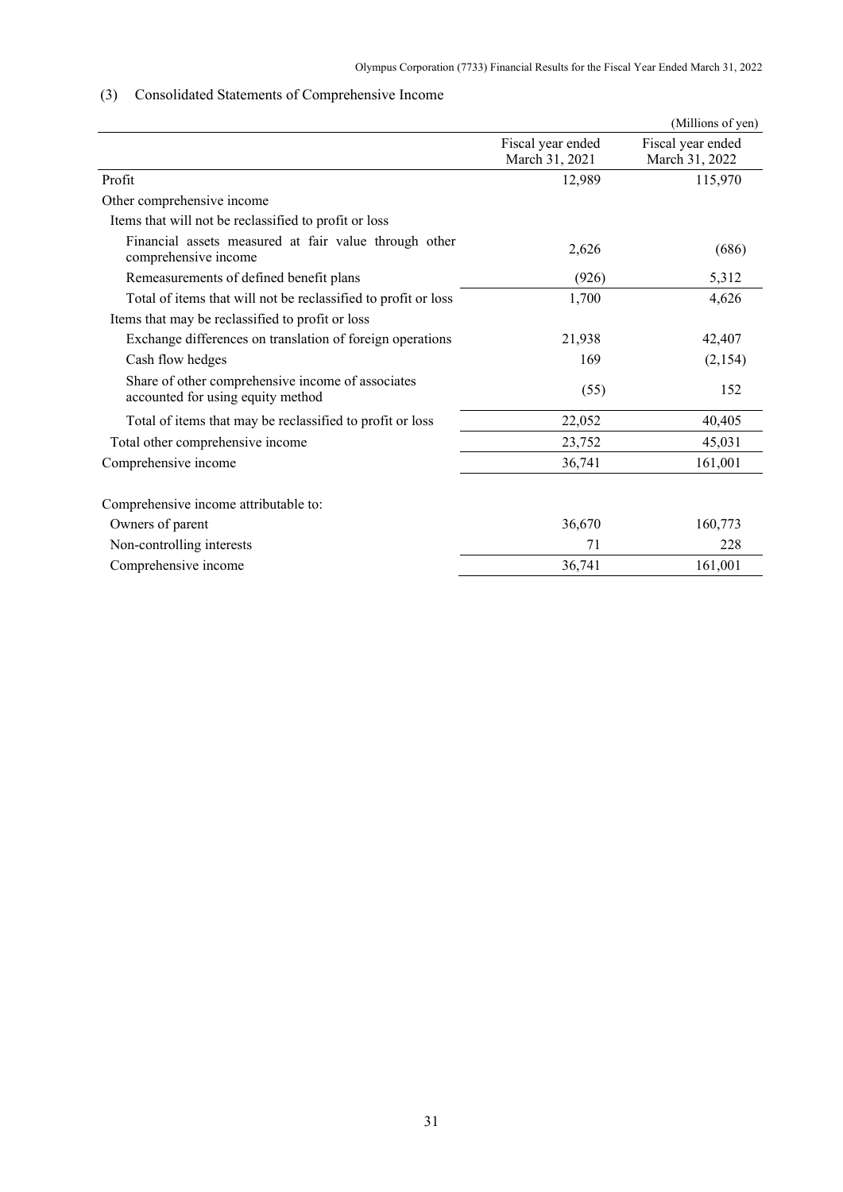# <span id="page-33-0"></span>(3) Consolidated Statements of Comprehensive Income

|                                                                                        |                                     | (Millions of yen)                   |
|----------------------------------------------------------------------------------------|-------------------------------------|-------------------------------------|
|                                                                                        | Fiscal year ended<br>March 31, 2021 | Fiscal year ended<br>March 31, 2022 |
| Profit                                                                                 | 12,989                              | 115,970                             |
| Other comprehensive income                                                             |                                     |                                     |
| Items that will not be reclassified to profit or loss                                  |                                     |                                     |
| Financial assets measured at fair value through other<br>comprehensive income          | 2,626                               | (686)                               |
| Remeasurements of defined benefit plans                                                | (926)                               | 5,312                               |
| Total of items that will not be reclassified to profit or loss                         | 1,700                               | 4,626                               |
| Items that may be reclassified to profit or loss                                       |                                     |                                     |
| Exchange differences on translation of foreign operations                              | 21,938                              | 42,407                              |
| Cash flow hedges                                                                       | 169                                 | (2, 154)                            |
| Share of other comprehensive income of associates<br>accounted for using equity method | (55)                                | 152                                 |
| Total of items that may be reclassified to profit or loss                              | 22,052                              | 40,405                              |
| Total other comprehensive income                                                       | 23,752                              | 45,031                              |
| Comprehensive income                                                                   | 36,741                              | 161,001                             |
| Comprehensive income attributable to:                                                  |                                     |                                     |
| Owners of parent                                                                       | 36,670                              | 160,773                             |
| Non-controlling interests                                                              | 71                                  | 228                                 |
| Comprehensive income                                                                   | 36,741                              | 161,001                             |
|                                                                                        |                                     |                                     |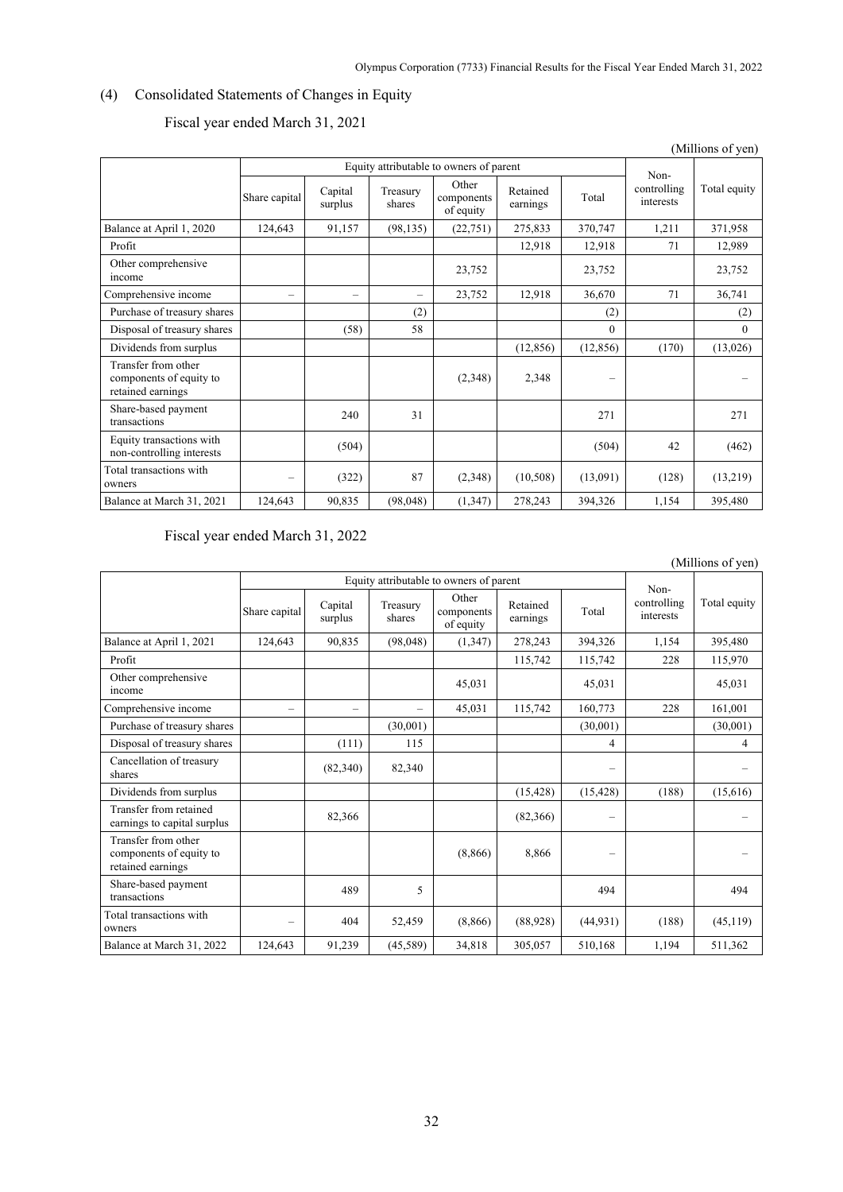# <span id="page-34-0"></span>(4) Consolidated Statements of Changes in Equity

|                                                                     |                                         |                          |                          |                                  |                      |           |                                  | (Millions of yen) |
|---------------------------------------------------------------------|-----------------------------------------|--------------------------|--------------------------|----------------------------------|----------------------|-----------|----------------------------------|-------------------|
|                                                                     | Equity attributable to owners of parent |                          |                          |                                  |                      |           |                                  |                   |
|                                                                     | Share capital                           | Capital<br>surplus       | Treasury<br>shares       | Other<br>components<br>of equity | Retained<br>earnings | Total     | Non-<br>controlling<br>interests | Total equity      |
| Balance at April 1, 2020                                            | 124,643                                 | 91,157                   | (98, 135)                | (22, 751)                        | 275,833              | 370,747   | 1,211                            | 371,958           |
| Profit                                                              |                                         |                          |                          |                                  | 12,918               | 12,918    | 71                               | 12,989            |
| Other comprehensive<br>income                                       |                                         |                          |                          | 23,752                           |                      | 23,752    |                                  | 23,752            |
| Comprehensive income                                                |                                         | $\overline{\phantom{0}}$ | $\overline{\phantom{0}}$ | 23,752                           | 12,918               | 36,670    | 71                               | 36,741            |
| Purchase of treasury shares                                         |                                         |                          | (2)                      |                                  |                      | (2)       |                                  | (2)               |
| Disposal of treasury shares                                         |                                         | (58)                     | 58                       |                                  |                      | $\theta$  |                                  | $\theta$          |
| Dividends from surplus                                              |                                         |                          |                          |                                  | (12, 856)            | (12, 856) | (170)                            | (13,026)          |
| Transfer from other<br>components of equity to<br>retained earnings |                                         |                          |                          | (2,348)                          | 2,348                | $\sim$    |                                  |                   |
| Share-based payment<br>transactions                                 |                                         | 240                      | 31                       |                                  |                      | 271       |                                  | 271               |
| Equity transactions with<br>non-controlling interests               |                                         | (504)                    |                          |                                  |                      | (504)     | 42                               | (462)             |
| Total transactions with<br>owners                                   |                                         | (322)                    | 87                       | (2,348)                          | (10,508)             | (13,091)  | (128)                            | (13,219)          |
| Balance at March 31, 2021                                           | 124,643                                 | 90,835                   | (98, 048)                | (1, 347)                         | 278,243              | 394,326   | 1,154                            | 395,480           |

# Fiscal year ended March 31, 2021

Fiscal year ended March 31, 2022

|                                                                     |                                         |                          |                          |                                  |                      |                          |                                  | (Millions of yen) |
|---------------------------------------------------------------------|-----------------------------------------|--------------------------|--------------------------|----------------------------------|----------------------|--------------------------|----------------------------------|-------------------|
|                                                                     | Equity attributable to owners of parent |                          |                          |                                  |                      |                          |                                  |                   |
|                                                                     | Share capital                           | Capital<br>surplus       | Treasury<br>shares       | Other<br>components<br>of equity | Retained<br>earnings | Total                    | Non-<br>controlling<br>interests | Total equity      |
| Balance at April 1, 2021                                            | 124,643                                 | 90,835                   | (98,048)                 | (1, 347)                         | 278,243              | 394.326                  | 1.154                            | 395,480           |
| Profit                                                              |                                         |                          |                          |                                  | 115,742              | 115,742                  | 228                              | 115,970           |
| Other comprehensive<br>income                                       |                                         |                          |                          | 45,031                           |                      | 45,031                   |                                  | 45,031            |
| Comprehensive income                                                |                                         | $\overline{\phantom{0}}$ | $\overline{\phantom{0}}$ | 45,031                           | 115,742              | 160,773                  | 228                              | 161,001           |
| Purchase of treasury shares                                         |                                         |                          | (30,001)                 |                                  |                      | (30,001)                 |                                  | (30,001)          |
| Disposal of treasury shares                                         |                                         | (111)                    | 115                      |                                  |                      | 4                        |                                  | 4                 |
| Cancellation of treasury<br>shares                                  |                                         | (82,340)                 | 82,340                   |                                  |                      | $\equiv$                 |                                  |                   |
| Dividends from surplus                                              |                                         |                          |                          |                                  | (15, 428)            | (15, 428)                | (188)                            | (15,616)          |
| Transfer from retained<br>earnings to capital surplus               |                                         | 82,366                   |                          |                                  | (82,366)             | -                        |                                  |                   |
| Transfer from other<br>components of equity to<br>retained earnings |                                         |                          |                          | (8,866)                          | 8,866                | $\overline{\phantom{0}}$ |                                  |                   |
| Share-based payment<br>transactions                                 |                                         | 489                      | 5                        |                                  |                      | 494                      |                                  | 494               |
| Total transactions with<br>owners                                   | $\overline{\phantom{a}}$                | 404                      | 52.459                   | (8,866)                          | (88,928)             | (44, 931)                | (188)                            | (45, 119)         |
| Balance at March 31, 2022                                           | 124,643                                 | 91,239                   | (45,589)                 | 34,818                           | 305,057              | 510,168                  | 1,194                            | 511,362           |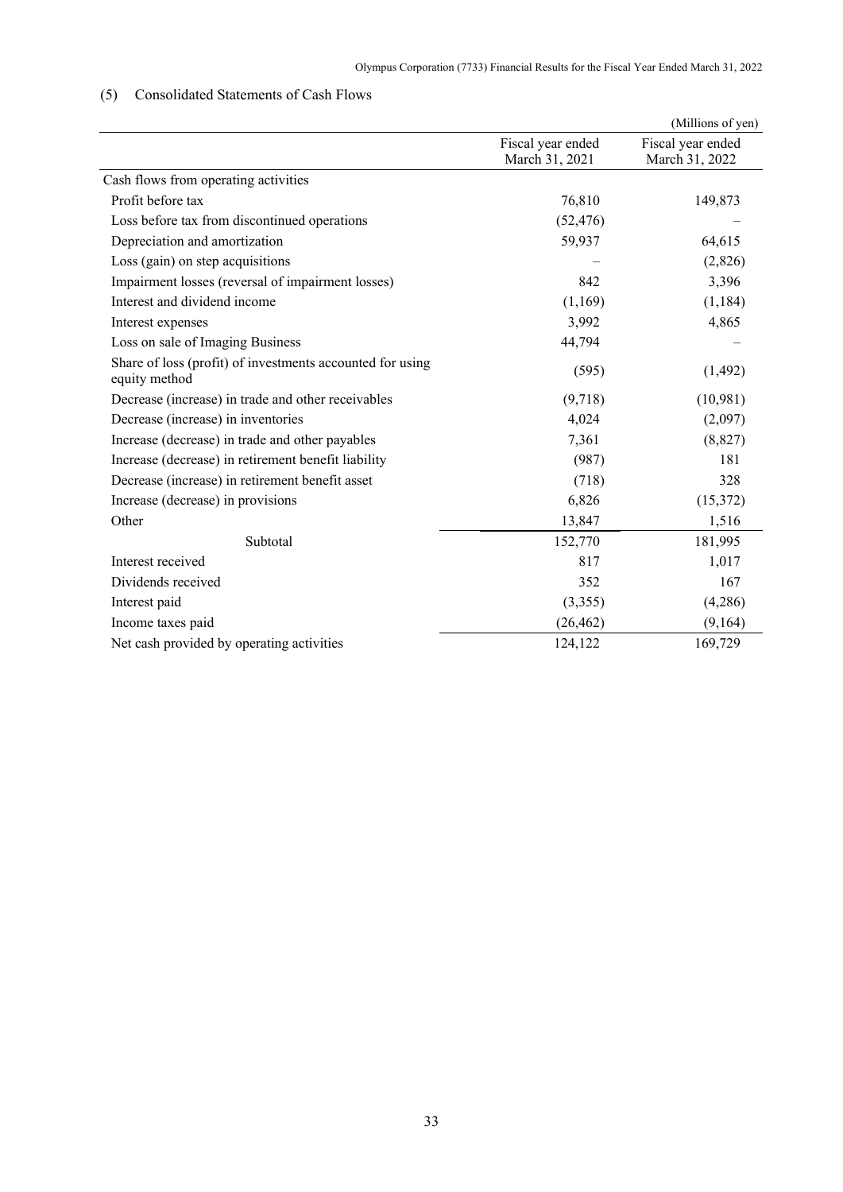# <span id="page-35-0"></span>(5) Consolidated Statements of Cash Flows

|                                                                            |                                     | (Millions of yen)                   |
|----------------------------------------------------------------------------|-------------------------------------|-------------------------------------|
|                                                                            | Fiscal year ended<br>March 31, 2021 | Fiscal year ended<br>March 31, 2022 |
| Cash flows from operating activities                                       |                                     |                                     |
| Profit before tax                                                          | 76,810                              | 149,873                             |
| Loss before tax from discontinued operations                               | (52, 476)                           |                                     |
| Depreciation and amortization                                              | 59,937                              | 64,615                              |
| Loss (gain) on step acquisitions                                           |                                     | (2,826)                             |
| Impairment losses (reversal of impairment losses)                          | 842                                 | 3,396                               |
| Interest and dividend income                                               | (1,169)                             | (1, 184)                            |
| Interest expenses                                                          | 3,992                               | 4,865                               |
| Loss on sale of Imaging Business                                           | 44,794                              |                                     |
| Share of loss (profit) of investments accounted for using<br>equity method | (595)                               | (1, 492)                            |
| Decrease (increase) in trade and other receivables                         | (9,718)                             | (10,981)                            |
| Decrease (increase) in inventories                                         | 4,024                               | (2,097)                             |
| Increase (decrease) in trade and other payables                            | 7,361                               | (8,827)                             |
| Increase (decrease) in retirement benefit liability                        | (987)                               | 181                                 |
| Decrease (increase) in retirement benefit asset                            | (718)                               | 328                                 |
| Increase (decrease) in provisions                                          | 6,826                               | (15, 372)                           |
| Other                                                                      | 13,847                              | 1,516                               |
| Subtotal                                                                   | 152,770                             | 181,995                             |
| Interest received                                                          | 817                                 | 1,017                               |
| Dividends received                                                         | 352                                 | 167                                 |
| Interest paid                                                              | (3,355)                             | (4,286)                             |
| Income taxes paid                                                          | (26, 462)                           | (9,164)                             |
| Net cash provided by operating activities                                  | 124,122                             | 169,729                             |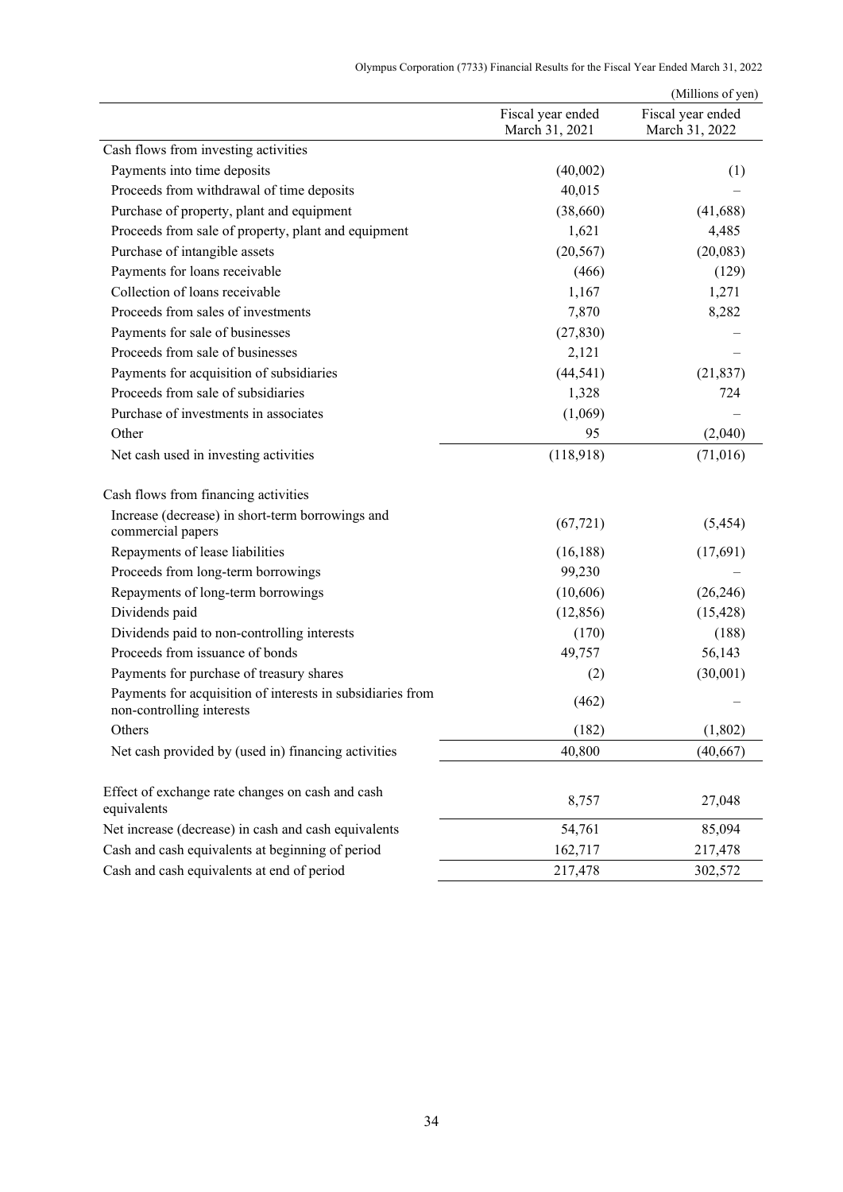|  |  |  | Olympus Corporation (7733) Financial Results for the Fiscal Year Ended March 31, 2022 |
|--|--|--|---------------------------------------------------------------------------------------|
|--|--|--|---------------------------------------------------------------------------------------|

|                                                                                         |                                     | (Millions of yen)                   |
|-----------------------------------------------------------------------------------------|-------------------------------------|-------------------------------------|
|                                                                                         | Fiscal year ended<br>March 31, 2021 | Fiscal year ended<br>March 31, 2022 |
| Cash flows from investing activities                                                    |                                     |                                     |
| Payments into time deposits                                                             | (40,002)                            | (1)                                 |
| Proceeds from withdrawal of time deposits                                               | 40,015                              |                                     |
| Purchase of property, plant and equipment                                               | (38,660)                            | (41,688)                            |
| Proceeds from sale of property, plant and equipment                                     | 1,621                               | 4,485                               |
| Purchase of intangible assets                                                           | (20, 567)                           | (20,083)                            |
| Payments for loans receivable                                                           | (466)                               | (129)                               |
| Collection of loans receivable                                                          | 1,167                               | 1,271                               |
| Proceeds from sales of investments                                                      | 7,870                               | 8,282                               |
| Payments for sale of businesses                                                         | (27, 830)                           |                                     |
| Proceeds from sale of businesses                                                        | 2,121                               |                                     |
| Payments for acquisition of subsidiaries                                                | (44, 541)                           | (21, 837)                           |
| Proceeds from sale of subsidiaries                                                      | 1,328                               | 724                                 |
| Purchase of investments in associates                                                   | (1,069)                             |                                     |
| Other                                                                                   | 95                                  | (2,040)                             |
| Net cash used in investing activities                                                   | (118,918)                           | (71,016)                            |
| Cash flows from financing activities                                                    |                                     |                                     |
| Increase (decrease) in short-term borrowings and<br>commercial papers                   | (67, 721)                           | (5, 454)                            |
| Repayments of lease liabilities                                                         | (16, 188)                           | (17,691)                            |
| Proceeds from long-term borrowings                                                      | 99,230                              |                                     |
| Repayments of long-term borrowings                                                      | (10,606)                            | (26, 246)                           |
| Dividends paid                                                                          | (12, 856)                           | (15, 428)                           |
| Dividends paid to non-controlling interests                                             | (170)                               | (188)                               |
| Proceeds from issuance of bonds                                                         | 49,757                              | 56,143                              |
| Payments for purchase of treasury shares                                                | (2)                                 | (30,001)                            |
| Payments for acquisition of interests in subsidiaries from<br>non-controlling interests | (462)                               |                                     |
| Others                                                                                  | (182)                               | (1, 802)                            |
| Net cash provided by (used in) financing activities                                     | 40,800                              | (40, 667)                           |
| Effect of exchange rate changes on cash and cash<br>equivalents                         | 8,757                               | 27,048                              |
| Net increase (decrease) in cash and cash equivalents                                    | 54,761                              | 85,094                              |
| Cash and cash equivalents at beginning of period                                        | 162,717                             | 217,478                             |
| Cash and cash equivalents at end of period                                              | 217,478                             | 302,572                             |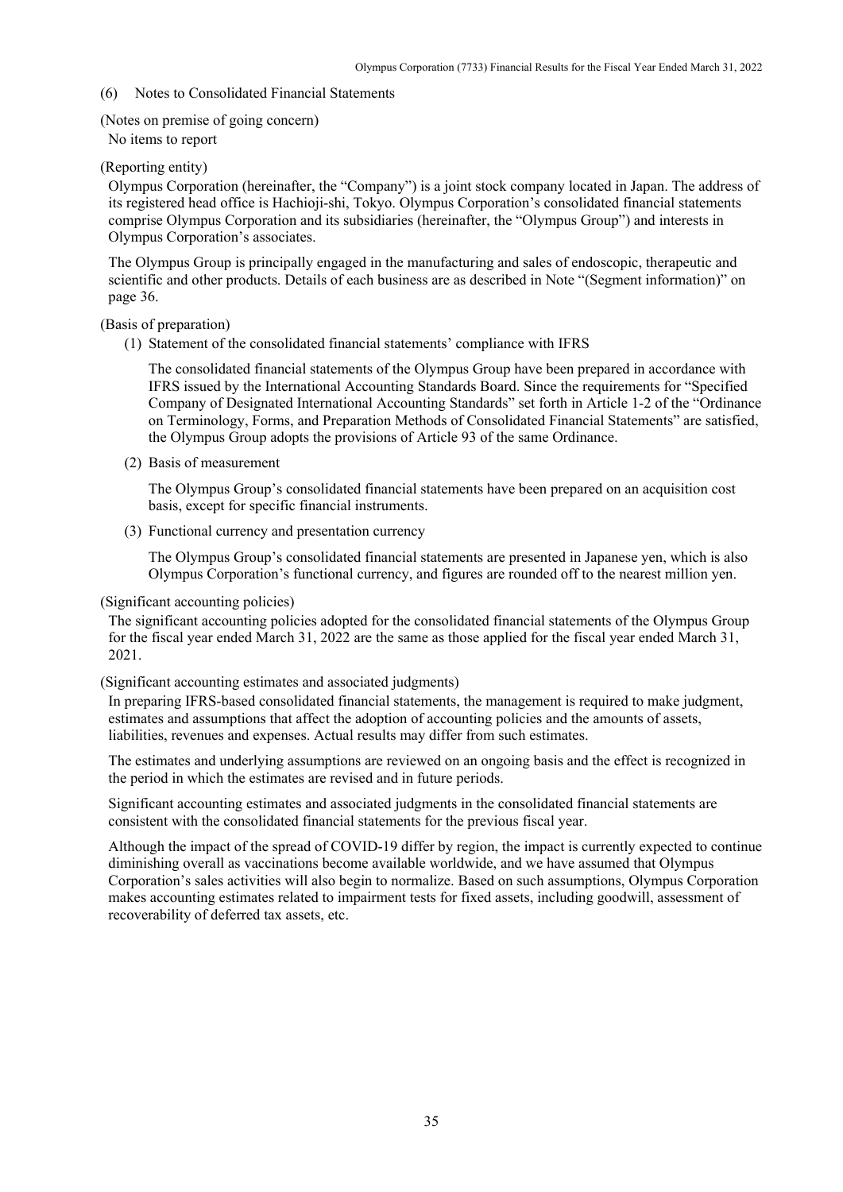#### (6) Notes to Consolidated Financial Statements

# (Notes on premise of going concern)

### No items to report

# (Reporting entity)

Olympus Corporation (hereinafter, the "Company") is a joint stock company located in Japan. The address of its registered head office is Hachioji-shi, Tokyo. Olympus Corporation's consolidated financial statements comprise Olympus Corporation and its subsidiaries (hereinafter, the "Olympus Group") and interests in Olympus Corporation's associates.

The Olympus Group is principally engaged in the manufacturing and sales of endoscopic, therapeutic and scientific and other products. Details of each business are as described in Note "(Segment information)" on page 36.

(Basis of preparation)

(1) Statement of the consolidated financial statements' compliance with IFRS

The consolidated financial statements of the Olympus Group have been prepared in accordance with IFRS issued by the International Accounting Standards Board. Since the requirements for "Specified Company of Designated International Accounting Standards" set forth in Article 1-2 of the "Ordinance on Terminology, Forms, and Preparation Methods of Consolidated Financial Statements" are satisfied, the Olympus Group adopts the provisions of Article 93 of the same Ordinance.

(2) Basis of measurement

The Olympus Group's consolidated financial statements have been prepared on an acquisition cost basis, except for specific financial instruments.

(3) Functional currency and presentation currency

The Olympus Group's consolidated financial statements are presented in Japanese yen, which is also Olympus Corporation's functional currency, and figures are rounded off to the nearest million yen.

(Significant accounting policies)

The significant accounting policies adopted for the consolidated financial statements of the Olympus Group for the fiscal year ended March 31, 2022 are the same as those applied for the fiscal year ended March 31, 2021.

(Significant accounting estimates and associated judgments)

In preparing IFRS-based consolidated financial statements, the management is required to make judgment, estimates and assumptions that affect the adoption of accounting policies and the amounts of assets, liabilities, revenues and expenses. Actual results may differ from such estimates.

The estimates and underlying assumptions are reviewed on an ongoing basis and the effect is recognized in the period in which the estimates are revised and in future periods.

Significant accounting estimates and associated judgments in the consolidated financial statements are consistent with the consolidated financial statements for the previous fiscal year.

Although the impact of the spread of COVID-19 differ by region, the impact is currently expected to continue diminishing overall as vaccinations become available worldwide, and we have assumed that Olympus Corporation's sales activities will also begin to normalize. Based on such assumptions, Olympus Corporation makes accounting estimates related to impairment tests for fixed assets, including goodwill, assessment of recoverability of deferred tax assets, etc.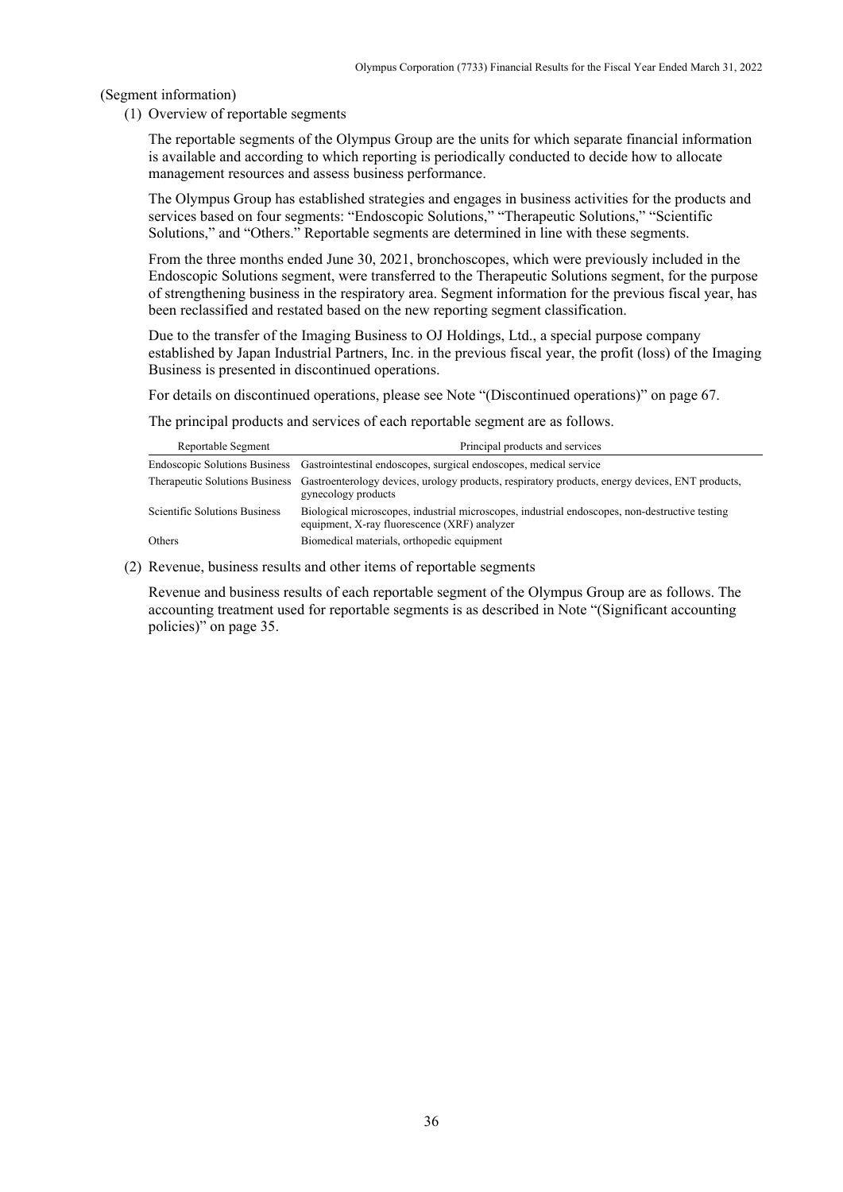(Segment information)

(1) Overview of reportable segments

The reportable segments of the Olympus Group are the units for which separate financial information is available and according to which reporting is periodically conducted to decide how to allocate management resources and assess business performance.

The Olympus Group has established strategies and engages in business activities for the products and services based on four segments: "Endoscopic Solutions," "Therapeutic Solutions," "Scientific Solutions," and "Others." Reportable segments are determined in line with these segments.

From the three months ended June 30, 2021, bronchoscopes, which were previously included in the Endoscopic Solutions segment, were transferred to the Therapeutic Solutions segment, for the purpose of strengthening business in the respiratory area. Segment information for the previous fiscal year, has been reclassified and restated based on the new reporting segment classification.

Due to the transfer of the Imaging Business to OJ Holdings, Ltd., a special purpose company established by Japan Industrial Partners, Inc. in the previous fiscal year, the profit (loss) of the Imaging Business is presented in discontinued operations.

For details on discontinued operations, please see Note "(Discontinued operations)" on page 67.

The principal products and services of each reportable segment are as follows.

| Reportable Segment                   | Principal products and services                                                                                                                       |
|--------------------------------------|-------------------------------------------------------------------------------------------------------------------------------------------------------|
|                                      | Endoscopic Solutions Business Gastrointestinal endoscopes, surgical endoscopes, medical service                                                       |
|                                      | Therapeutic Solutions Business Gastroenterology devices, urology products, respiratory products, energy devices, ENT products,<br>gynecology products |
| <b>Scientific Solutions Business</b> | Biological microscopes, industrial microscopes, industrial endoscopes, non-destructive testing<br>equipment, X-ray fluorescence (XRF) analyzer        |
| Others                               | Biomedical materials, orthopedic equipment                                                                                                            |

(2) Revenue, business results and other items of reportable segments

Revenue and business results of each reportable segment of the Olympus Group are as follows. The accounting treatment used for reportable segments is as described in Note "(Significant accounting policies)" on page 35.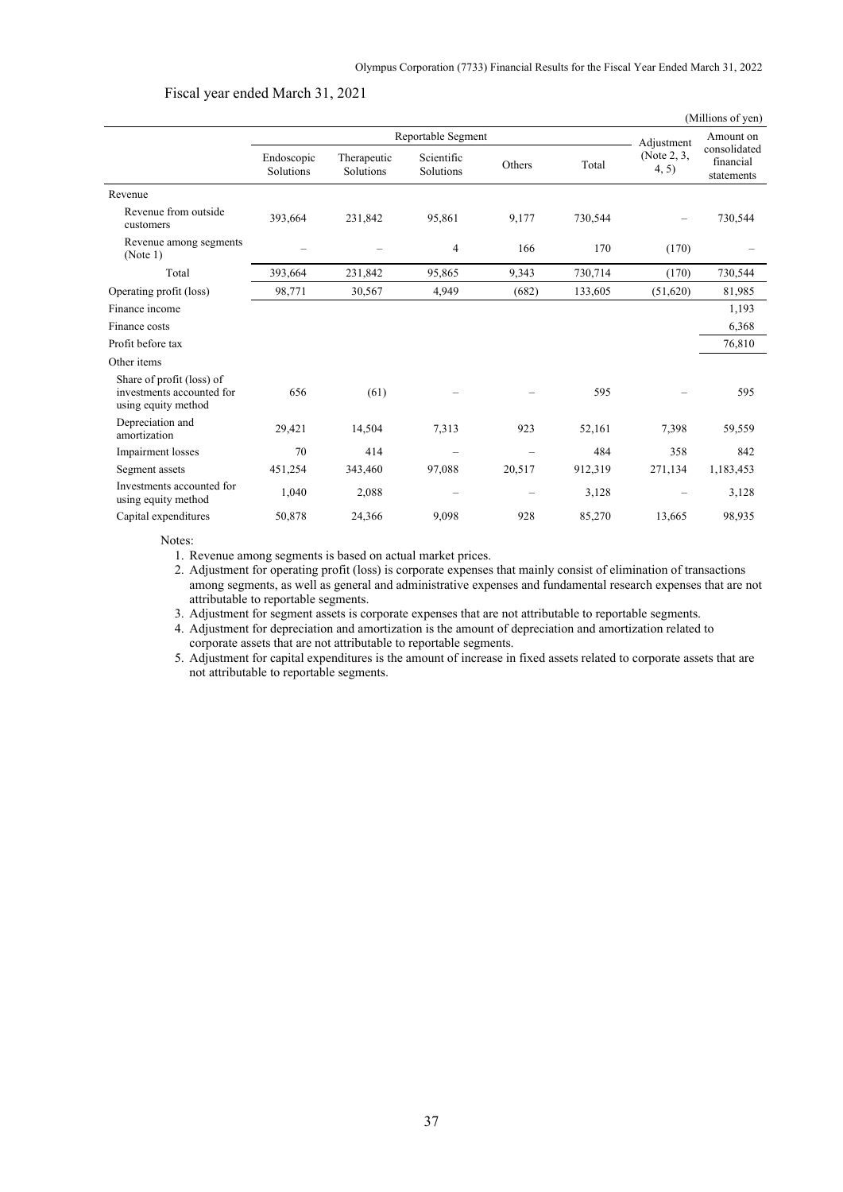Fiscal year ended March 31, 2021

|                         |                          |                         |                          |           |                      | (Millions of yen)                       |
|-------------------------|--------------------------|-------------------------|--------------------------|-----------|----------------------|-----------------------------------------|
| Reportable Segment      |                          |                         |                          | Amount on |                      |                                         |
| Endoscopic<br>Solutions | Therapeutic<br>Solutions | Scientific<br>Solutions | Others                   | Total     | (Note 2, 3,<br>4, 5) | consolidated<br>financial<br>statements |
|                         |                          |                         |                          |           |                      |                                         |
| 393,664                 | 231,842                  | 95,861                  | 9,177                    | 730,544   |                      | 730,544                                 |
|                         |                          | 4                       | 166                      | 170       | (170)                |                                         |
| 393,664                 | 231,842                  | 95,865                  | 9,343                    | 730,714   | (170)                | 730,544                                 |
| 98,771                  | 30,567                   | 4,949                   | (682)                    | 133,605   | (51,620)             | 81,985                                  |
|                         |                          |                         |                          |           |                      | 1,193                                   |
|                         |                          |                         |                          |           |                      | 6,368                                   |
|                         |                          |                         |                          |           |                      | 76,810                                  |
|                         |                          |                         |                          |           |                      |                                         |
| 656                     | (61)                     |                         |                          | 595       |                      | 595                                     |
| 29,421                  | 14,504                   | 7,313                   | 923                      | 52,161    | 7,398                | 59,559                                  |
| 70                      | 414                      |                         |                          | 484       | 358                  | 842                                     |
| 451,254                 | 343,460                  | 97,088                  | 20,517                   | 912,319   | 271,134              | 1,183,453                               |
| 1,040                   | 2,088                    |                         | $\overline{\phantom{0}}$ | 3,128     |                      | 3,128                                   |
| 50,878                  | 24,366                   | 9,098                   | 928                      | 85,270    | 13,665               | 98,935                                  |
|                         |                          |                         |                          |           |                      | Adjustment                              |

Notes:

1. Revenue among segments is based on actual market prices.

2. Adjustment for operating profit (loss) is corporate expenses that mainly consist of elimination of transactions among segments, as well as general and administrative expenses and fundamental research expenses that are not attributable to reportable segments.

3. Adjustment for segment assets is corporate expenses that are not attributable to reportable segments.

4. Adjustment for depreciation and amortization is the amount of depreciation and amortization related to corporate assets that are not attributable to reportable segments.

5. Adjustment for capital expenditures is the amount of increase in fixed assets related to corporate assets that are not attributable to reportable segments.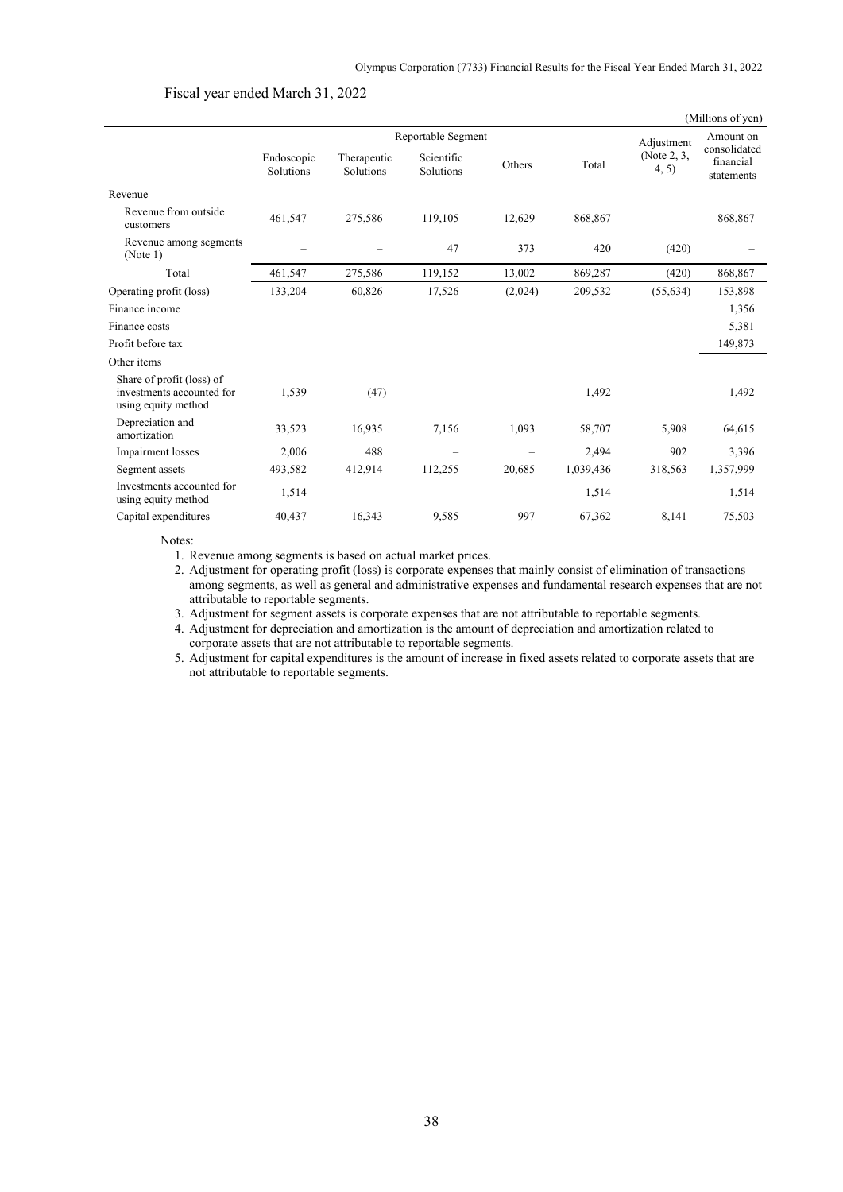### Fiscal year ended March 31, 2022

|                                                                               |                         |                          |                         |            |           |                      | (Millions of yen)                       |
|-------------------------------------------------------------------------------|-------------------------|--------------------------|-------------------------|------------|-----------|----------------------|-----------------------------------------|
|                                                                               | Reportable Segment      |                          |                         | Adjustment | Amount on |                      |                                         |
|                                                                               | Endoscopic<br>Solutions | Therapeutic<br>Solutions | Scientific<br>Solutions | Others     | Total     | (Note 2, 3,<br>4, 5) | consolidated<br>financial<br>statements |
| Revenue                                                                       |                         |                          |                         |            |           |                      |                                         |
| Revenue from outside<br>customers                                             | 461,547                 | 275,586                  | 119,105                 | 12,629     | 868,867   |                      | 868,867                                 |
| Revenue among segments<br>(Note 1)                                            |                         |                          | 47                      | 373        | 420       | (420)                |                                         |
| Total                                                                         | 461,547                 | 275,586                  | 119,152                 | 13,002     | 869,287   | (420)                | 868,867                                 |
| Operating profit (loss)                                                       | 133,204                 | 60,826                   | 17,526                  | (2,024)    | 209,532   | (55, 634)            | 153,898                                 |
| Finance income                                                                |                         |                          |                         |            |           |                      | 1,356                                   |
| Finance costs                                                                 |                         |                          |                         |            |           |                      | 5,381                                   |
| Profit before tax                                                             |                         |                          |                         |            |           |                      | 149,873                                 |
| Other items                                                                   |                         |                          |                         |            |           |                      |                                         |
| Share of profit (loss) of<br>investments accounted for<br>using equity method | 1,539                   | (47)                     |                         |            | 1,492     |                      | 1,492                                   |
| Depreciation and<br>amortization                                              | 33,523                  | 16,935                   | 7,156                   | 1,093      | 58,707    | 5,908                | 64,615                                  |
| Impairment losses                                                             | 2,006                   | 488                      |                         |            | 2.494     | 902                  | 3,396                                   |
| Segment assets                                                                | 493,582                 | 412,914                  | 112,255                 | 20,685     | 1,039,436 | 318,563              | 1,357,999                               |
| Investments accounted for<br>using equity method                              | 1,514                   |                          |                         |            | 1,514     |                      | 1,514                                   |
| Capital expenditures                                                          | 40,437                  | 16,343                   | 9,585                   | 997        | 67,362    | 8,141                | 75,503                                  |
|                                                                               |                         |                          |                         |            |           |                      |                                         |

Notes:

1. Revenue among segments is based on actual market prices.

2. Adjustment for operating profit (loss) is corporate expenses that mainly consist of elimination of transactions among segments, as well as general and administrative expenses and fundamental research expenses that are not attributable to reportable segments.

3. Adjustment for segment assets is corporate expenses that are not attributable to reportable segments.

4. Adjustment for depreciation and amortization is the amount of depreciation and amortization related to corporate assets that are not attributable to reportable segments.

5. Adjustment for capital expenditures is the amount of increase in fixed assets related to corporate assets that are not attributable to reportable segments.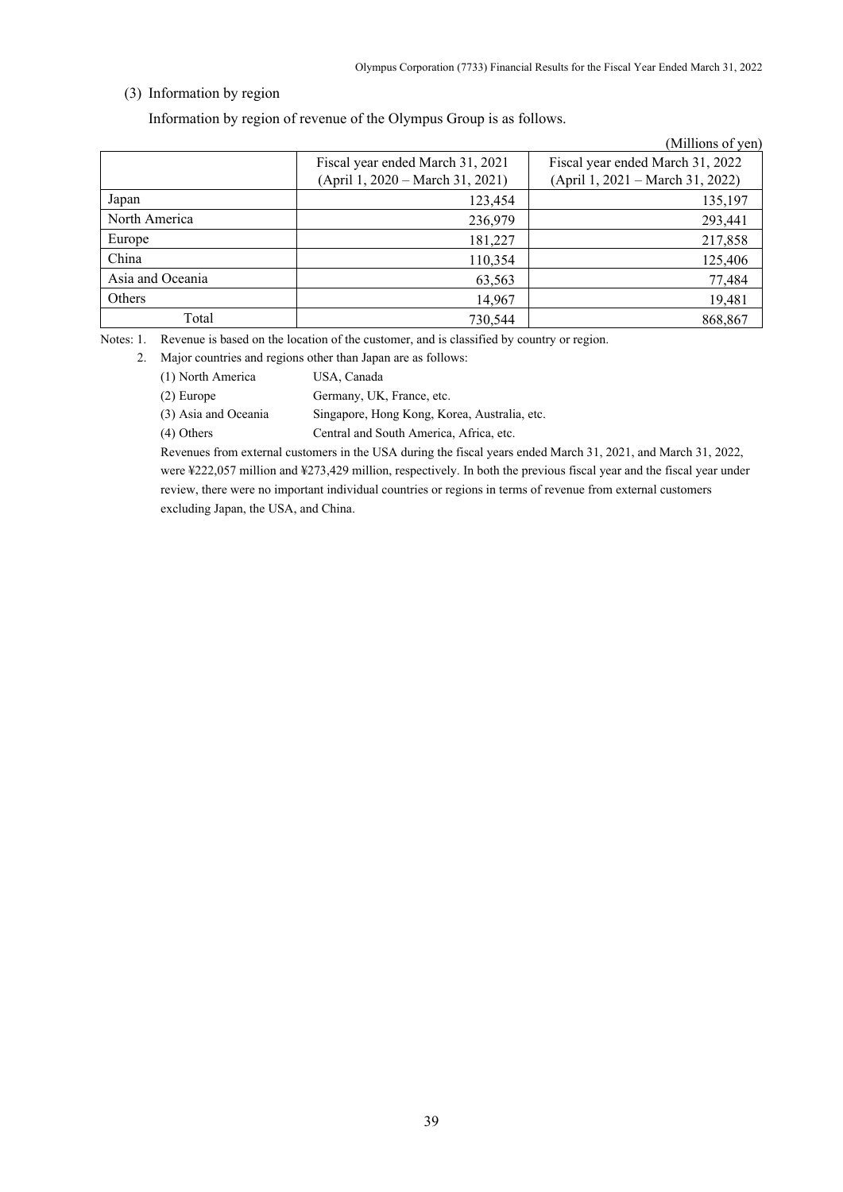# (3) Information by region

Information by region of revenue of the Olympus Group is as follows.

|                  |                                  | (Millions of yen)                |
|------------------|----------------------------------|----------------------------------|
|                  | Fiscal year ended March 31, 2021 | Fiscal year ended March 31, 2022 |
|                  | (April 1, 2020 – March 31, 2021) | (April 1, 2021 – March 31, 2022) |
| Japan            | 123,454                          | 135,197                          |
| North America    | 236,979                          | 293,441                          |
| Europe           | 181,227                          | 217,858                          |
| China            | 110,354                          | 125,406                          |
| Asia and Oceania | 63,563                           | 77,484                           |
| Others           | 14,967                           | 19,481                           |
| Total            | 730.544                          | 868,867                          |

Notes: 1. Revenue is based on the location of the customer, and is classified by country or region.

2. Major countries and regions other than Japan are as follows:

(1) North America USA, Canada

(2) Europe Germany, UK, France, etc.

(3) Asia and Oceania Singapore, Hong Kong, Korea, Australia, etc.

(4) Others Central and South America, Africa, etc.

Revenues from external customers in the USA during the fiscal years ended March 31, 2021, and March 31, 2022, were ¥222,057 million and ¥273,429 million, respectively. In both the previous fiscal year and the fiscal year under review, there were no important individual countries or regions in terms of revenue from external customers excluding Japan, the USA, and China.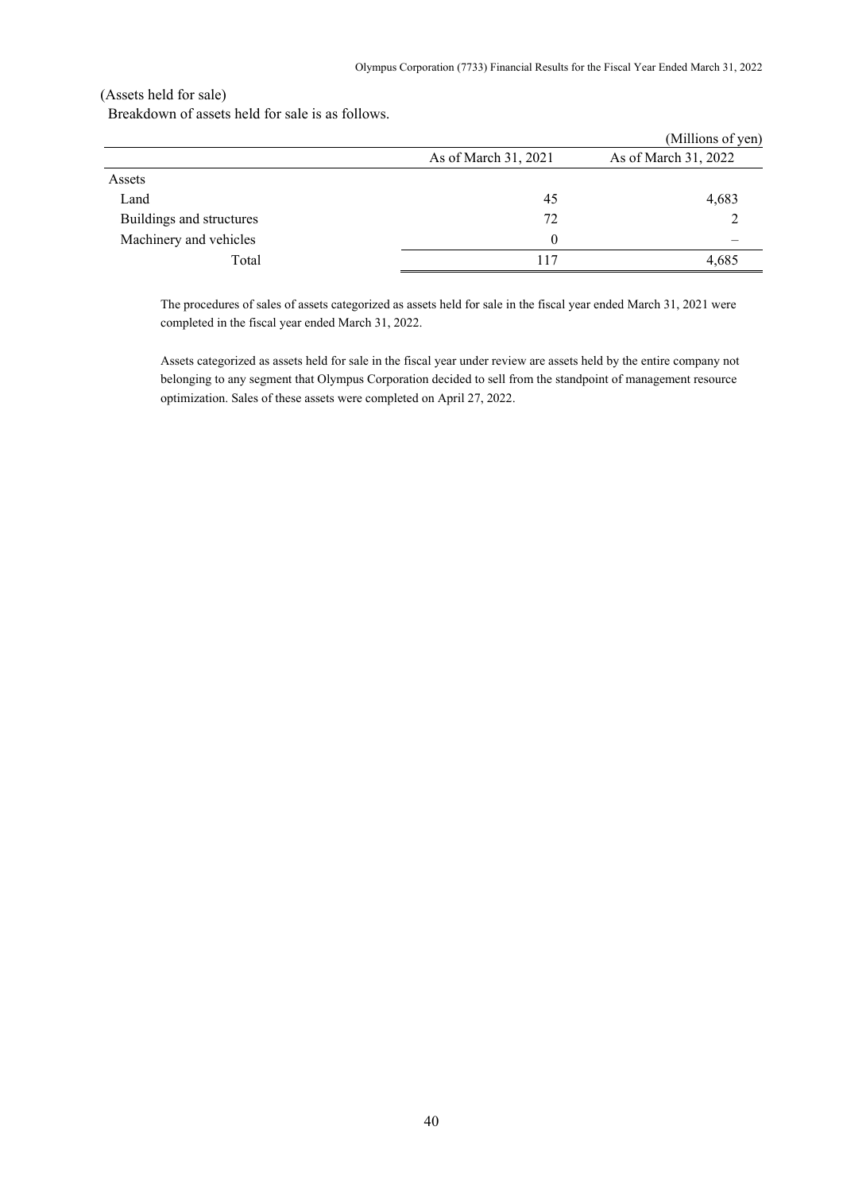## (Assets held for sale)

Breakdown of assets held for sale is as follows.

|                          |                      | (Millions of yen)    |
|--------------------------|----------------------|----------------------|
|                          | As of March 31, 2021 | As of March 31, 2022 |
| Assets                   |                      |                      |
| Land                     | 45                   | 4,683                |
| Buildings and structures | 72                   |                      |
| Machinery and vehicles   | $\Omega$             |                      |
| Total                    | 117                  | 4,685                |

The procedures of sales of assets categorized as assets held for sale in the fiscal year ended March 31, 2021 were completed in the fiscal year ended March 31, 2022.

Assets categorized as assets held for sale in the fiscal year under review are assets held by the entire company not belonging to any segment that Olympus Corporation decided to sell from the standpoint of management resource optimization. Sales of these assets were completed on April 27, 2022.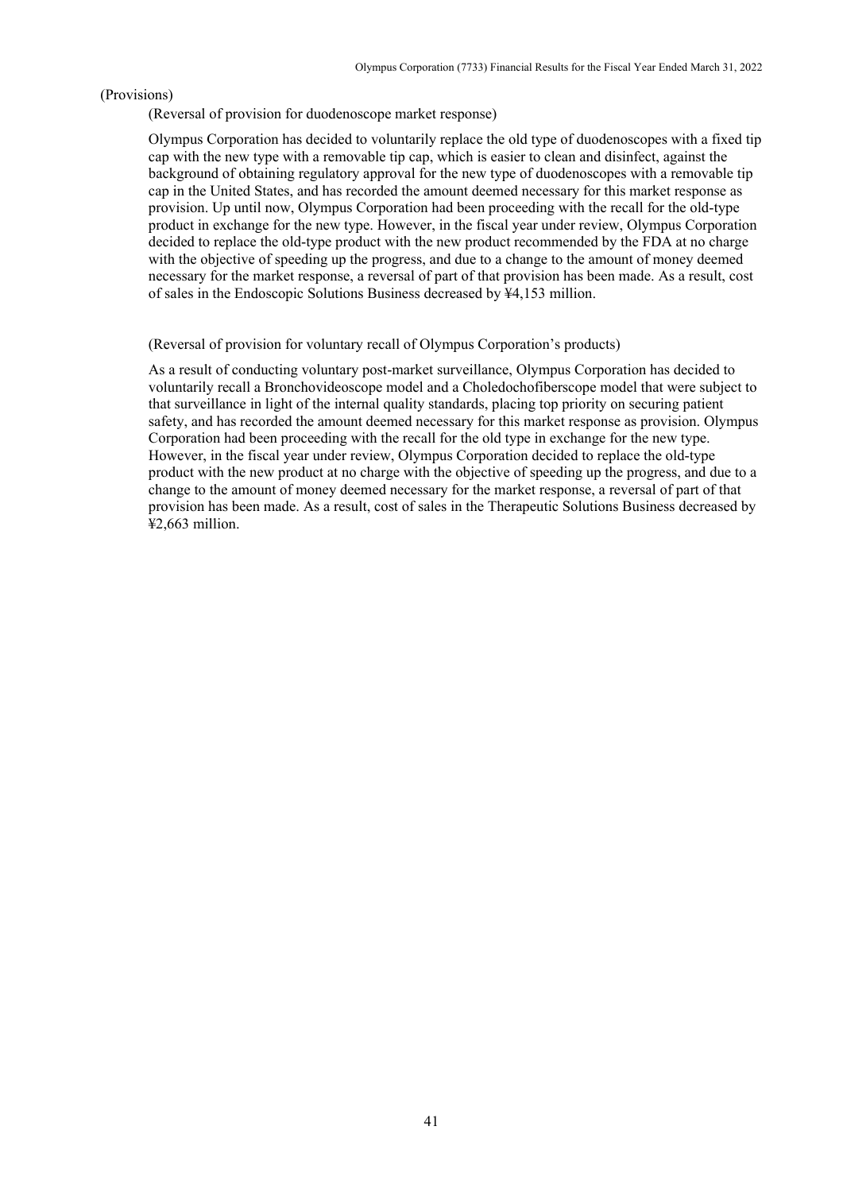#### (Provisions)

(Reversal of provision for duodenoscope market response)

Olympus Corporation has decided to voluntarily replace the old type of duodenoscopes with a fixed tip cap with the new type with a removable tip cap, which is easier to clean and disinfect, against the background of obtaining regulatory approval for the new type of duodenoscopes with a removable tip cap in the United States, and has recorded the amount deemed necessary for this market response as provision. Up until now, Olympus Corporation had been proceeding with the recall for the old-type product in exchange for the new type. However, in the fiscal year under review, Olympus Corporation decided to replace the old-type product with the new product recommended by the FDA at no charge with the objective of speeding up the progress, and due to a change to the amount of money deemed necessary for the market response, a reversal of part of that provision has been made. As a result, cost of sales in the Endoscopic Solutions Business decreased by ¥4,153 million.

#### (Reversal of provision for voluntary recall of Olympus Corporation's products)

As a result of conducting voluntary post-market surveillance, Olympus Corporation has decided to voluntarily recall a Bronchovideoscope model and a Choledochofiberscope model that were subject to that surveillance in light of the internal quality standards, placing top priority on securing patient safety, and has recorded the amount deemed necessary for this market response as provision. Olympus Corporation had been proceeding with the recall for the old type in exchange for the new type. However, in the fiscal year under review, Olympus Corporation decided to replace the old-type product with the new product at no charge with the objective of speeding up the progress, and due to a change to the amount of money deemed necessary for the market response, a reversal of part of that provision has been made. As a result, cost of sales in the Therapeutic Solutions Business decreased by ¥2,663 million.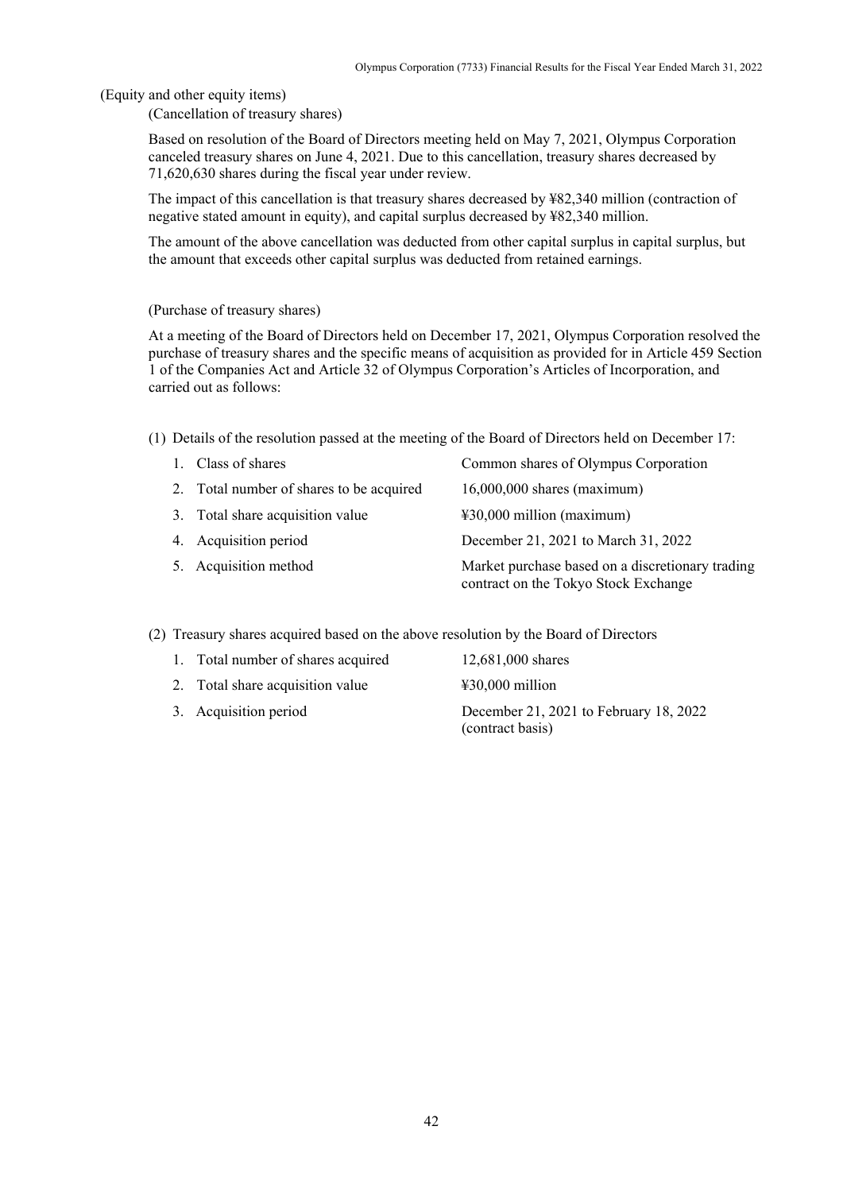(Equity and other equity items)

(Cancellation of treasury shares)

Based on resolution of the Board of Directors meeting held on May 7, 2021, Olympus Corporation canceled treasury shares on June 4, 2021. Due to this cancellation, treasury shares decreased by 71,620,630 shares during the fiscal year under review.

The impact of this cancellation is that treasury shares decreased by ¥82,340 million (contraction of negative stated amount in equity), and capital surplus decreased by ¥82,340 million.

The amount of the above cancellation was deducted from other capital surplus in capital surplus, but the amount that exceeds other capital surplus was deducted from retained earnings.

#### (Purchase of treasury shares)

At a meeting of the Board of Directors held on December 17, 2021, Olympus Corporation resolved the purchase of treasury shares and the specific means of acquisition as provided for in Article 459 Section 1 of the Companies Act and Article 32 of Olympus Corporation's Articles of Incorporation, and carried out as follows:

(1) Details of the resolution passed at the meeting of the Board of Directors held on December 17:

| 1. Class of shares                       | Common shares of Olympus Corporation                                                     |
|------------------------------------------|------------------------------------------------------------------------------------------|
| 2. Total number of shares to be acquired | $16,000,000$ shares (maximum)                                                            |
| 3. Total share acquisition value         | $\text{\#30,000}$ million (maximum)                                                      |
| 4. Acquisition period                    | December 21, 2021 to March 31, 2022                                                      |
| 5. Acquisition method                    | Market purchase based on a discretionary trading<br>contract on the Tokyo Stock Exchange |

(2) Treasury shares acquired based on the above resolution by the Board of Directors

| 1. Total number of shares acquired | 12,681,000 shares                                          |
|------------------------------------|------------------------------------------------------------|
| 2. Total share acquisition value   | $\text{\#30,000}$ million                                  |
| 3. Acquisition period              | December 21, 2021 to February 18, 2022<br>(contract basis) |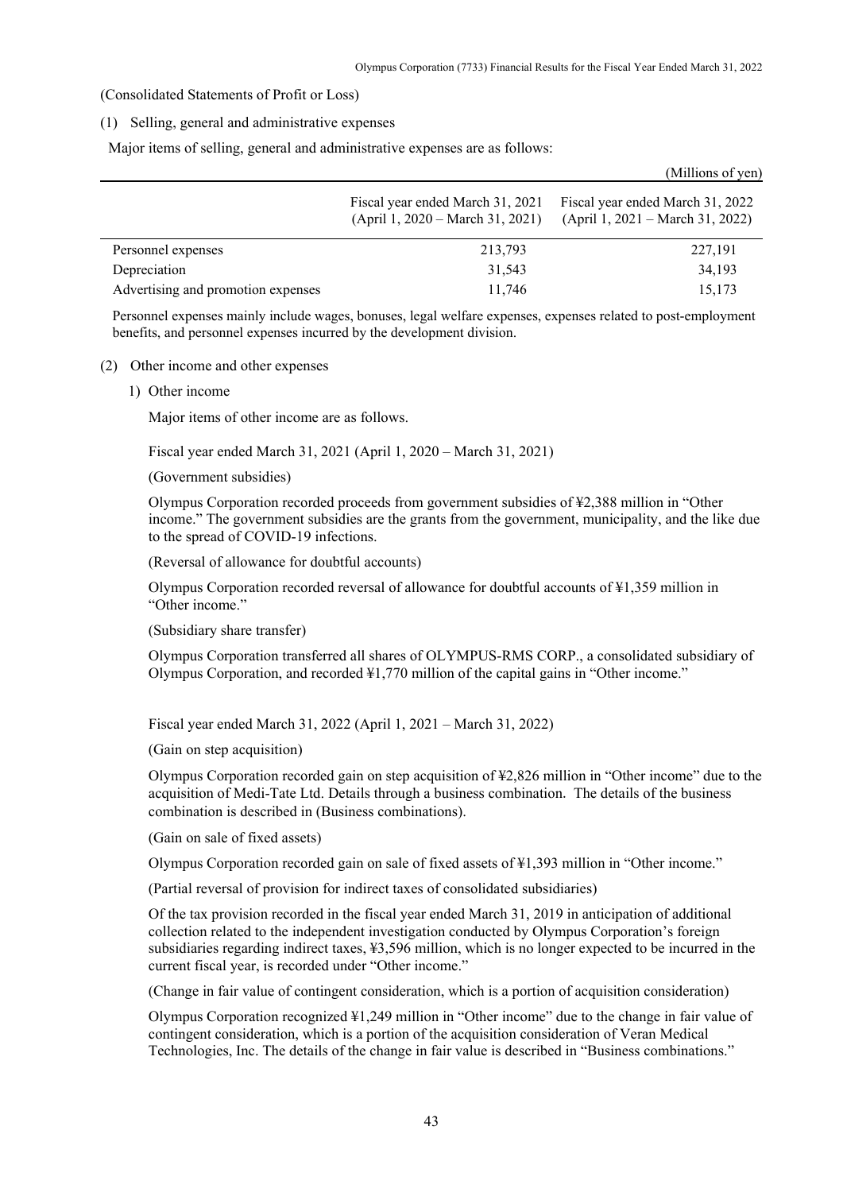$(M)$ lions of  $($ 

(Consolidated Statements of Profit or Loss)

#### (1) Selling, general and administrative expenses

Major items of selling, general and administrative expenses are as follows:

|                                    |                                                                        | $($ MHILIOIIS OF $\sqrt{c}$ II                                         |
|------------------------------------|------------------------------------------------------------------------|------------------------------------------------------------------------|
|                                    | Fiscal year ended March 31, 2021<br>$(April 1, 2020 - March 31, 2021)$ | Fiscal year ended March 31, 2022<br>$(April 1, 2021 - March 31, 2022)$ |
| Personnel expenses                 | 213,793                                                                | 227,191                                                                |
| Depreciation                       | 31,543                                                                 | 34,193                                                                 |
| Advertising and promotion expenses | 11,746                                                                 | 15,173                                                                 |

Personnel expenses mainly include wages, bonuses, legal welfare expenses, expenses related to post-employment benefits, and personnel expenses incurred by the development division.

#### (2) Other income and other expenses

1) Other income

Major items of other income are as follows.

Fiscal year ended March 31, 2021 (April 1, 2020 – March 31, 2021)

(Government subsidies)

Olympus Corporation recorded proceeds from government subsidies of ¥2,388 million in "Other income." The government subsidies are the grants from the government, municipality, and the like due to the spread of COVID-19 infections.

(Reversal of allowance for doubtful accounts)

Olympus Corporation recorded reversal of allowance for doubtful accounts of ¥1,359 million in "Other income."

(Subsidiary share transfer)

Olympus Corporation transferred all shares of OLYMPUS-RMS CORP., a consolidated subsidiary of Olympus Corporation, and recorded ¥1,770 million of the capital gains in "Other income."

Fiscal year ended March 31, 2022 (April 1, 2021 – March 31, 2022)

(Gain on step acquisition)

Olympus Corporation recorded gain on step acquisition of ¥2,826 million in "Other income" due to the acquisition of Medi-Tate Ltd. Details through a business combination. The details of the business combination is described in (Business combinations).

(Gain on sale of fixed assets)

Olympus Corporation recorded gain on sale of fixed assets of ¥1,393 million in "Other income."

(Partial reversal of provision for indirect taxes of consolidated subsidiaries)

Of the tax provision recorded in the fiscal year ended March 31, 2019 in anticipation of additional collection related to the independent investigation conducted by Olympus Corporation's foreign subsidiaries regarding indirect taxes, ¥3,596 million, which is no longer expected to be incurred in the current fiscal year, is recorded under "Other income."

(Change in fair value of contingent consideration, which is a portion of acquisition consideration)

Olympus Corporation recognized ¥1,249 million in "Other income" due to the change in fair value of contingent consideration, which is a portion of the acquisition consideration of Veran Medical Technologies, Inc. The details of the change in fair value is described in "Business combinations."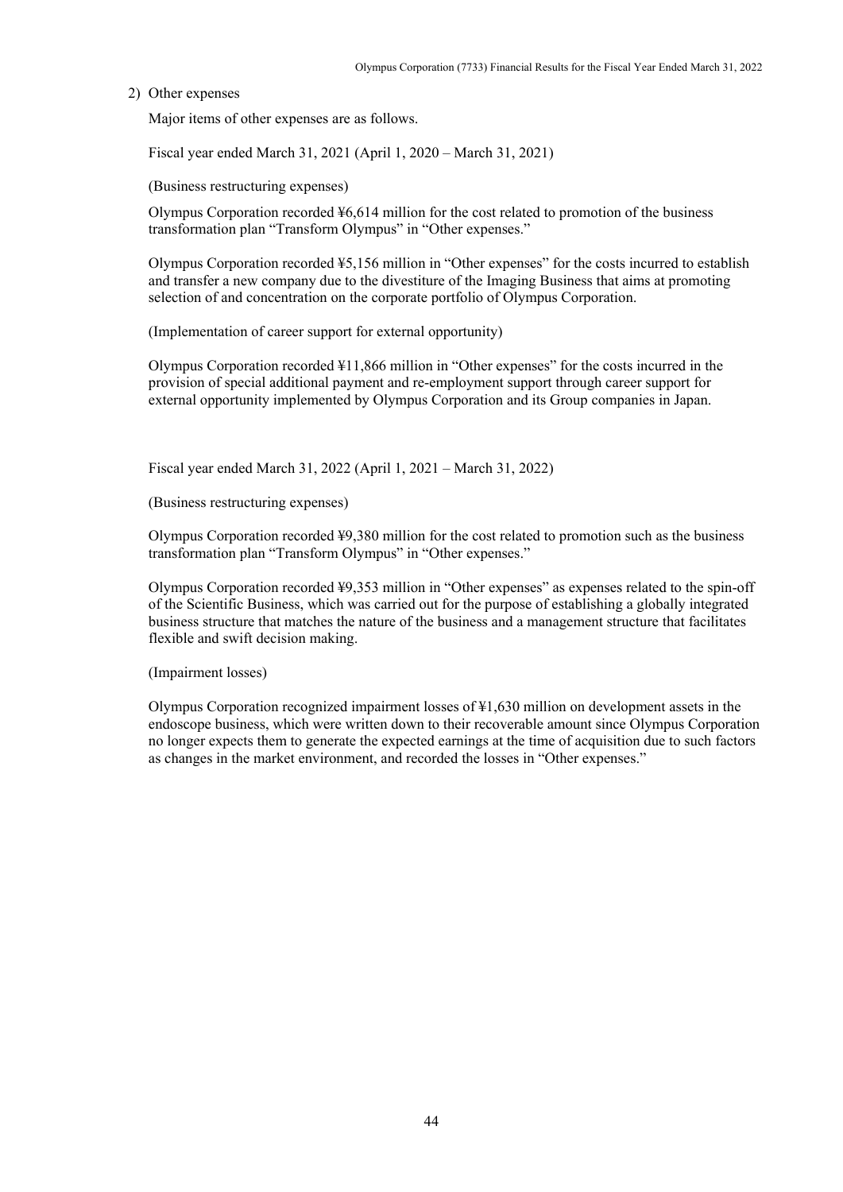### 2) Other expenses

Major items of other expenses are as follows.

Fiscal year ended March 31, 2021 (April 1, 2020 – March 31, 2021)

(Business restructuring expenses)

Olympus Corporation recorded ¥6,614 million for the cost related to promotion of the business transformation plan "Transform Olympus" in "Other expenses."

Olympus Corporation recorded ¥5,156 million in "Other expenses" for the costs incurred to establish and transfer a new company due to the divestiture of the Imaging Business that aims at promoting selection of and concentration on the corporate portfolio of Olympus Corporation.

(Implementation of career support for external opportunity)

Olympus Corporation recorded ¥11,866 million in "Other expenses" for the costs incurred in the provision of special additional payment and re-employment support through career support for external opportunity implemented by Olympus Corporation and its Group companies in Japan.

Fiscal year ended March 31, 2022 (April 1, 2021 – March 31, 2022)

(Business restructuring expenses)

Olympus Corporation recorded ¥9,380 million for the cost related to promotion such as the business transformation plan "Transform Olympus" in "Other expenses."

Olympus Corporation recorded ¥9,353 million in "Other expenses" as expenses related to the spin-off of the Scientific Business, which was carried out for the purpose of establishing a globally integrated business structure that matches the nature of the business and a management structure that facilitates flexible and swift decision making.

(Impairment losses)

Olympus Corporation recognized impairment losses of ¥1,630 million on development assets in the endoscope business, which were written down to their recoverable amount since Olympus Corporation no longer expects them to generate the expected earnings at the time of acquisition due to such factors as changes in the market environment, and recorded the losses in "Other expenses."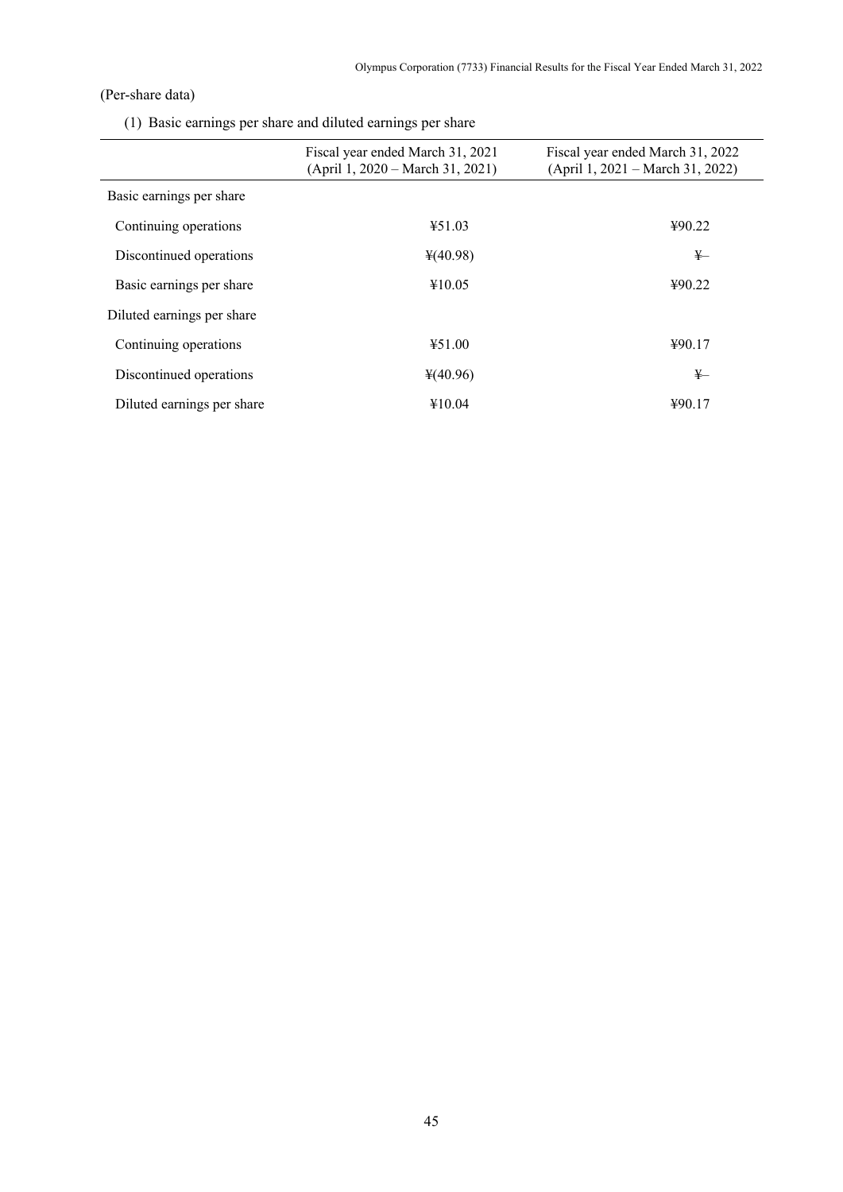# (Per-share data)

(1) Basic earnings per share and diluted earnings per share

|                            | Fiscal year ended March 31, 2021<br>$(April 1, 2020 - March 31, 2021)$ | Fiscal year ended March 31, 2022<br>(April 1, 2021 – March 31, 2022) |
|----------------------------|------------------------------------------------------------------------|----------------------------------------------------------------------|
| Basic earnings per share   |                                                                        |                                                                      |
| Continuing operations      | 451.03                                                                 | 490.22                                                               |
| Discontinued operations    | $*(40.98)$                                                             | $\frac{1}{2}$                                                        |
| Basic earnings per share   | ¥10.05                                                                 | 490.22                                                               |
| Diluted earnings per share |                                                                        |                                                                      |
| Continuing operations      | 451.00                                                                 | ¥90.17                                                               |
| Discontinued operations    | $*(40.96)$                                                             | ¥—                                                                   |
| Diluted earnings per share | ¥10.04                                                                 | 490.17                                                               |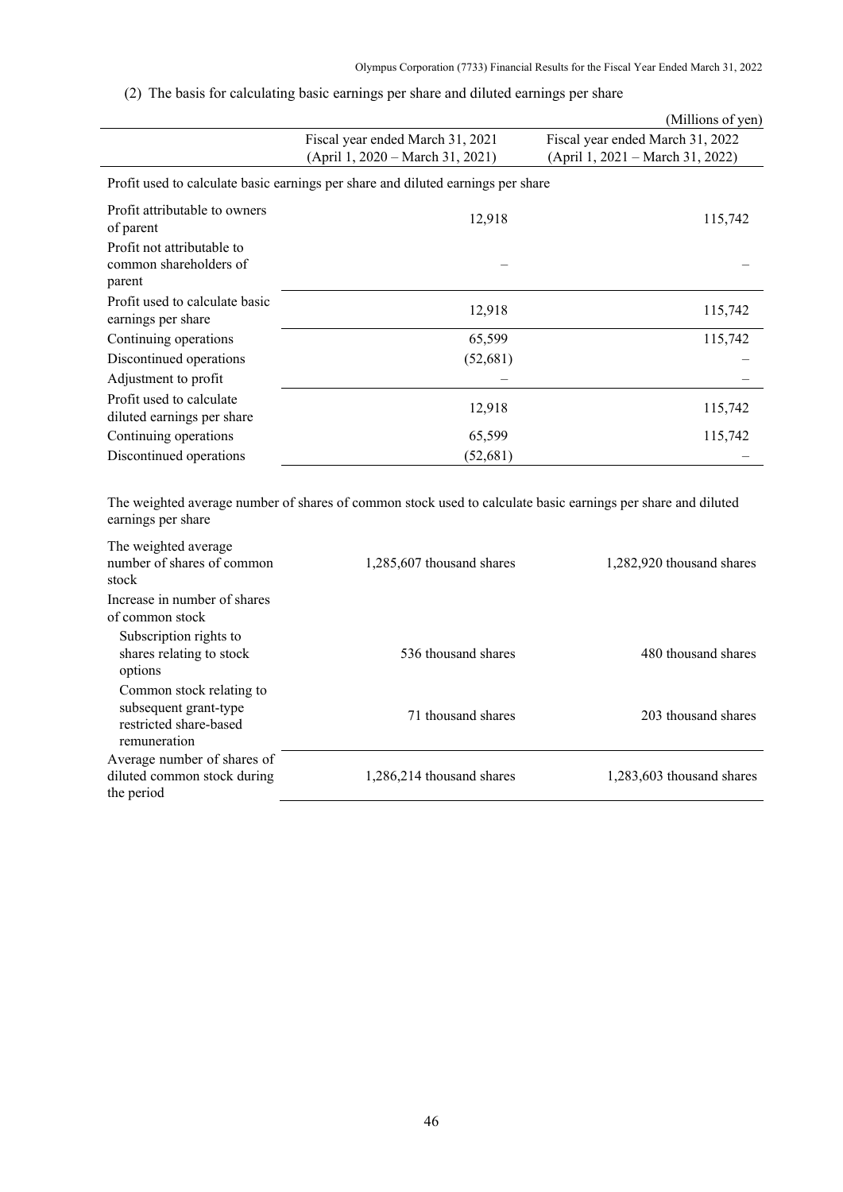# (2) The basis for calculating basic earnings per share and diluted earnings per share

|                                                                |                                                                                  | (Millions of yen)                                                    |
|----------------------------------------------------------------|----------------------------------------------------------------------------------|----------------------------------------------------------------------|
|                                                                | Fiscal year ended March 31, 2021<br>(April 1, 2020 – March 31, 2021)             | Fiscal year ended March 31, 2022<br>(April 1, 2021 – March 31, 2022) |
|                                                                | Profit used to calculate basic earnings per share and diluted earnings per share |                                                                      |
| Profit attributable to owners<br>of parent                     | 12,918                                                                           | 115,742                                                              |
| Profit not attributable to<br>common shareholders of<br>parent |                                                                                  |                                                                      |
| Profit used to calculate basic<br>earnings per share           | 12,918                                                                           | 115,742                                                              |
| Continuing operations                                          | 65,599                                                                           | 115,742                                                              |
| Discontinued operations                                        | (52,681)                                                                         |                                                                      |
| Adjustment to profit                                           |                                                                                  |                                                                      |
| Profit used to calculate<br>diluted earnings per share         | 12,918                                                                           | 115,742                                                              |
| Continuing operations                                          | 65,599                                                                           | 115,742                                                              |
| Discontinued operations                                        | (52, 681)                                                                        |                                                                      |

The weighted average number of shares of common stock used to calculate basic earnings per share and diluted earnings per share

| The weighted average<br>number of shares of common<br>stock                                 | 1,285,607 thousand shares | 1,282,920 thousand shares |
|---------------------------------------------------------------------------------------------|---------------------------|---------------------------|
| Increase in number of shares<br>of common stock                                             |                           |                           |
| Subscription rights to<br>shares relating to stock<br>options                               | 536 thousand shares       | 480 thousand shares       |
| Common stock relating to<br>subsequent grant-type<br>restricted share-based<br>remuneration | 71 thousand shares        | 203 thousand shares       |
| Average number of shares of<br>diluted common stock during<br>the period                    | 1,286,214 thousand shares | 1,283,603 thousand shares |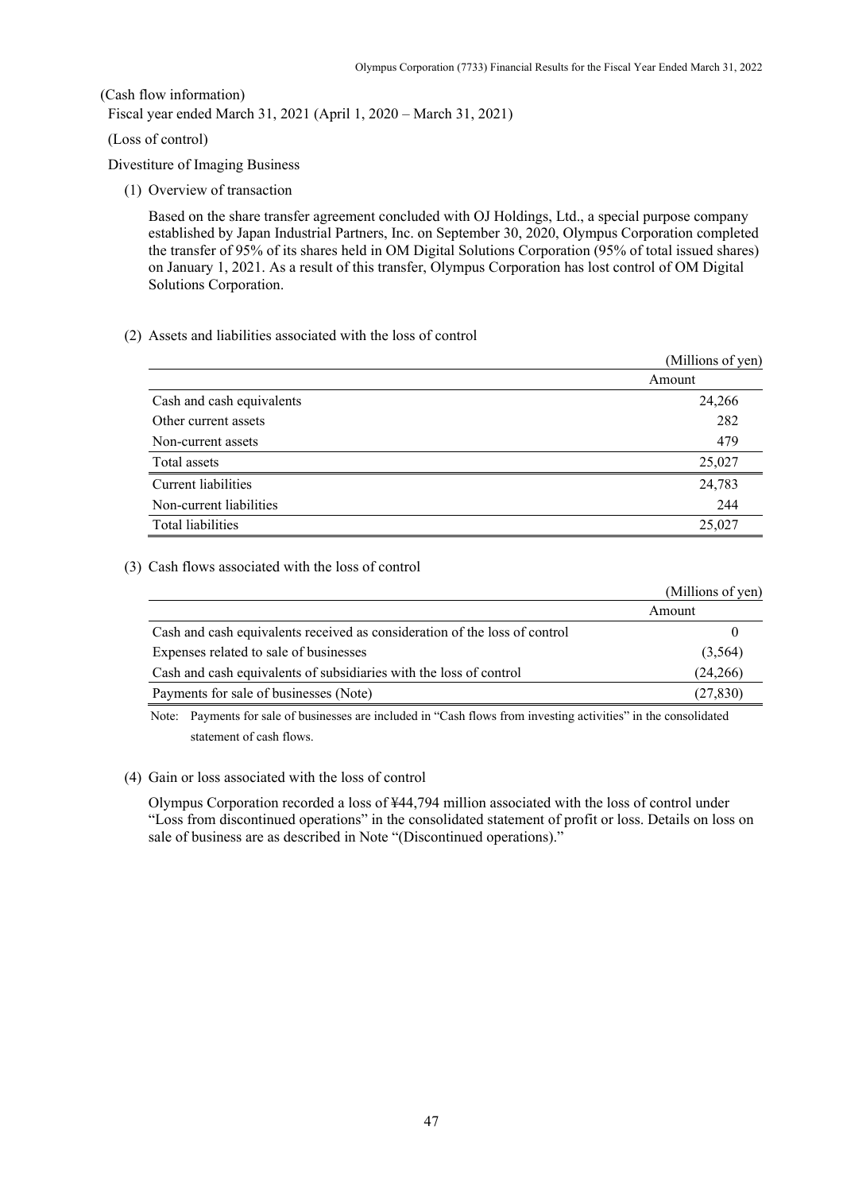### (Cash flow information)

Fiscal year ended March 31, 2021 (April 1, 2020 – March 31, 2021)

### (Loss of control)

Divestiture of Imaging Business

(1) Overview of transaction

Based on the share transfer agreement concluded with OJ Holdings, Ltd., a special purpose company established by Japan Industrial Partners, Inc. on September 30, 2020, Olympus Corporation completed the transfer of 95% of its shares held in OM Digital Solutions Corporation (95% of total issued shares) on January 1, 2021. As a result of this transfer, Olympus Corporation has lost control of OM Digital Solutions Corporation.

### (2) Assets and liabilities associated with the loss of control

|                           | (Millions of yen) |
|---------------------------|-------------------|
|                           | Amount            |
| Cash and cash equivalents | 24,266            |
| Other current assets      | 282               |
| Non-current assets        | 479               |
| Total assets              | 25,027            |
| Current liabilities       | 24,783            |
| Non-current liabilities   | 244               |
| Total liabilities         | 25,027            |

### (3) Cash flows associated with the loss of control

|                                                                            | (Millions of yen) |
|----------------------------------------------------------------------------|-------------------|
|                                                                            | Amount            |
| Cash and cash equivalents received as consideration of the loss of control |                   |
| Expenses related to sale of businesses                                     | (3,564)           |
| Cash and cash equivalents of subsidiaries with the loss of control         | (24,266)          |
| Payments for sale of businesses (Note)                                     | (27, 830)         |

Note: Payments for sale of businesses are included in "Cash flows from investing activities" in the consolidated statement of cash flows.

### (4) Gain or loss associated with the loss of control

Olympus Corporation recorded a loss of ¥44,794 million associated with the loss of control under "Loss from discontinued operations" in the consolidated statement of profit or loss. Details on loss on sale of business are as described in Note "(Discontinued operations)."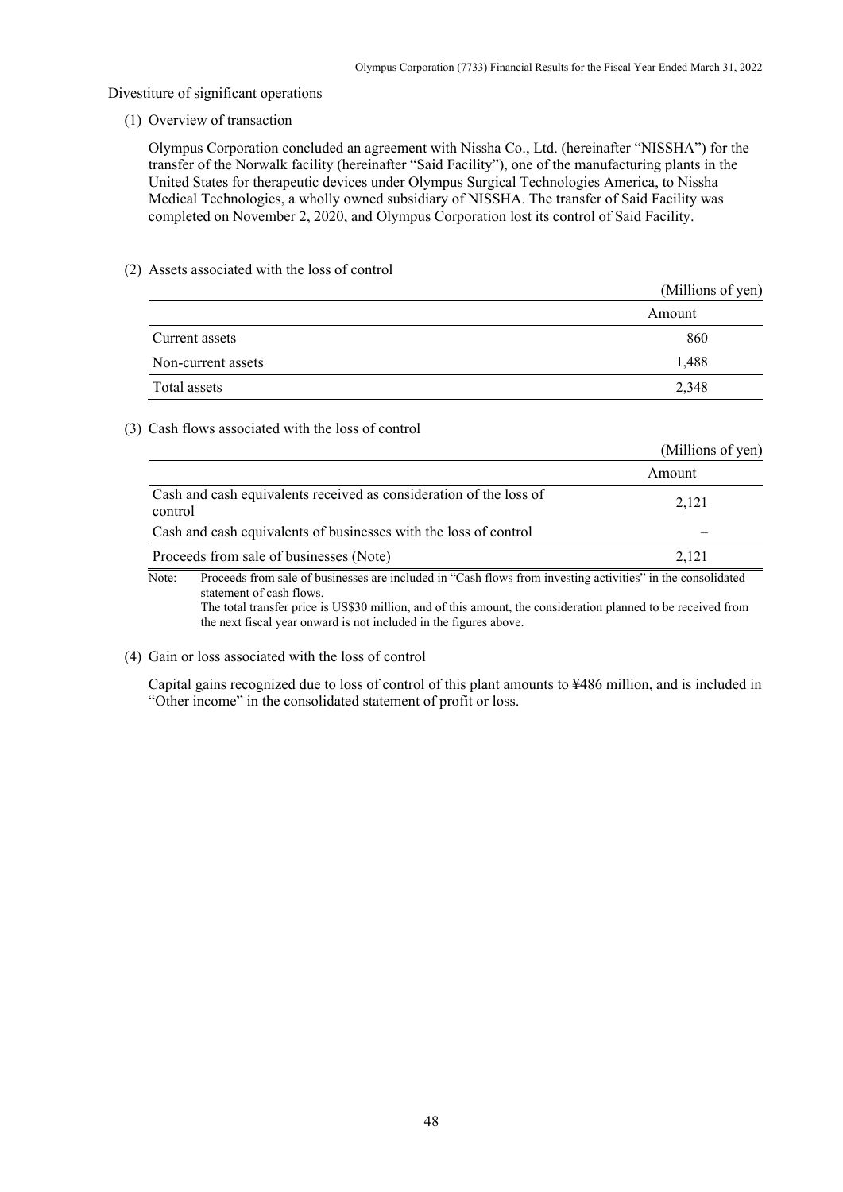#### Divestiture of significant operations

(1) Overview of transaction

Olympus Corporation concluded an agreement with Nissha Co., Ltd. (hereinafter "NISSHA") for the transfer of the Norwalk facility (hereinafter "Said Facility"), one of the manufacturing plants in the United States for therapeutic devices under Olympus Surgical Technologies America, to Nissha Medical Technologies, a wholly owned subsidiary of NISSHA. The transfer of Said Facility was completed on November 2, 2020, and Olympus Corporation lost its control of Said Facility.

### (2) Assets associated with the loss of control

|                    | (Millions of yen) |
|--------------------|-------------------|
|                    | Amount            |
| Current assets     | 860               |
| Non-current assets | 1,488             |
| Total assets       | 2,348             |

#### (3) Cash flows associated with the loss of control

|                                                                                                                      | (Millions of yen) |
|----------------------------------------------------------------------------------------------------------------------|-------------------|
|                                                                                                                      | Amount            |
| Cash and cash equivalents received as consideration of the loss of<br>control                                        | 2,121             |
| Cash and cash equivalents of businesses with the loss of control                                                     |                   |
| Proceeds from sale of businesses (Note)                                                                              | 2.121             |
| Proceeds from sale of businesses are included in "Cash flows from investing activities" in the consolidated<br>Note: |                   |

statement of cash flows. The total transfer price is US\$30 million, and of this amount, the consideration planned to be received from the next fiscal year onward is not included in the figures above.

### (4) Gain or loss associated with the loss of control

Capital gains recognized due to loss of control of this plant amounts to ¥486 million, and is included in "Other income" in the consolidated statement of profit or loss.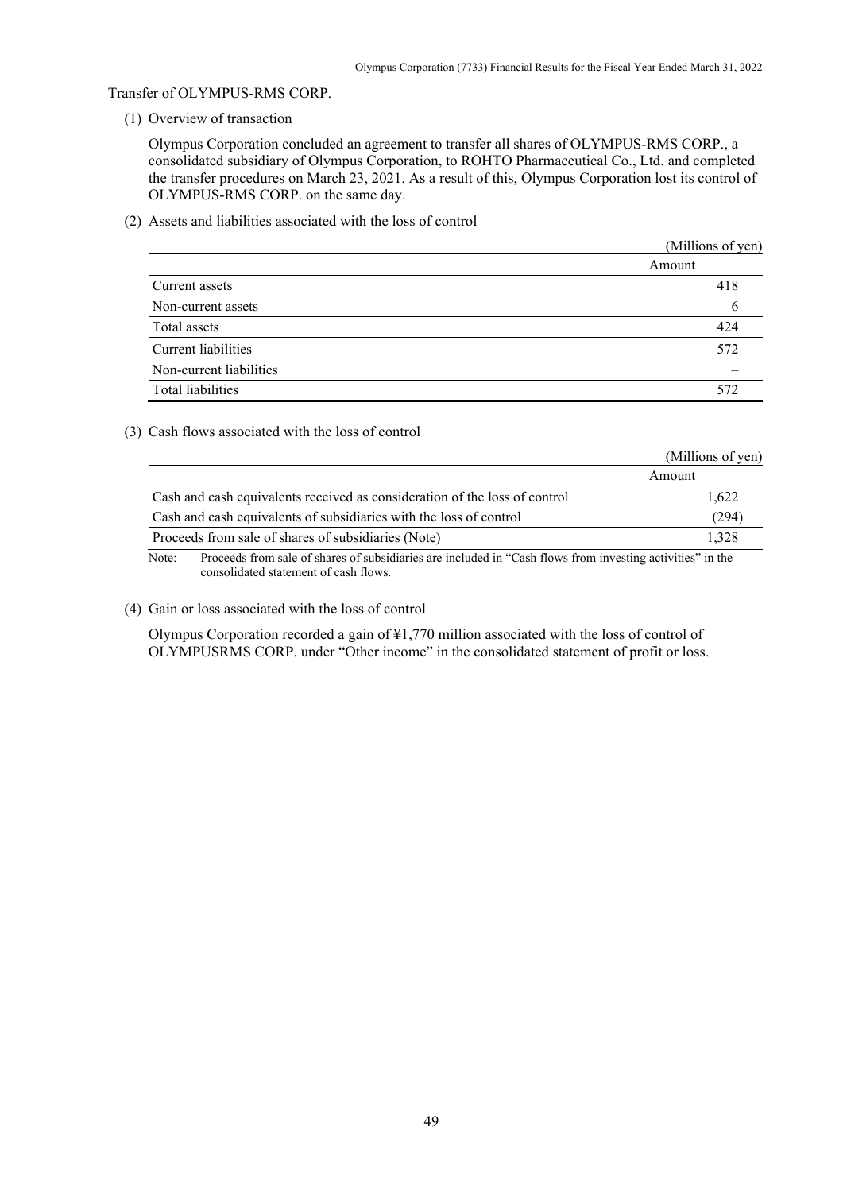### Transfer of OLYMPUS-RMS CORP.

(1) Overview of transaction

Olympus Corporation concluded an agreement to transfer all shares of OLYMPUS-RMS CORP., a consolidated subsidiary of Olympus Corporation, to ROHTO Pharmaceutical Co., Ltd. and completed the transfer procedures on March 23, 2021. As a result of this, Olympus Corporation lost its control of OLYMPUS-RMS CORP. on the same day.

(2) Assets and liabilities associated with the loss of control

|                         | (Millions of yen) |
|-------------------------|-------------------|
|                         | Amount            |
| Current assets          | 418               |
| Non-current assets      | b                 |
| Total assets            | 424               |
| Current liabilities     | 572               |
| Non-current liabilities |                   |
| Total liabilities       | 572               |

### (3) Cash flows associated with the loss of control

|                                                                            | (Millions of yen) |
|----------------------------------------------------------------------------|-------------------|
|                                                                            | Amount            |
| Cash and cash equivalents received as consideration of the loss of control | 1.622             |
| Cash and cash equivalents of subsidiaries with the loss of control         | (294)             |
| Proceeds from sale of shares of subsidiaries (Note)                        | 1.328             |
| .<br>$\sim$ $\sim$                                                         | .                 |

Note: Proceeds from sale of shares of subsidiaries are included in "Cash flows from investing activities" in the consolidated statement of cash flows.

#### (4) Gain or loss associated with the loss of control

Olympus Corporation recorded a gain of ¥1,770 million associated with the loss of control of OLYMPUSRMS CORP. under "Other income" in the consolidated statement of profit or loss.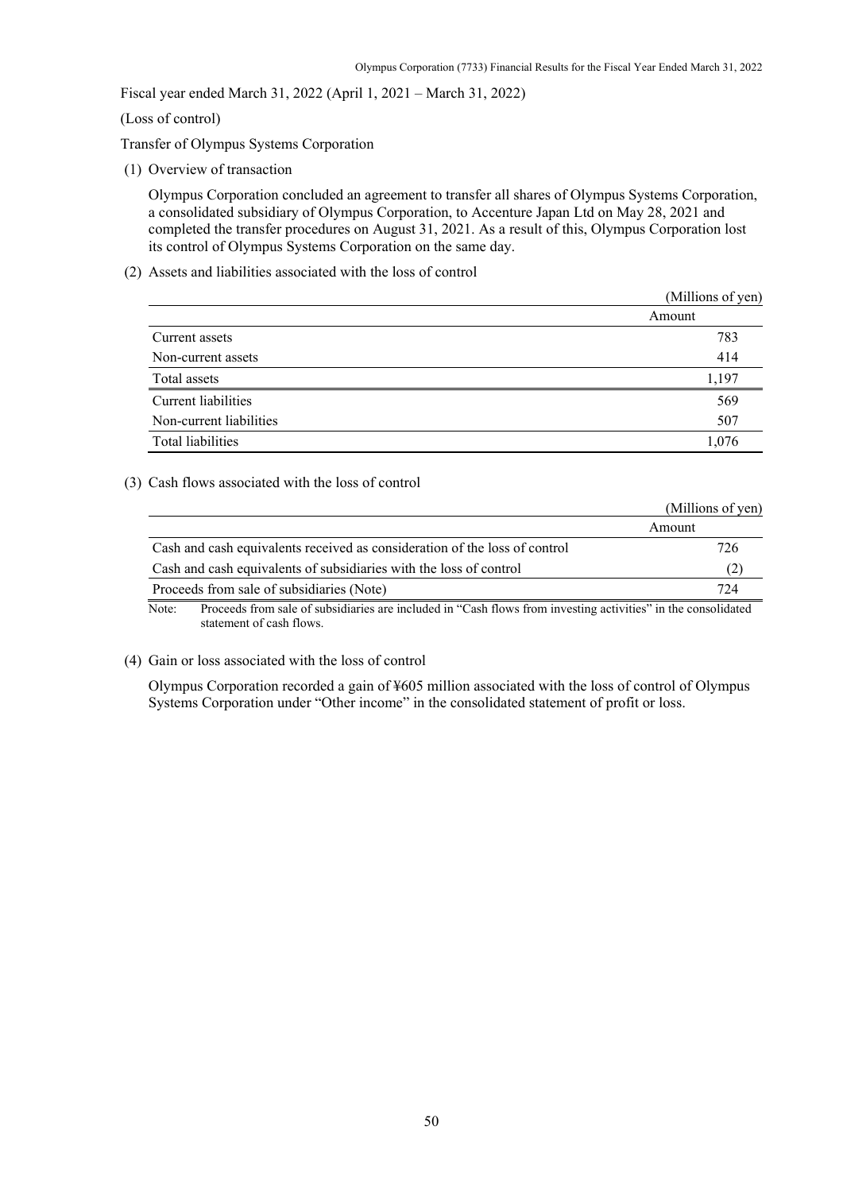Fiscal year ended March 31, 2022 (April 1, 2021 – March 31, 2022)

(Loss of control)

Transfer of Olympus Systems Corporation

(1) Overview of transaction

Olympus Corporation concluded an agreement to transfer all shares of Olympus Systems Corporation, a consolidated subsidiary of Olympus Corporation, to Accenture Japan Ltd on May 28, 2021 and completed the transfer procedures on August 31, 2021. As a result of this, Olympus Corporation lost its control of Olympus Systems Corporation on the same day.

(2) Assets and liabilities associated with the loss of control

|                         | (Millions of yen) |
|-------------------------|-------------------|
|                         | Amount            |
| Current assets          | 783               |
| Non-current assets      | 414               |
| Total assets            | 1,197             |
| Current liabilities     | 569               |
| Non-current liabilities | 507               |
| Total liabilities       | 1,076             |

#### (3) Cash flows associated with the loss of control

|                                                                            | (Millions of yen) |
|----------------------------------------------------------------------------|-------------------|
|                                                                            | Amount            |
| Cash and cash equivalents received as consideration of the loss of control | 726               |
| Cash and cash equivalents of subsidiaries with the loss of control         | $\mathcal{L}$     |
| Proceeds from sale of subsidiaries (Note)                                  | 724               |
| .                                                                          | .<br>.            |

Note: Proceeds from sale of subsidiaries are included in "Cash flows from investing activities" in the consolidated statement of cash flows.

### (4) Gain or loss associated with the loss of control

Olympus Corporation recorded a gain of ¥605 million associated with the loss of control of Olympus Systems Corporation under "Other income" in the consolidated statement of profit or loss.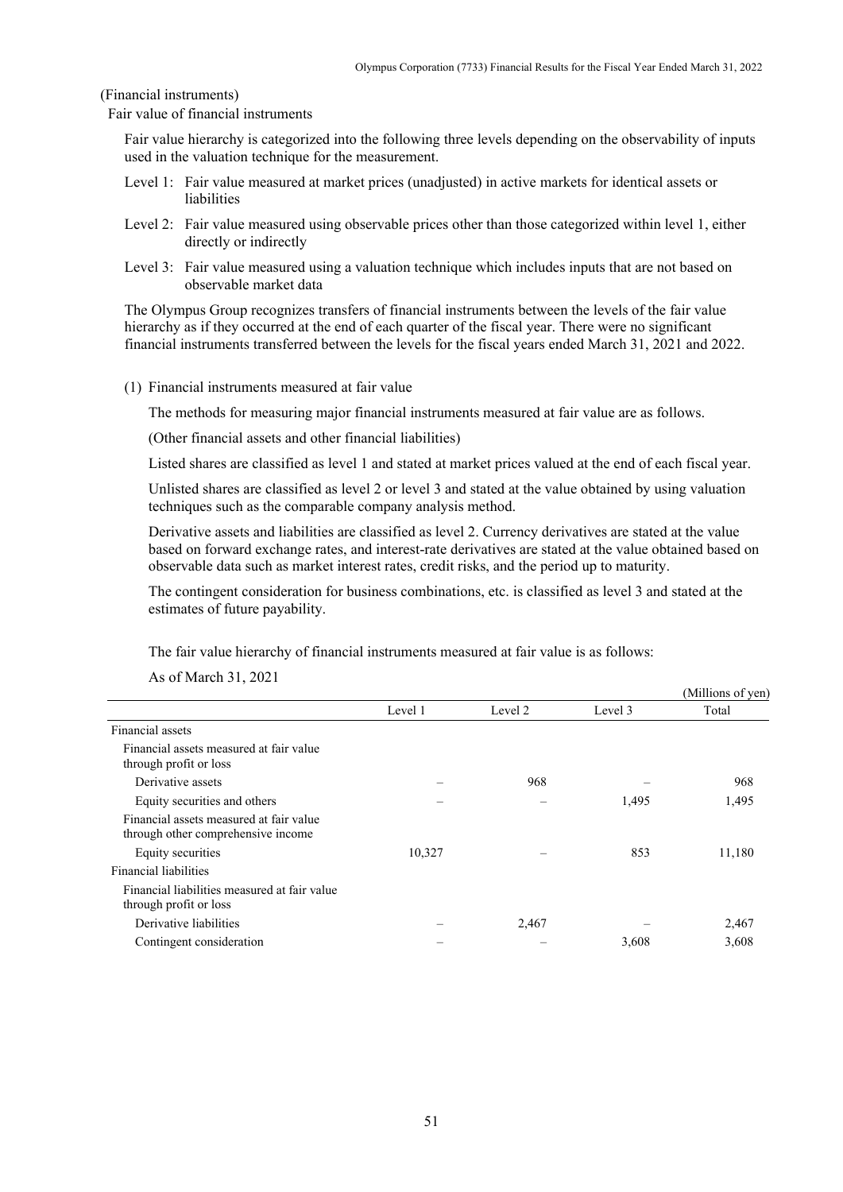(Financial instruments)

Fair value of financial instruments

Fair value hierarchy is categorized into the following three levels depending on the observability of inputs used in the valuation technique for the measurement.

- Level 1: Fair value measured at market prices (unadjusted) in active markets for identical assets or liabilities
- Level 2: Fair value measured using observable prices other than those categorized within level 1, either directly or indirectly
- Level 3: Fair value measured using a valuation technique which includes inputs that are not based on observable market data

The Olympus Group recognizes transfers of financial instruments between the levels of the fair value hierarchy as if they occurred at the end of each quarter of the fiscal year. There were no significant financial instruments transferred between the levels for the fiscal years ended March 31, 2021 and 2022.

(1) Financial instruments measured at fair value

The methods for measuring major financial instruments measured at fair value are as follows.

(Other financial assets and other financial liabilities)

Listed shares are classified as level 1 and stated at market prices valued at the end of each fiscal year.

Unlisted shares are classified as level 2 or level 3 and stated at the value obtained by using valuation techniques such as the comparable company analysis method.

Derivative assets and liabilities are classified as level 2. Currency derivatives are stated at the value based on forward exchange rates, and interest-rate derivatives are stated at the value obtained based on observable data such as market interest rates, credit risks, and the period up to maturity.

The contingent consideration for business combinations, etc. is classified as level 3 and stated at the estimates of future payability.

The fair value hierarchy of financial instruments measured at fair value is as follows:

|                                                                               |         |         |         | (Millions of yen) |
|-------------------------------------------------------------------------------|---------|---------|---------|-------------------|
|                                                                               | Level 1 | Level 2 | Level 3 | Total             |
| Financial assets                                                              |         |         |         |                   |
| Financial assets measured at fair value<br>through profit or loss             |         |         |         |                   |
| Derivative assets                                                             |         | 968     |         | 968               |
| Equity securities and others                                                  |         |         | 1,495   | 1,495             |
| Financial assets measured at fair value<br>through other comprehensive income |         |         |         |                   |
| Equity securities                                                             | 10,327  |         | 853     | 11,180            |
| Financial liabilities                                                         |         |         |         |                   |
| Financial liabilities measured at fair value<br>through profit or loss        |         |         |         |                   |
| Derivative liabilities                                                        |         | 2,467   |         | 2,467             |
| Contingent consideration                                                      |         |         | 3,608   | 3,608             |

As of March 31, 2021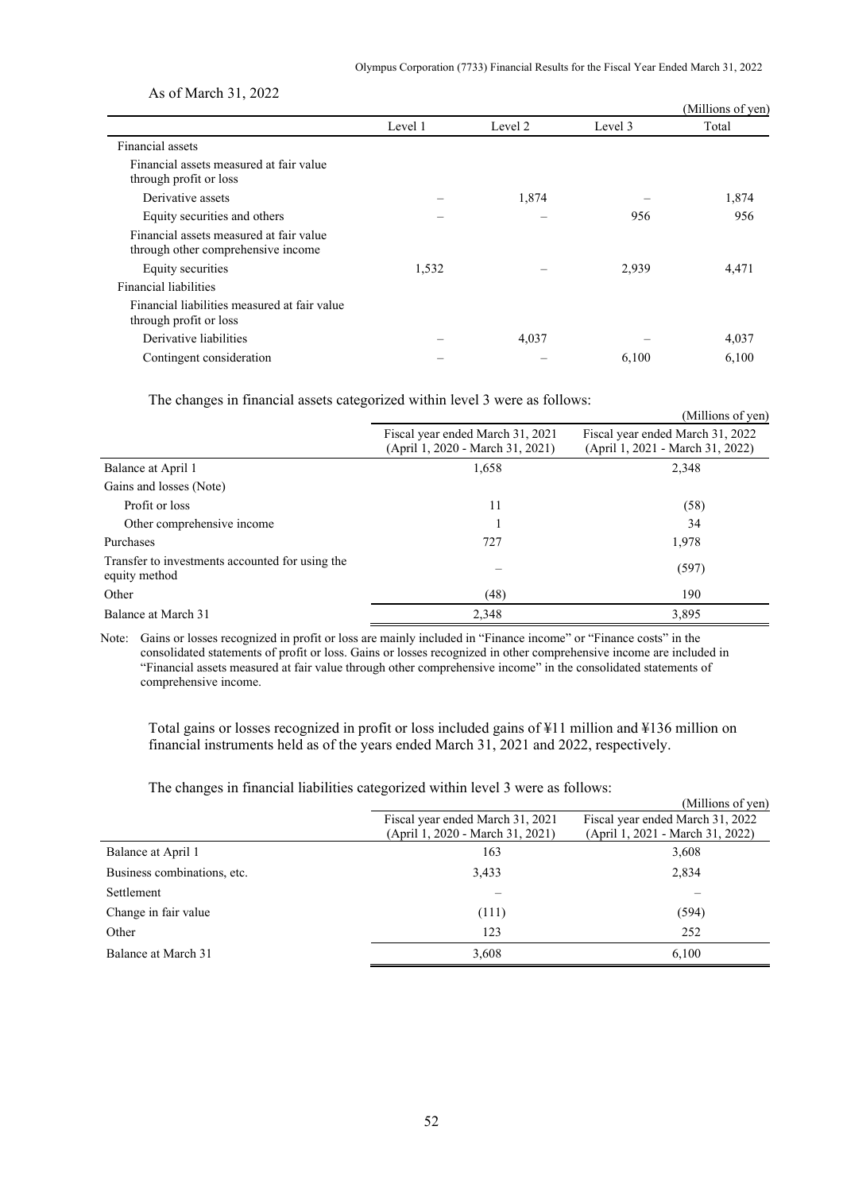|                                                                               |         |         |         | (Millions of yen) |
|-------------------------------------------------------------------------------|---------|---------|---------|-------------------|
|                                                                               | Level 1 | Level 2 | Level 3 | Total             |
| Financial assets                                                              |         |         |         |                   |
| Financial assets measured at fair value<br>through profit or loss             |         |         |         |                   |
| Derivative assets                                                             |         | 1,874   |         | 1,874             |
| Equity securities and others                                                  |         |         | 956     | 956               |
| Financial assets measured at fair value<br>through other comprehensive income |         |         |         |                   |
| Equity securities                                                             | 1,532   |         | 2,939   | 4,471             |
| Financial liabilities                                                         |         |         |         |                   |
| Financial liabilities measured at fair value<br>through profit or loss        |         |         |         |                   |
| Derivative liabilities                                                        |         | 4,037   |         | 4,037             |
| Contingent consideration                                                      |         |         | 6,100   | 6,100             |

As of March 31, 2022

The changes in financial assets categorized within level 3 were as follows:

| ັ<br>ັ                                                           |                                                                      | (Millions of yen)                                                    |
|------------------------------------------------------------------|----------------------------------------------------------------------|----------------------------------------------------------------------|
|                                                                  | Fiscal year ended March 31, 2021<br>(April 1, 2020 - March 31, 2021) | Fiscal year ended March 31, 2022<br>(April 1, 2021 - March 31, 2022) |
| Balance at April 1                                               | 1,658                                                                | 2,348                                                                |
| Gains and losses (Note)                                          |                                                                      |                                                                      |
| Profit or loss                                                   | 11                                                                   | (58)                                                                 |
| Other comprehensive income                                       |                                                                      | 34                                                                   |
| Purchases                                                        | 727                                                                  | 1,978                                                                |
| Transfer to investments accounted for using the<br>equity method |                                                                      | (597)                                                                |
| Other                                                            | (48)                                                                 | 190                                                                  |
| Balance at March 31                                              | 2,348                                                                | 3,895                                                                |

Note: Gains or losses recognized in profit or loss are mainly included in "Finance income" or "Finance costs" in the consolidated statements of profit or loss. Gains or losses recognized in other comprehensive income are included in "Financial assets measured at fair value through other comprehensive income" in the consolidated statements of comprehensive income.

Total gains or losses recognized in profit or loss included gains of ¥11 million and ¥136 million on financial instruments held as of the years ended March 31, 2021 and 2022, respectively.

The changes in financial liabilities categorized within level 3 were as follows:

|                             |                                  | (Millions of yen)                |
|-----------------------------|----------------------------------|----------------------------------|
|                             | Fiscal year ended March 31, 2021 | Fiscal year ended March 31, 2022 |
|                             | (April 1, 2020 - March 31, 2021) | (April 1, 2021 - March 31, 2022) |
| Balance at April 1          | 163                              | 3,608                            |
| Business combinations, etc. | 3,433                            | 2,834                            |
| Settlement                  |                                  |                                  |
| Change in fair value        | (111)                            | (594)                            |
| Other                       | 123                              | 252                              |
| Balance at March 31         | 3,608                            | 6,100                            |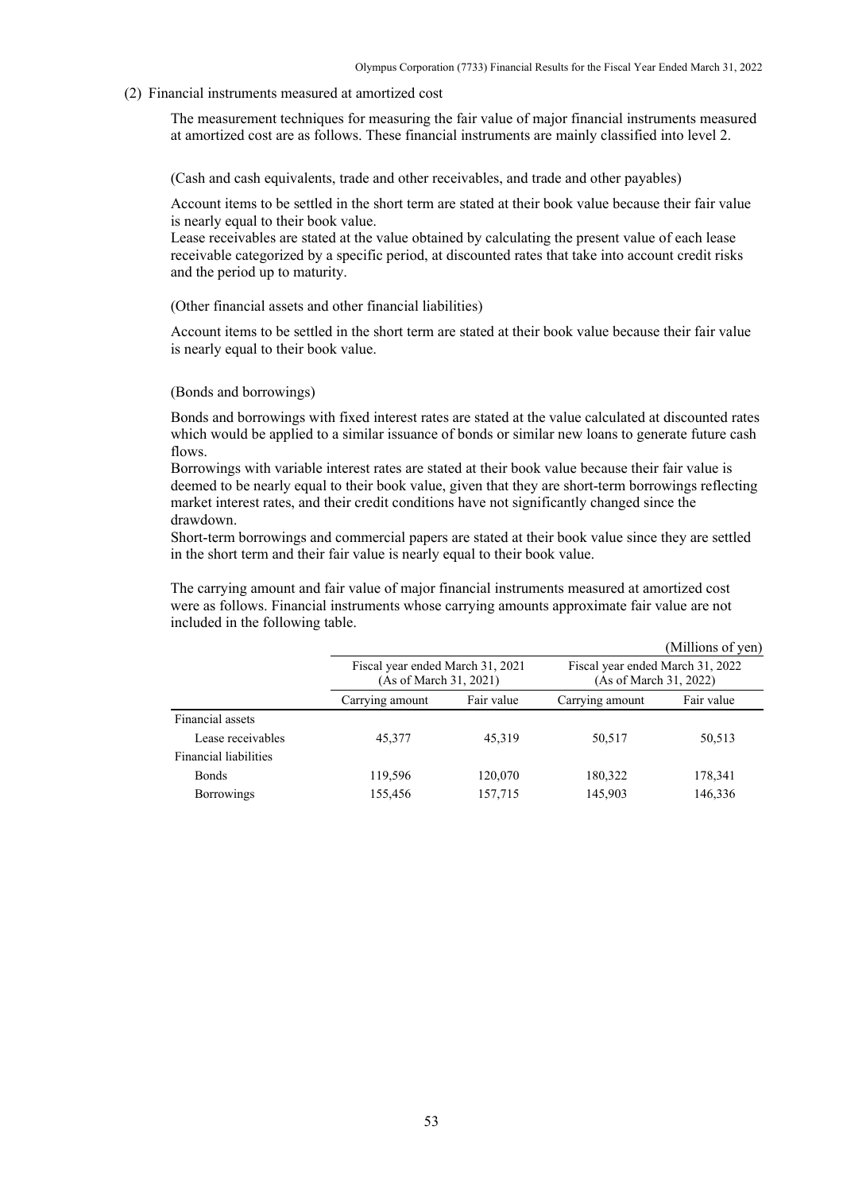#### (2) Financial instruments measured at amortized cost

The measurement techniques for measuring the fair value of major financial instruments measured at amortized cost are as follows. These financial instruments are mainly classified into level 2.

(Cash and cash equivalents, trade and other receivables, and trade and other payables)

Account items to be settled in the short term are stated at their book value because their fair value is nearly equal to their book value.

Lease receivables are stated at the value obtained by calculating the present value of each lease receivable categorized by a specific period, at discounted rates that take into account credit risks and the period up to maturity.

#### (Other financial assets and other financial liabilities)

Account items to be settled in the short term are stated at their book value because their fair value is nearly equal to their book value.

#### (Bonds and borrowings)

Bonds and borrowings with fixed interest rates are stated at the value calculated at discounted rates which would be applied to a similar issuance of bonds or similar new loans to generate future cash flows.

Borrowings with variable interest rates are stated at their book value because their fair value is deemed to be nearly equal to their book value, given that they are short-term borrowings reflecting market interest rates, and their credit conditions have not significantly changed since the drawdown.

Short-term borrowings and commercial papers are stated at their book value since they are settled in the short term and their fair value is nearly equal to their book value.

The carrying amount and fair value of major financial instruments measured at amortized cost were as follows. Financial instruments whose carrying amounts approximate fair value are not included in the following table.

|                              |                                                            |            |                                                            | (Millions of yen) |
|------------------------------|------------------------------------------------------------|------------|------------------------------------------------------------|-------------------|
|                              | Fiscal year ended March 31, 2021<br>(As of March 31, 2021) |            | Fiscal year ended March 31, 2022<br>(As of March 31, 2022) |                   |
|                              | Carrying amount                                            | Fair value | Carrying amount                                            | Fair value        |
| Financial assets             |                                                            |            |                                                            |                   |
| Lease receivables            | 45,377                                                     | 45,319     | 50,517                                                     | 50,513            |
| <b>Financial liabilities</b> |                                                            |            |                                                            |                   |
| <b>Bonds</b>                 | 119,596                                                    | 120,070    | 180,322                                                    | 178,341           |
| <b>Borrowings</b>            | 155,456                                                    | 157,715    | 145,903                                                    | 146,336           |
|                              |                                                            |            |                                                            |                   |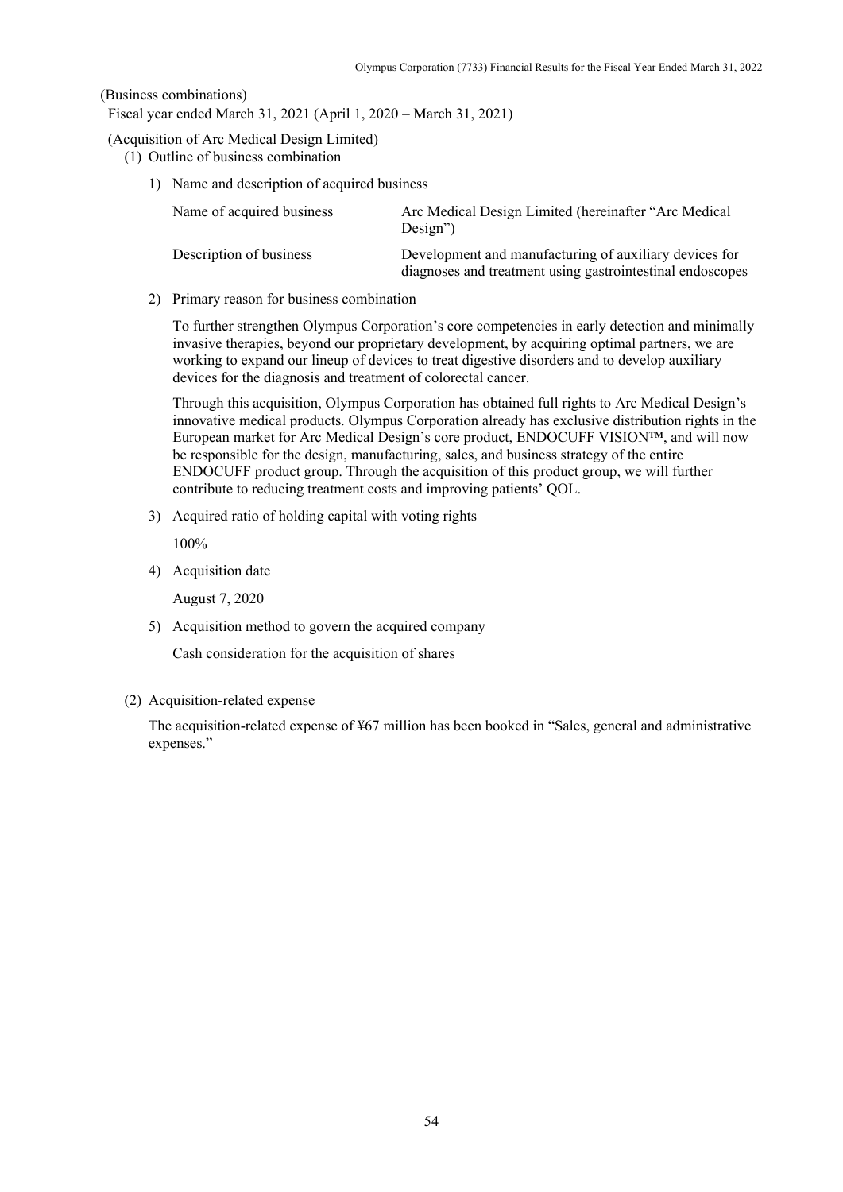### (Business combinations)

Fiscal year ended March 31, 2021 (April 1, 2020 – March 31, 2021)

### (Acquisition of Arc Medical Design Limited)

- (1) Outline of business combination
	- 1) Name and description of acquired business

| Name of acquired business | Arc Medical Design Limited (hereinafter "Arc Medical<br>$Design$ ")                                                 |
|---------------------------|---------------------------------------------------------------------------------------------------------------------|
| Description of business   | Development and manufacturing of auxiliary devices for<br>diagnoses and treatment using gastrointestinal endoscopes |

2) Primary reason for business combination

To further strengthen Olympus Corporation's core competencies in early detection and minimally invasive therapies, beyond our proprietary development, by acquiring optimal partners, we are working to expand our lineup of devices to treat digestive disorders and to develop auxiliary devices for the diagnosis and treatment of colorectal cancer.

Through this acquisition, Olympus Corporation has obtained full rights to Arc Medical Design's innovative medical products. Olympus Corporation already has exclusive distribution rights in the European market for Arc Medical Design's core product, ENDOCUFF VISION™, and will now be responsible for the design, manufacturing, sales, and business strategy of the entire ENDOCUFF product group. Through the acquisition of this product group, we will further contribute to reducing treatment costs and improving patients' QOL.

3) Acquired ratio of holding capital with voting rights

100%

4) Acquisition date

August 7, 2020

5) Acquisition method to govern the acquired company

Cash consideration for the acquisition of shares

(2) Acquisition-related expense

The acquisition-related expense of ¥67 million has been booked in "Sales, general and administrative expenses."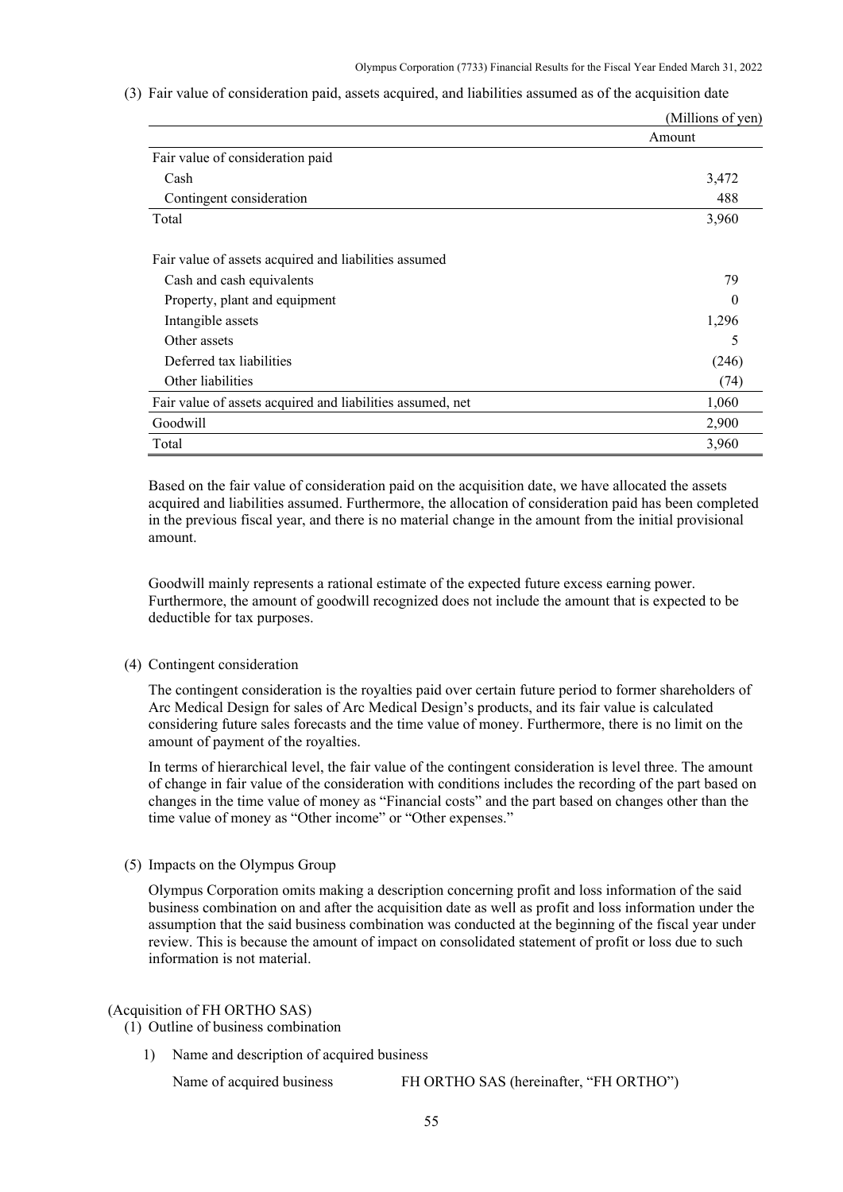|  |  |  |  |  |  |  |  |  | (3) Fair value of consideration paid, assets acquired, and liabilities assumed as of the acquisition date |  |  |  |  |  |
|--|--|--|--|--|--|--|--|--|-----------------------------------------------------------------------------------------------------------|--|--|--|--|--|
|--|--|--|--|--|--|--|--|--|-----------------------------------------------------------------------------------------------------------|--|--|--|--|--|

|                                                            | (Millions of yen) |
|------------------------------------------------------------|-------------------|
|                                                            | Amount            |
| Fair value of consideration paid                           |                   |
| Cash                                                       | 3,472             |
| Contingent consideration                                   | 488               |
| Total                                                      | 3,960             |
| Fair value of assets acquired and liabilities assumed      |                   |
| Cash and cash equivalents                                  | 79                |
| Property, plant and equipment                              |                   |
| Intangible assets                                          | 1,296             |
| Other assets                                               | 5                 |
| Deferred tax liabilities                                   | (246)             |
| Other liabilities                                          | (74)              |
| Fair value of assets acquired and liabilities assumed, net | 1,060             |
| Goodwill                                                   | 2,900             |
| Total                                                      | 3,960             |

Based on the fair value of consideration paid on the acquisition date, we have allocated the assets acquired and liabilities assumed. Furthermore, the allocation of consideration paid has been completed in the previous fiscal year, and there is no material change in the amount from the initial provisional amount.

Goodwill mainly represents a rational estimate of the expected future excess earning power. Furthermore, the amount of goodwill recognized does not include the amount that is expected to be deductible for tax purposes.

#### (4) Contingent consideration

The contingent consideration is the royalties paid over certain future period to former shareholders of Arc Medical Design for sales of Arc Medical Design's products, and its fair value is calculated considering future sales forecasts and the time value of money. Furthermore, there is no limit on the amount of payment of the royalties.

In terms of hierarchical level, the fair value of the contingent consideration is level three. The amount of change in fair value of the consideration with conditions includes the recording of the part based on changes in the time value of money as "Financial costs" and the part based on changes other than the time value of money as "Other income" or "Other expenses."

#### (5) Impacts on the Olympus Group

Olympus Corporation omits making a description concerning profit and loss information of the said business combination on and after the acquisition date as well as profit and loss information under the assumption that the said business combination was conducted at the beginning of the fiscal year under review. This is because the amount of impact on consolidated statement of profit or loss due to such information is not material.

#### (Acquisition of FH ORTHO SAS)

(1) Outline of business combination

1) Name and description of acquired business

Name of acquired business FH ORTHO SAS (hereinafter, "FH ORTHO")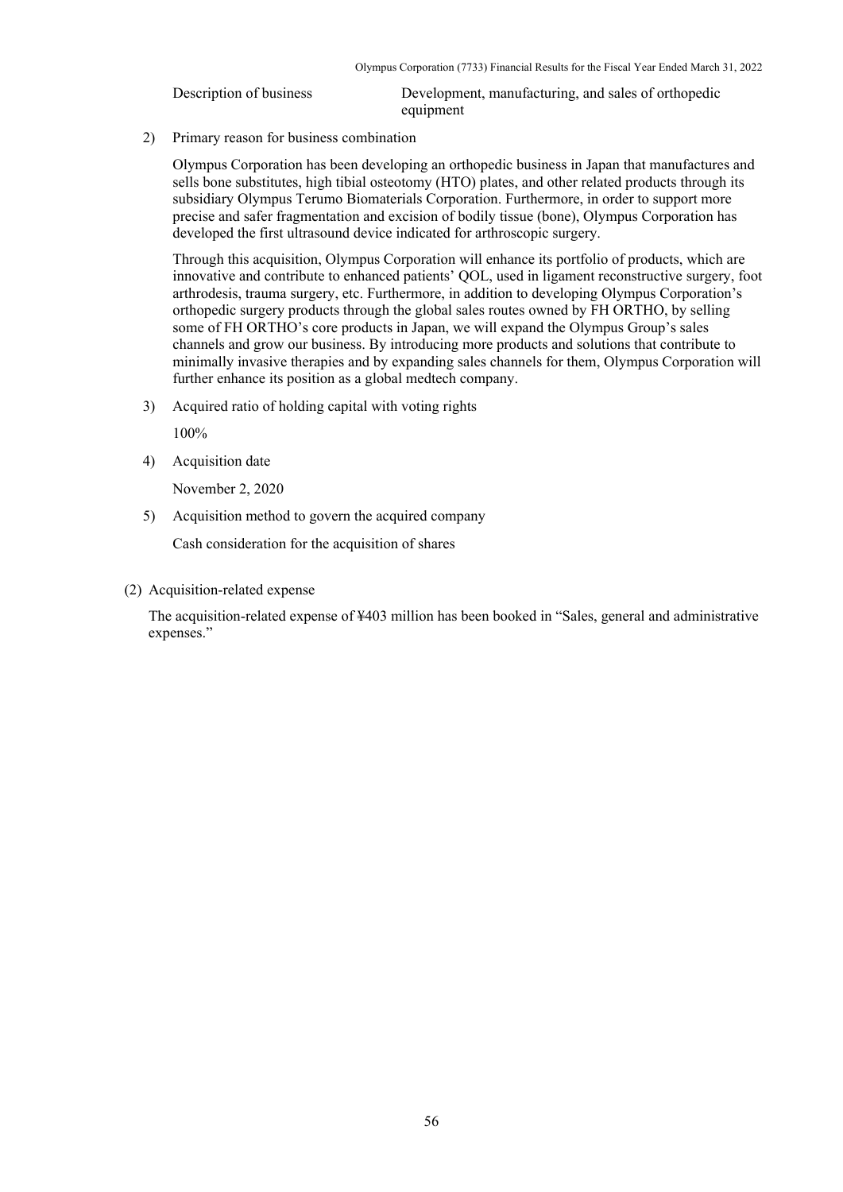Description of business Development, manufacturing, and sales of orthopedic equipment

2) Primary reason for business combination

Olympus Corporation has been developing an orthopedic business in Japan that manufactures and sells bone substitutes, high tibial osteotomy (HTO) plates, and other related products through its subsidiary Olympus Terumo Biomaterials Corporation. Furthermore, in order to support more precise and safer fragmentation and excision of bodily tissue (bone), Olympus Corporation has developed the first ultrasound device indicated for arthroscopic surgery.

Through this acquisition, Olympus Corporation will enhance its portfolio of products, which are innovative and contribute to enhanced patients' QOL, used in ligament reconstructive surgery, foot arthrodesis, trauma surgery, etc. Furthermore, in addition to developing Olympus Corporation's orthopedic surgery products through the global sales routes owned by FH ORTHO, by selling some of FH ORTHO's core products in Japan, we will expand the Olympus Group's sales channels and grow our business. By introducing more products and solutions that contribute to minimally invasive therapies and by expanding sales channels for them, Olympus Corporation will further enhance its position as a global medtech company.

3) Acquired ratio of holding capital with voting rights

100%

4) Acquisition date

November 2, 2020

5) Acquisition method to govern the acquired company

Cash consideration for the acquisition of shares

(2) Acquisition-related expense

The acquisition-related expense of ¥403 million has been booked in "Sales, general and administrative expenses."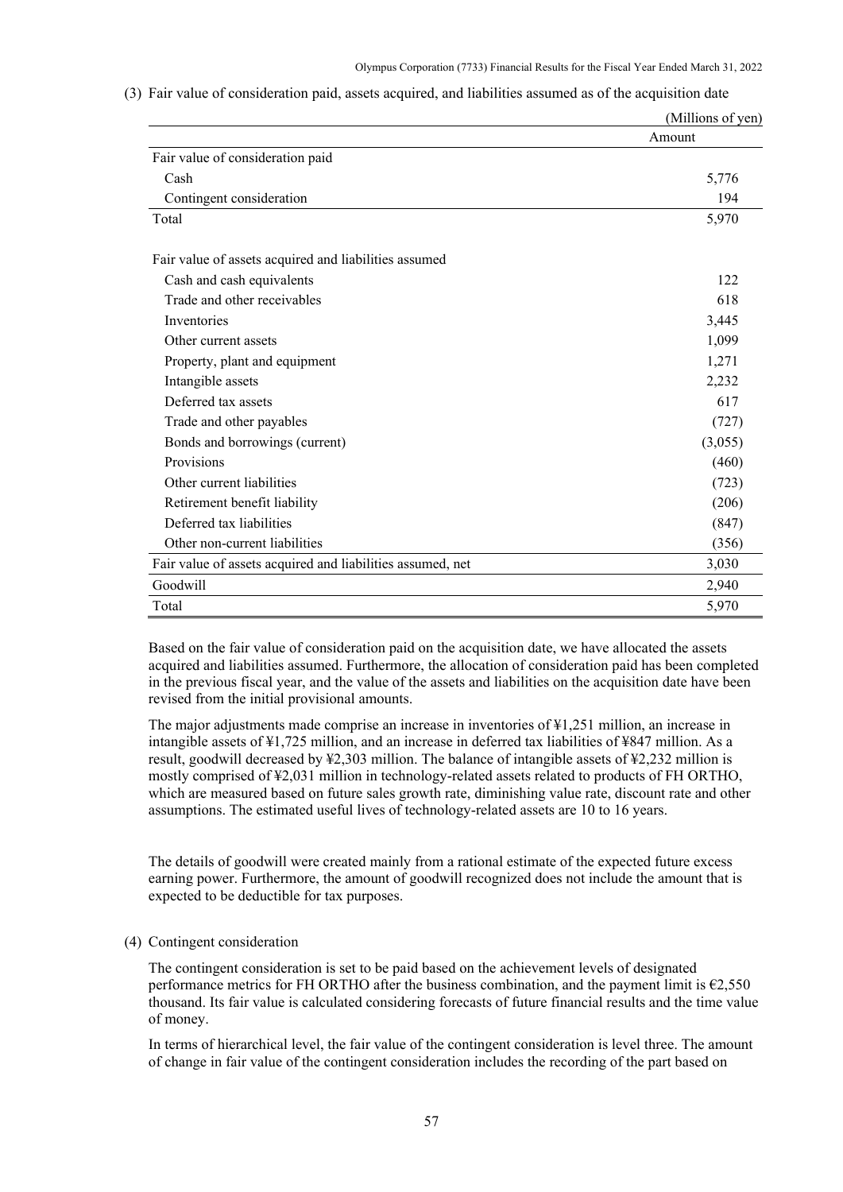|                                                            | (Millions of yen) |
|------------------------------------------------------------|-------------------|
|                                                            | Amount            |
| Fair value of consideration paid                           |                   |
| Cash                                                       | 5,776             |
| Contingent consideration                                   | 194               |
| Total                                                      | 5,970             |
| Fair value of assets acquired and liabilities assumed      |                   |
| Cash and cash equivalents                                  | 122               |
| Trade and other receivables                                | 618               |
| Inventories                                                | 3,445             |
| Other current assets                                       | 1,099             |
| Property, plant and equipment                              | 1,271             |
| Intangible assets                                          | 2,232             |
| Deferred tax assets                                        | 617               |
| Trade and other payables                                   | (727)             |
| Bonds and borrowings (current)                             | (3,055)           |
| Provisions                                                 | (460)             |
| Other current liabilities                                  | (723)             |
| Retirement benefit liability                               | (206)             |
| Deferred tax liabilities                                   | (847)             |
| Other non-current liabilities                              | (356)             |
| Fair value of assets acquired and liabilities assumed, net | 3,030             |
| Goodwill                                                   | 2,940             |
| Total                                                      | 5,970             |

(3) Fair value of consideration paid, assets acquired, and liabilities assumed as of the acquisition date

Based on the fair value of consideration paid on the acquisition date, we have allocated the assets acquired and liabilities assumed. Furthermore, the allocation of consideration paid has been completed in the previous fiscal year, and the value of the assets and liabilities on the acquisition date have been revised from the initial provisional amounts.

The major adjustments made comprise an increase in inventories of ¥1,251 million, an increase in intangible assets of ¥1,725 million, and an increase in deferred tax liabilities of ¥847 million. As a result, goodwill decreased by ¥2,303 million. The balance of intangible assets of ¥2,232 million is mostly comprised of ¥2,031 million in technology-related assets related to products of FH ORTHO, which are measured based on future sales growth rate, diminishing value rate, discount rate and other assumptions. The estimated useful lives of technology-related assets are 10 to 16 years.

The details of goodwill were created mainly from a rational estimate of the expected future excess earning power. Furthermore, the amount of goodwill recognized does not include the amount that is expected to be deductible for tax purposes.

#### (4) Contingent consideration

The contingent consideration is set to be paid based on the achievement levels of designated performance metrics for FH ORTHO after the business combination, and the payment limit is  $\epsilon$ 2,550 thousand. Its fair value is calculated considering forecasts of future financial results and the time value of money.

In terms of hierarchical level, the fair value of the contingent consideration is level three. The amount of change in fair value of the contingent consideration includes the recording of the part based on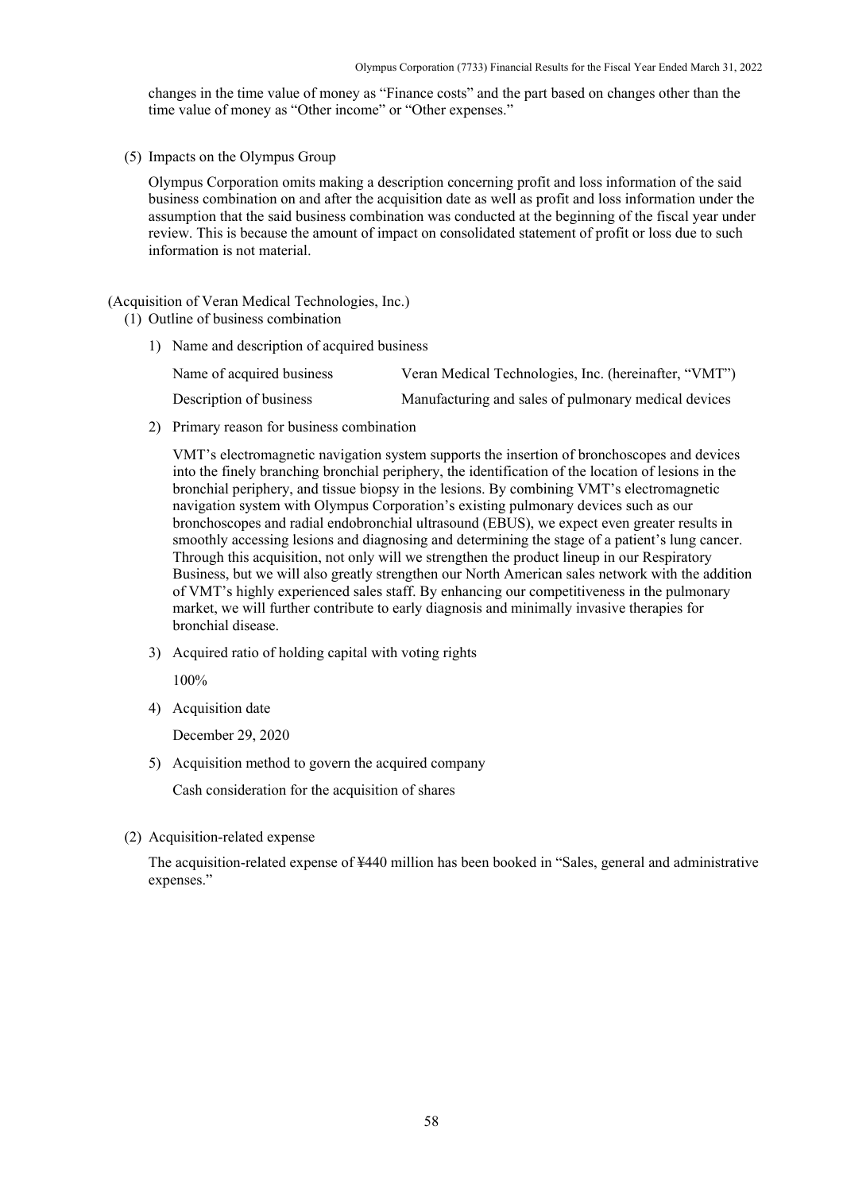changes in the time value of money as "Finance costs" and the part based on changes other than the time value of money as "Other income" or "Other expenses."

(5) Impacts on the Olympus Group

Olympus Corporation omits making a description concerning profit and loss information of the said business combination on and after the acquisition date as well as profit and loss information under the assumption that the said business combination was conducted at the beginning of the fiscal year under review. This is because the amount of impact on consolidated statement of profit or loss due to such information is not material.

(Acquisition of Veran Medical Technologies, Inc.)

- (1) Outline of business combination
	- 1) Name and description of acquired business

| Name of acquired business | Veran Medical Technologies, Inc. (hereinafter, "VMT") |
|---------------------------|-------------------------------------------------------|
| Description of business   | Manufacturing and sales of pulmonary medical devices  |

2) Primary reason for business combination

VMT's electromagnetic navigation system supports the insertion of bronchoscopes and devices into the finely branching bronchial periphery, the identification of the location of lesions in the bronchial periphery, and tissue biopsy in the lesions. By combining VMT's electromagnetic navigation system with Olympus Corporation's existing pulmonary devices such as our bronchoscopes and radial endobronchial ultrasound (EBUS), we expect even greater results in smoothly accessing lesions and diagnosing and determining the stage of a patient's lung cancer. Through this acquisition, not only will we strengthen the product lineup in our Respiratory Business, but we will also greatly strengthen our North American sales network with the addition of VMT's highly experienced sales staff. By enhancing our competitiveness in the pulmonary market, we will further contribute to early diagnosis and minimally invasive therapies for bronchial disease.

3) Acquired ratio of holding capital with voting rights

100%

4) Acquisition date

December 29, 2020

5) Acquisition method to govern the acquired company

Cash consideration for the acquisition of shares

(2) Acquisition-related expense

The acquisition-related expense of ¥440 million has been booked in "Sales, general and administrative expenses."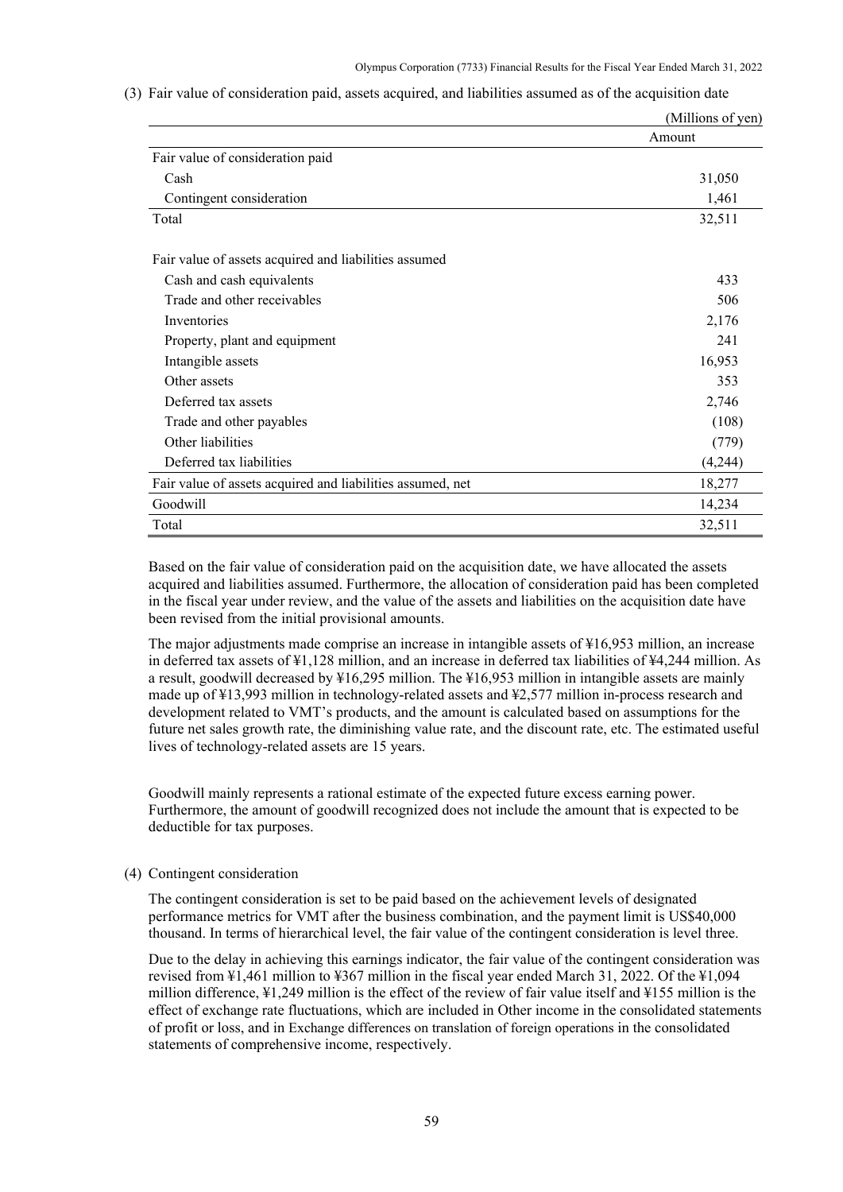|                                                            | (Millions of yen) |
|------------------------------------------------------------|-------------------|
|                                                            | Amount            |
| Fair value of consideration paid                           |                   |
| Cash                                                       | 31,050            |
| Contingent consideration                                   | 1,461             |
| Total                                                      | 32,511            |
| Fair value of assets acquired and liabilities assumed      |                   |
| Cash and cash equivalents                                  | 433               |
| Trade and other receivables                                | 506               |
| Inventories                                                | 2,176             |
| Property, plant and equipment                              | 241               |
| Intangible assets                                          | 16,953            |
| Other assets                                               | 353               |
| Deferred tax assets                                        | 2,746             |
| Trade and other payables                                   | (108)             |
| Other liabilities                                          | (779)             |
| Deferred tax liabilities                                   | (4,244)           |
| Fair value of assets acquired and liabilities assumed, net | 18,277            |
| Goodwill                                                   | 14,234            |
| Total                                                      | 32,511            |

(3) Fair value of consideration paid, assets acquired, and liabilities assumed as of the acquisition date

Based on the fair value of consideration paid on the acquisition date, we have allocated the assets acquired and liabilities assumed. Furthermore, the allocation of consideration paid has been completed in the fiscal year under review, and the value of the assets and liabilities on the acquisition date have been revised from the initial provisional amounts.

The major adjustments made comprise an increase in intangible assets of ¥16,953 million, an increase in deferred tax assets of ¥1,128 million, and an increase in deferred tax liabilities of ¥4,244 million. As a result, goodwill decreased by ¥16,295 million. The ¥16,953 million in intangible assets are mainly made up of ¥13,993 million in technology-related assets and ¥2,577 million in-process research and development related to VMT's products, and the amount is calculated based on assumptions for the future net sales growth rate, the diminishing value rate, and the discount rate, etc. The estimated useful lives of technology-related assets are 15 years.

Goodwill mainly represents a rational estimate of the expected future excess earning power. Furthermore, the amount of goodwill recognized does not include the amount that is expected to be deductible for tax purposes.

### (4) Contingent consideration

The contingent consideration is set to be paid based on the achievement levels of designated performance metrics for VMT after the business combination, and the payment limit is US\$40,000 thousand. In terms of hierarchical level, the fair value of the contingent consideration is level three.

Due to the delay in achieving this earnings indicator, the fair value of the contingent consideration was revised from ¥1,461 million to ¥367 million in the fiscal year ended March 31, 2022. Of the ¥1,094 million difference, ¥1,249 million is the effect of the review of fair value itself and ¥155 million is the effect of exchange rate fluctuations, which are included in Other income in the consolidated statements of profit or loss, and in Exchange differences on translation of foreign operations in the consolidated statements of comprehensive income, respectively.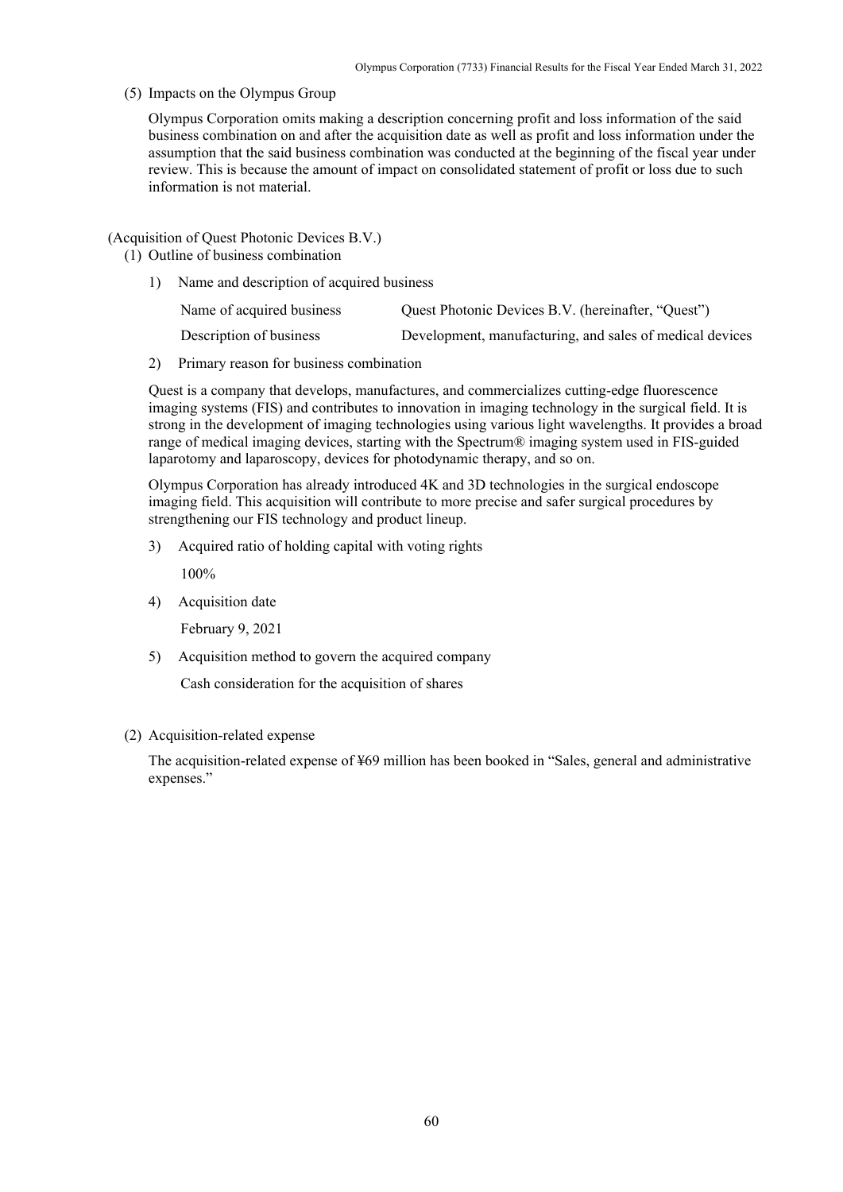(5) Impacts on the Olympus Group

Olympus Corporation omits making a description concerning profit and loss information of the said business combination on and after the acquisition date as well as profit and loss information under the assumption that the said business combination was conducted at the beginning of the fiscal year under review. This is because the amount of impact on consolidated statement of profit or loss due to such information is not material.

### (Acquisition of Quest Photonic Devices B.V.)

- (1) Outline of business combination
	- 1) Name and description of acquired business

| Name of acquired business | Quest Photonic Devices B.V. (hereinafter, "Quest")       |
|---------------------------|----------------------------------------------------------|
| Description of business   | Development, manufacturing, and sales of medical devices |

2) Primary reason for business combination

Quest is a company that develops, manufactures, and commercializes cutting-edge fluorescence imaging systems (FIS) and contributes to innovation in imaging technology in the surgical field. It is strong in the development of imaging technologies using various light wavelengths. It provides a broad range of medical imaging devices, starting with the Spectrum® imaging system used in FIS-guided laparotomy and laparoscopy, devices for photodynamic therapy, and so on.

Olympus Corporation has already introduced 4K and 3D technologies in the surgical endoscope imaging field. This acquisition will contribute to more precise and safer surgical procedures by strengthening our FIS technology and product lineup.

3) Acquired ratio of holding capital with voting rights

100%

4) Acquisition date

February 9, 2021

5) Acquisition method to govern the acquired company

Cash consideration for the acquisition of shares

### (2) Acquisition-related expense

The acquisition-related expense of ¥69 million has been booked in "Sales, general and administrative expenses."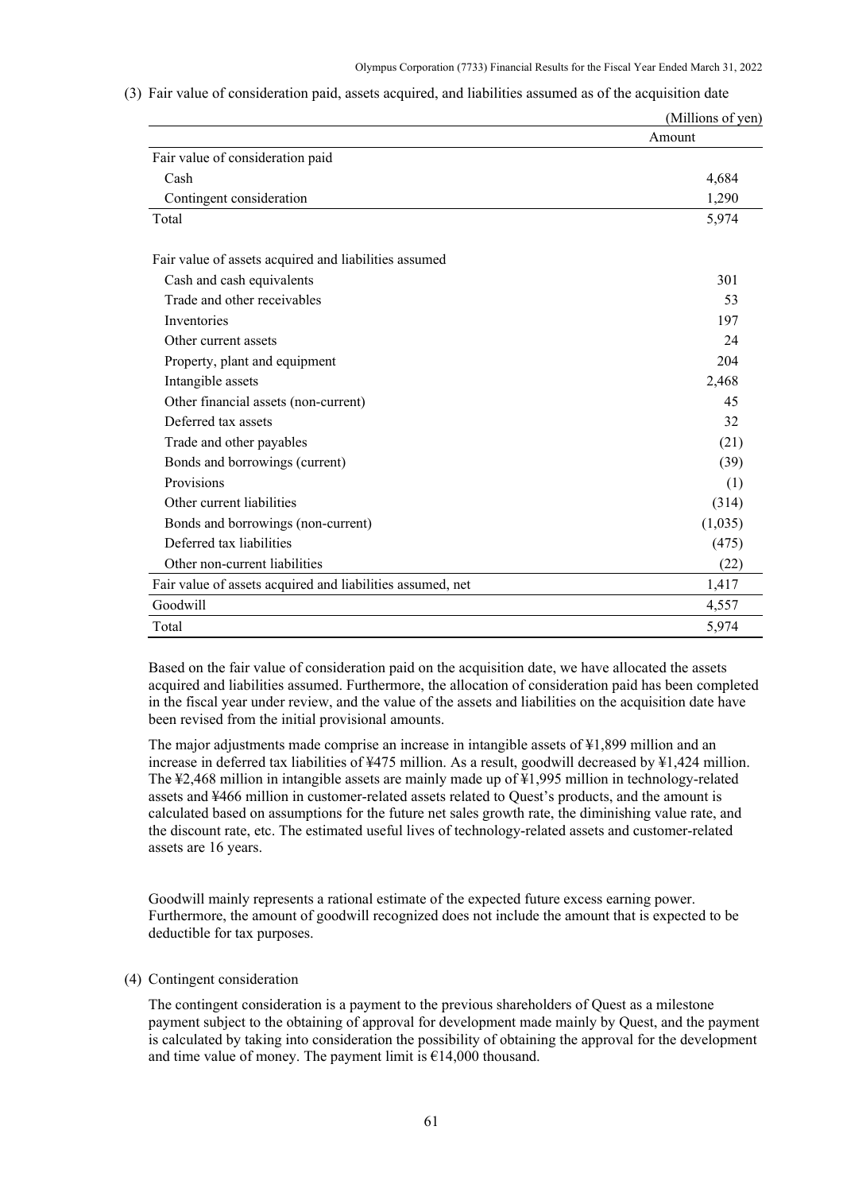|                                                            | (Millions of yen) |
|------------------------------------------------------------|-------------------|
|                                                            | Amount            |
| Fair value of consideration paid                           |                   |
| Cash                                                       | 4,684             |
| Contingent consideration                                   | 1,290             |
| Total                                                      | 5,974             |
| Fair value of assets acquired and liabilities assumed      |                   |
| Cash and cash equivalents                                  | 301               |
| Trade and other receivables                                | 53                |
| Inventories                                                | 197               |
| Other current assets                                       | 24                |
| Property, plant and equipment                              | 204               |
| Intangible assets                                          | 2,468             |
| Other financial assets (non-current)                       | 45                |
| Deferred tax assets                                        | 32                |
| Trade and other payables                                   | (21)              |
| Bonds and borrowings (current)                             | (39)              |
| Provisions                                                 | (1)               |
| Other current liabilities                                  | (314)             |
| Bonds and borrowings (non-current)                         | (1,035)           |
| Deferred tax liabilities                                   | (475)             |
| Other non-current liabilities                              | (22)              |
| Fair value of assets acquired and liabilities assumed, net | 1,417             |
| Goodwill                                                   | 4,557             |
| Total                                                      | 5,974             |

(3) Fair value of consideration paid, assets acquired, and liabilities assumed as of the acquisition date

Based on the fair value of consideration paid on the acquisition date, we have allocated the assets acquired and liabilities assumed. Furthermore, the allocation of consideration paid has been completed in the fiscal year under review, and the value of the assets and liabilities on the acquisition date have been revised from the initial provisional amounts.

The major adjustments made comprise an increase in intangible assets of ¥1,899 million and an increase in deferred tax liabilities of ¥475 million. As a result, goodwill decreased by ¥1,424 million. The ¥2,468 million in intangible assets are mainly made up of ¥1,995 million in technology-related assets and ¥466 million in customer-related assets related to Quest's products, and the amount is calculated based on assumptions for the future net sales growth rate, the diminishing value rate, and the discount rate, etc. The estimated useful lives of technology-related assets and customer-related assets are 16 years.

Goodwill mainly represents a rational estimate of the expected future excess earning power. Furthermore, the amount of goodwill recognized does not include the amount that is expected to be deductible for tax purposes.

### (4) Contingent consideration

The contingent consideration is a payment to the previous shareholders of Quest as a milestone payment subject to the obtaining of approval for development made mainly by Quest, and the payment is calculated by taking into consideration the possibility of obtaining the approval for the development and time value of money. The payment limit is  $\epsilon$ 14,000 thousand.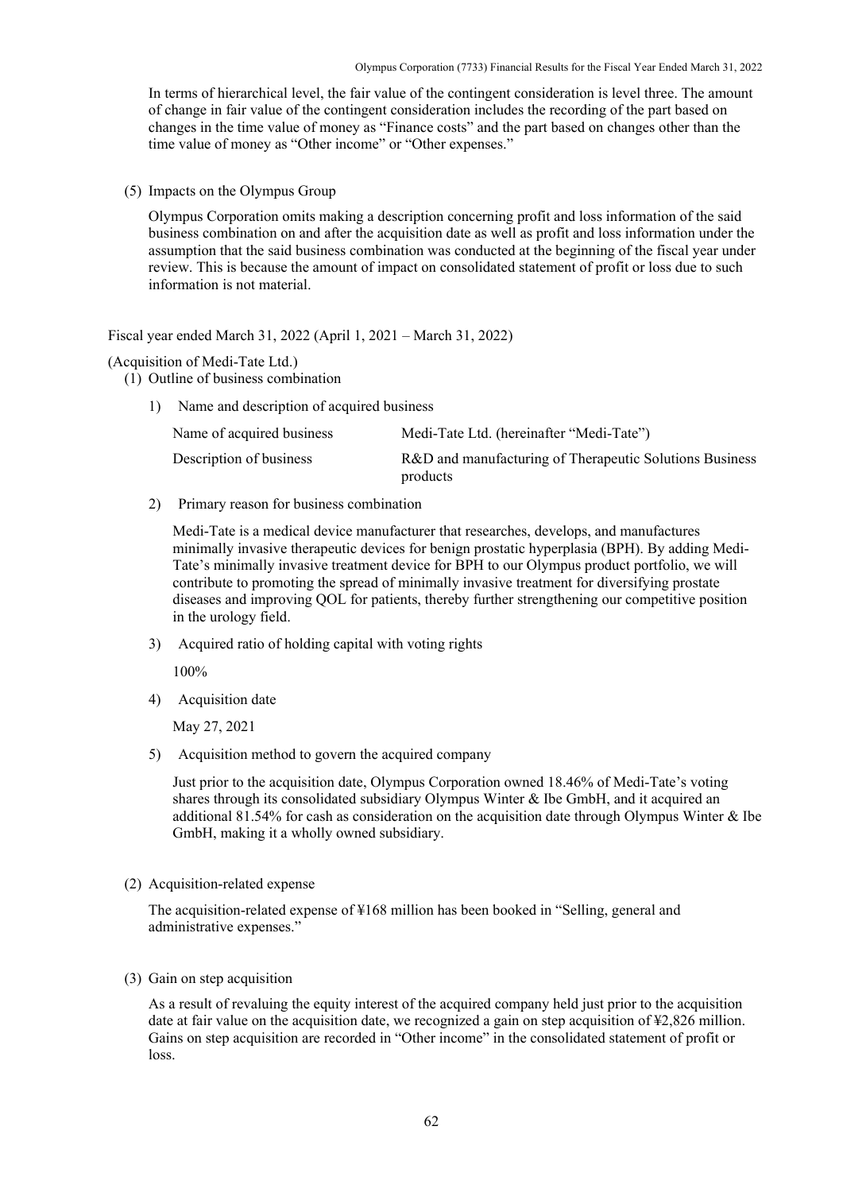Olympus Corporation (7733) Financial Results for the Fiscal Year Ended March 31, 2022

In terms of hierarchical level, the fair value of the contingent consideration is level three. The amount of change in fair value of the contingent consideration includes the recording of the part based on changes in the time value of money as "Finance costs" and the part based on changes other than the time value of money as "Other income" or "Other expenses."

(5) Impacts on the Olympus Group

Olympus Corporation omits making a description concerning profit and loss information of the said business combination on and after the acquisition date as well as profit and loss information under the assumption that the said business combination was conducted at the beginning of the fiscal year under review. This is because the amount of impact on consolidated statement of profit or loss due to such information is not material.

Fiscal year ended March 31, 2022 (April 1, 2021 – March 31, 2022)

### (Acquisition of Medi-Tate Ltd.)

- (1) Outline of business combination
	- 1) Name and description of acquired business

| Name of acquired business | Medi-Tate Ltd. (hereinafter "Medi-Tate")                            |
|---------------------------|---------------------------------------------------------------------|
| Description of business   | R&D and manufacturing of Therapeutic Solutions Business<br>products |

2) Primary reason for business combination

Medi-Tate is a medical device manufacturer that researches, develops, and manufactures minimally invasive therapeutic devices for benign prostatic hyperplasia (BPH). By adding Medi-Tate's minimally invasive treatment device for BPH to our Olympus product portfolio, we will contribute to promoting the spread of minimally invasive treatment for diversifying prostate diseases and improving QOL for patients, thereby further strengthening our competitive position in the urology field.

3) Acquired ratio of holding capital with voting rights

100%

4) Acquisition date

May 27, 2021

5) Acquisition method to govern the acquired company

Just prior to the acquisition date, Olympus Corporation owned 18.46% of Medi-Tate's voting shares through its consolidated subsidiary Olympus Winter & Ibe GmbH, and it acquired an additional 81.54% for cash as consideration on the acquisition date through Olympus Winter & Ibe GmbH, making it a wholly owned subsidiary.

(2) Acquisition-related expense

The acquisition-related expense of ¥168 million has been booked in "Selling, general and administrative expenses."

(3) Gain on step acquisition

As a result of revaluing the equity interest of the acquired company held just prior to the acquisition date at fair value on the acquisition date, we recognized a gain on step acquisition of ¥2,826 million. Gains on step acquisition are recorded in "Other income" in the consolidated statement of profit or loss.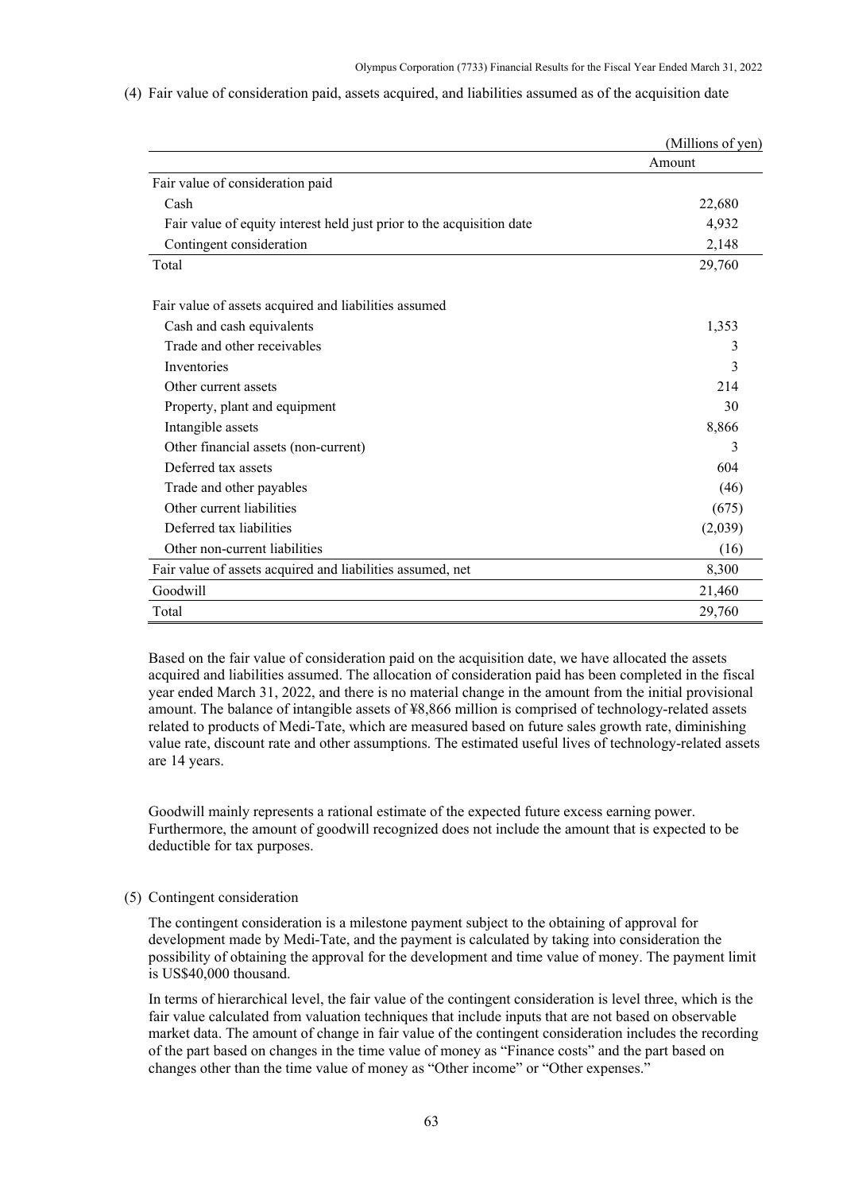|  |  | (4) Fair value of consideration paid, assets acquired, and liabilities assumed as of the acquisition date |  |  |  |
|--|--|-----------------------------------------------------------------------------------------------------------|--|--|--|
|  |  |                                                                                                           |  |  |  |

|                                                                       | (Millions of yen) |
|-----------------------------------------------------------------------|-------------------|
|                                                                       | Amount            |
| Fair value of consideration paid                                      |                   |
| Cash                                                                  | 22,680            |
| Fair value of equity interest held just prior to the acquisition date | 4,932             |
| Contingent consideration                                              | 2,148             |
| Total                                                                 | 29,760            |
| Fair value of assets acquired and liabilities assumed                 |                   |
| Cash and cash equivalents                                             | 1,353             |
| Trade and other receivables                                           | 3                 |
| Inventories                                                           | 3                 |
| Other current assets                                                  | 214               |
| Property, plant and equipment                                         | 30                |
| Intangible assets                                                     | 8,866             |
| Other financial assets (non-current)                                  | 3                 |
| Deferred tax assets                                                   | 604               |
| Trade and other payables                                              | (46)              |
| Other current liabilities                                             | (675)             |
| Deferred tax liabilities                                              | (2,039)           |
| Other non-current liabilities                                         | (16)              |
| Fair value of assets acquired and liabilities assumed, net            | 8,300             |
| Goodwill                                                              | 21,460            |
| Total                                                                 | 29,760            |

Based on the fair value of consideration paid on the acquisition date, we have allocated the assets acquired and liabilities assumed. The allocation of consideration paid has been completed in the fiscal year ended March 31, 2022, and there is no material change in the amount from the initial provisional amount. The balance of intangible assets of ¥8,866 million is comprised of technology-related assets related to products of Medi-Tate, which are measured based on future sales growth rate, diminishing value rate, discount rate and other assumptions. The estimated useful lives of technology-related assets are 14 years.

Goodwill mainly represents a rational estimate of the expected future excess earning power. Furthermore, the amount of goodwill recognized does not include the amount that is expected to be deductible for tax purposes.

#### (5) Contingent consideration

The contingent consideration is a milestone payment subject to the obtaining of approval for development made by Medi-Tate, and the payment is calculated by taking into consideration the possibility of obtaining the approval for the development and time value of money. The payment limit is US\$40,000 thousand.

In terms of hierarchical level, the fair value of the contingent consideration is level three, which is the fair value calculated from valuation techniques that include inputs that are not based on observable market data. The amount of change in fair value of the contingent consideration includes the recording of the part based on changes in the time value of money as "Finance costs" and the part based on changes other than the time value of money as "Other income" or "Other expenses."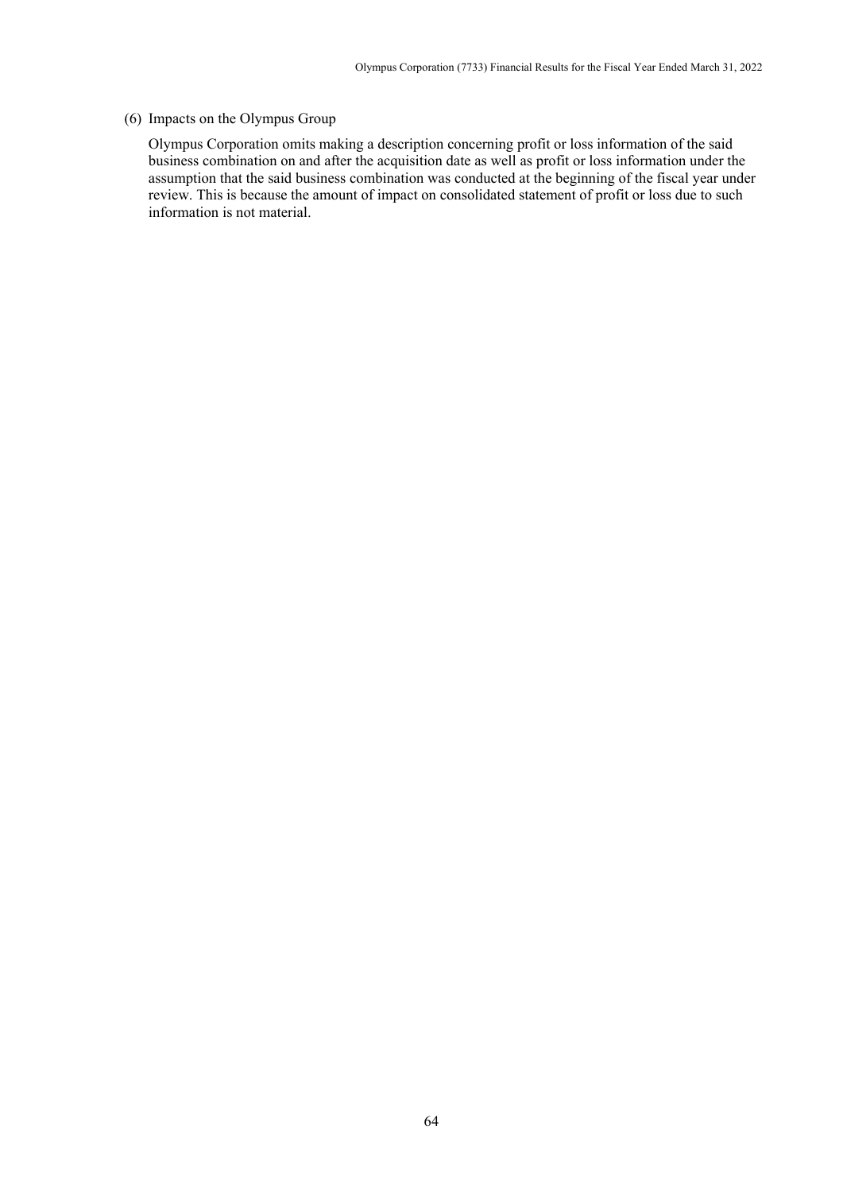### (6) Impacts on the Olympus Group

Olympus Corporation omits making a description concerning profit or loss information of the said business combination on and after the acquisition date as well as profit or loss information under the assumption that the said business combination was conducted at the beginning of the fiscal year under review. This is because the amount of impact on consolidated statement of profit or loss due to such information is not material.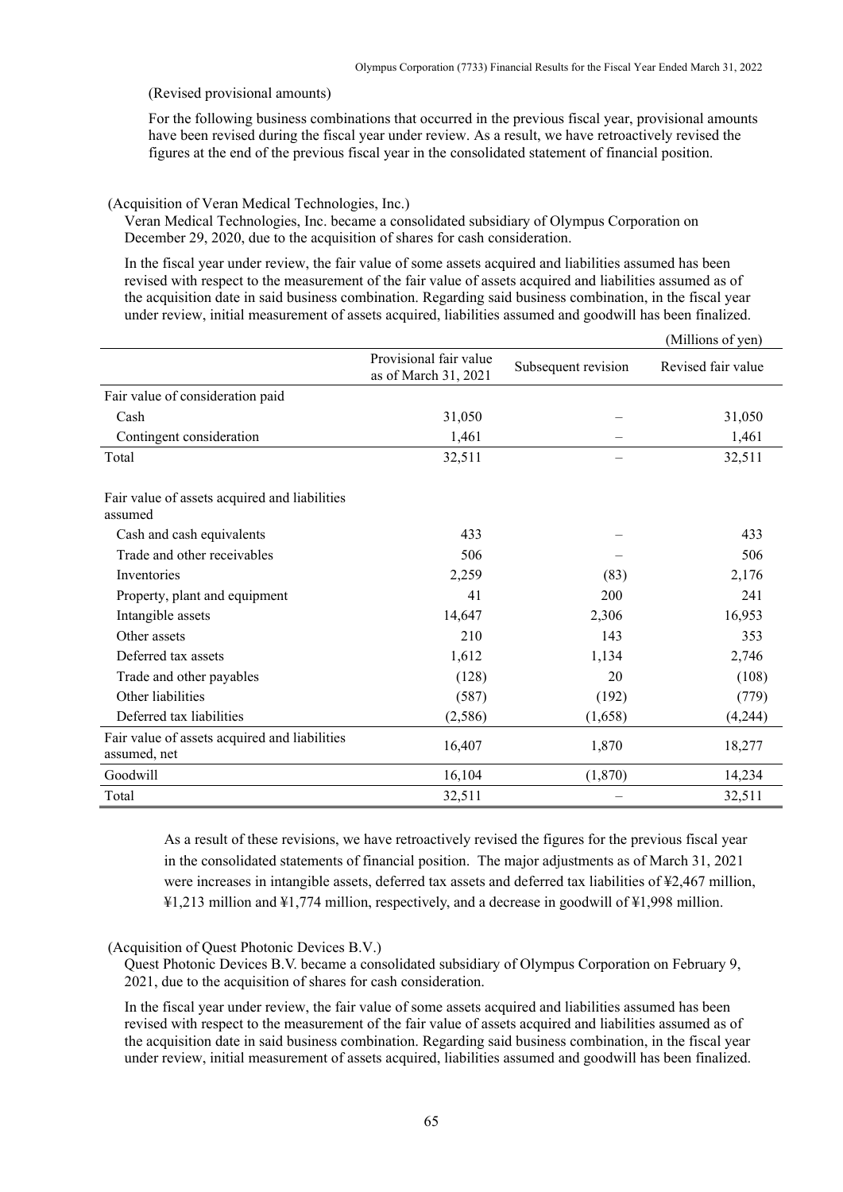(Revised provisional amounts)

For the following business combinations that occurred in the previous fiscal year, provisional amounts have been revised during the fiscal year under review. As a result, we have retroactively revised the figures at the end of the previous fiscal year in the consolidated statement of financial position.

(Acquisition of Veran Medical Technologies, Inc.)

Veran Medical Technologies, Inc. became a consolidated subsidiary of Olympus Corporation on December 29, 2020, due to the acquisition of shares for cash consideration.

In the fiscal year under review, the fair value of some assets acquired and liabilities assumed has been revised with respect to the measurement of the fair value of assets acquired and liabilities assumed as of the acquisition date in said business combination. Regarding said business combination, in the fiscal year under review, initial measurement of assets acquired, liabilities assumed and goodwill has been finalized.

|                                                               |                                                |                     | (Millions of yen)  |
|---------------------------------------------------------------|------------------------------------------------|---------------------|--------------------|
|                                                               | Provisional fair value<br>as of March 31, 2021 | Subsequent revision | Revised fair value |
| Fair value of consideration paid                              |                                                |                     |                    |
| Cash                                                          | 31,050                                         |                     | 31,050             |
| Contingent consideration                                      | 1,461                                          |                     | 1,461              |
| Total                                                         | 32,511                                         |                     | 32,511             |
| Fair value of assets acquired and liabilities<br>assumed      |                                                |                     |                    |
| Cash and cash equivalents                                     | 433                                            |                     | 433                |
| Trade and other receivables                                   | 506                                            |                     | 506                |
| Inventories                                                   | 2,259                                          | (83)                | 2,176              |
| Property, plant and equipment                                 | 41                                             | 200                 | 241                |
| Intangible assets                                             | 14,647                                         | 2,306               | 16,953             |
| Other assets                                                  | 210                                            | 143                 | 353                |
| Deferred tax assets                                           | 1,612                                          | 1,134               | 2,746              |
| Trade and other payables                                      | (128)                                          | 20                  | (108)              |
| Other liabilities                                             | (587)                                          | (192)               | (779)              |
| Deferred tax liabilities                                      | (2,586)                                        | (1,658)             | (4,244)            |
| Fair value of assets acquired and liabilities<br>assumed, net | 16,407                                         | 1,870               | 18,277             |
| Goodwill                                                      | 16,104                                         | (1,870)             | 14,234             |
| Total                                                         | 32,511                                         |                     | 32,511             |

As a result of these revisions, we have retroactively revised the figures for the previous fiscal year in the consolidated statements of financial position. The major adjustments as of March 31, 2021 were increases in intangible assets, deferred tax assets and deferred tax liabilities of ¥2,467 million, ¥1,213 million and ¥1,774 million, respectively, and a decrease in goodwill of ¥1,998 million.

### (Acquisition of Quest Photonic Devices B.V.)

Quest Photonic Devices B.V. became a consolidated subsidiary of Olympus Corporation on February 9, 2021, due to the acquisition of shares for cash consideration.

In the fiscal year under review, the fair value of some assets acquired and liabilities assumed has been revised with respect to the measurement of the fair value of assets acquired and liabilities assumed as of the acquisition date in said business combination. Regarding said business combination, in the fiscal year under review, initial measurement of assets acquired, liabilities assumed and goodwill has been finalized.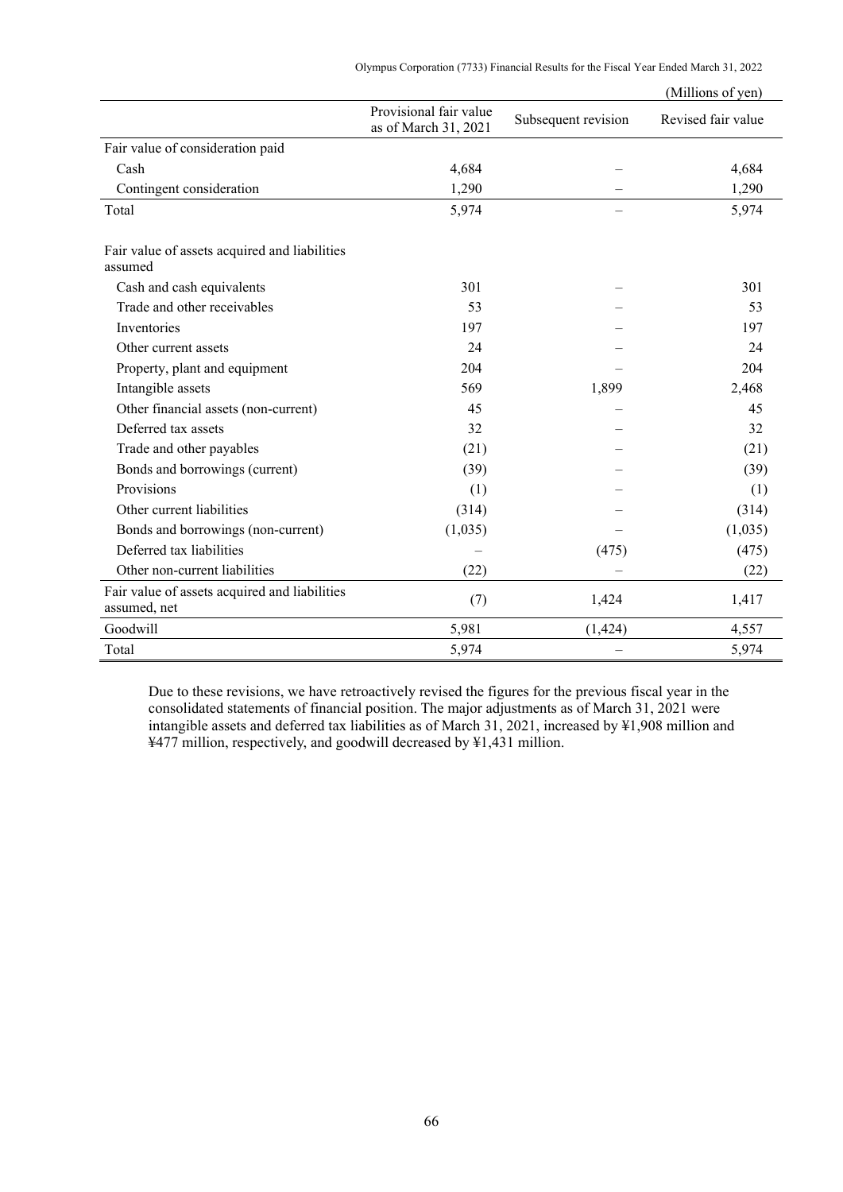Olympus Corporation (7733) Financial Results for the Fiscal Year Ended March 31, 2022

|                                                               |                                                |                     | (Millions of yen)  |
|---------------------------------------------------------------|------------------------------------------------|---------------------|--------------------|
|                                                               | Provisional fair value<br>as of March 31, 2021 | Subsequent revision | Revised fair value |
| Fair value of consideration paid                              |                                                |                     |                    |
| Cash                                                          | 4,684                                          |                     | 4,684              |
| Contingent consideration                                      | 1,290                                          |                     | 1,290              |
| Total                                                         | 5,974                                          |                     | 5,974              |
| Fair value of assets acquired and liabilities<br>assumed      |                                                |                     |                    |
| Cash and cash equivalents                                     | 301                                            |                     | 301                |
| Trade and other receivables                                   | 53                                             |                     | 53                 |
| Inventories                                                   | 197                                            |                     | 197                |
| Other current assets                                          | 24                                             |                     | 24                 |
| Property, plant and equipment                                 | 204                                            |                     | 204                |
| Intangible assets                                             | 569                                            | 1,899               | 2,468              |
| Other financial assets (non-current)                          | 45                                             |                     | 45                 |
| Deferred tax assets                                           | 32                                             |                     | 32                 |
| Trade and other payables                                      | (21)                                           |                     | (21)               |
| Bonds and borrowings (current)                                | (39)                                           |                     | (39)               |
| Provisions                                                    | (1)                                            |                     | (1)                |
| Other current liabilities                                     | (314)                                          |                     | (314)              |
| Bonds and borrowings (non-current)                            | (1,035)                                        |                     | (1,035)            |
| Deferred tax liabilities                                      |                                                | (475)               | (475)              |
| Other non-current liabilities                                 | (22)                                           |                     | (22)               |
| Fair value of assets acquired and liabilities<br>assumed, net | (7)                                            | 1,424               | 1,417              |
| Goodwill                                                      | 5,981                                          | (1, 424)            | 4,557              |
| Total                                                         | 5,974                                          |                     | 5,974              |

Due to these revisions, we have retroactively revised the figures for the previous fiscal year in the consolidated statements of financial position. The major adjustments as of March 31, 2021 were intangible assets and deferred tax liabilities as of March 31, 2021, increased by ¥1,908 million and ¥477 million, respectively, and goodwill decreased by ¥1,431 million.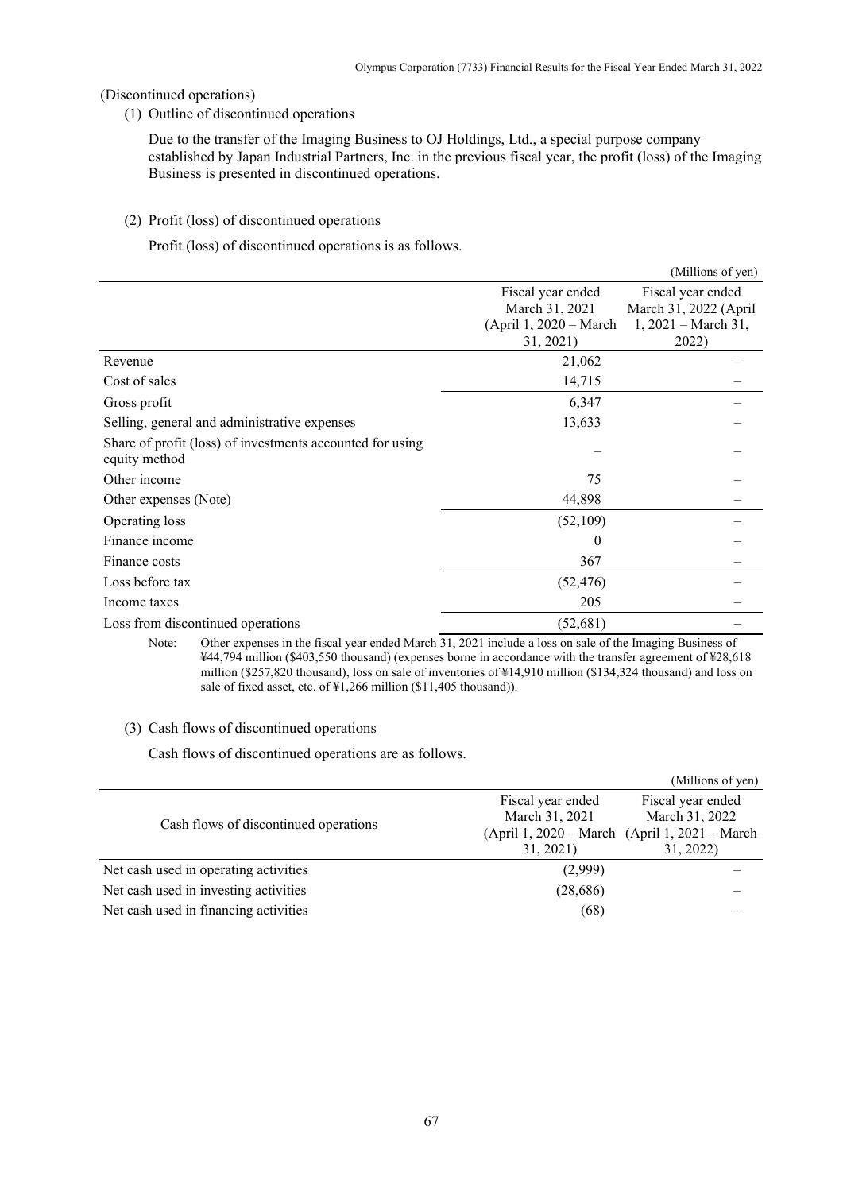### (Discontinued operations)

(1) Outline of discontinued operations

Due to the transfer of the Imaging Business to OJ Holdings, Ltd., a special purpose company established by Japan Industrial Partners, Inc. in the previous fiscal year, the profit (loss) of the Imaging Business is presented in discontinued operations.

### (2) Profit (loss) of discontinued operations

Profit (loss) of discontinued operations is as follows.

|                                                                            |                                                                            | (Millions of yen)                                                            |
|----------------------------------------------------------------------------|----------------------------------------------------------------------------|------------------------------------------------------------------------------|
|                                                                            | Fiscal year ended<br>March 31, 2021<br>(April 1, 2020 – March<br>31, 2021) | Fiscal year ended<br>March 31, 2022 (April<br>$1, 2021 - March 31,$<br>2022) |
| Revenue                                                                    | 21,062                                                                     |                                                                              |
| Cost of sales                                                              | 14,715                                                                     |                                                                              |
| Gross profit                                                               | 6,347                                                                      |                                                                              |
| Selling, general and administrative expenses                               | 13,633                                                                     |                                                                              |
| Share of profit (loss) of investments accounted for using<br>equity method |                                                                            |                                                                              |
| Other income                                                               | 75                                                                         |                                                                              |
| Other expenses (Note)                                                      | 44,898                                                                     |                                                                              |
| Operating loss                                                             | (52,109)                                                                   |                                                                              |
| Finance income                                                             | 0                                                                          |                                                                              |
| Finance costs                                                              | 367                                                                        |                                                                              |
| Loss before tax                                                            | (52, 476)                                                                  |                                                                              |
| Income taxes                                                               | 205                                                                        |                                                                              |
| Loss from discontinued operations                                          | (52, 681)                                                                  |                                                                              |
| $\mathbf{v}$ and $\mathbf{v}$ and $\mathbf{v}$ and $\mathbf{v}$<br>1.1.7   | 0.021                                                                      |                                                                              |

Note: Other expenses in the fiscal year ended March 31, 2021 include a loss on sale of the Imaging Business of ¥44,794 million (\$403,550 thousand) (expenses borne in accordance with the transfer agreement of ¥28,618 million (\$257,820 thousand), loss on sale of inventories of ¥14,910 million (\$134,324 thousand) and loss on sale of fixed asset, etc. of ¥1,266 million (\$11,405 thousand)).

### (3) Cash flows of discontinued operations

Cash flows of discontinued operations are as follows.

|                                       |                                                 | (Millions of yen)                                                                                 |
|---------------------------------------|-------------------------------------------------|---------------------------------------------------------------------------------------------------|
| Cash flows of discontinued operations | Fiscal year ended<br>March 31, 2021<br>31, 2021 | Fiscal year ended<br>March 31, 2022<br>(April 1, 2020 – March (April 1, 2021 – March<br>31, 2022) |
| Net cash used in operating activities | (2,999)                                         |                                                                                                   |
| Net cash used in investing activities | (28,686)                                        |                                                                                                   |
| Net cash used in financing activities | (68)                                            |                                                                                                   |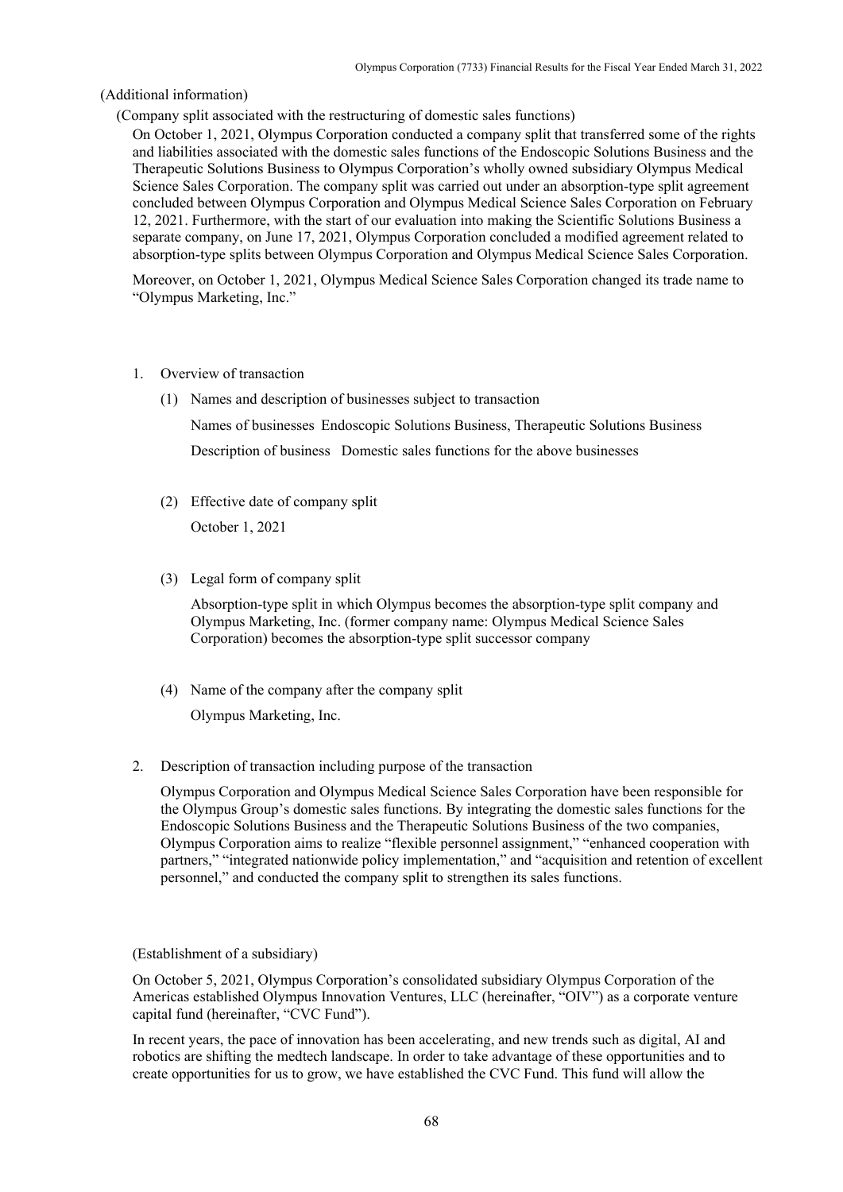#### (Additional information)

(Company split associated with the restructuring of domestic sales functions)

On October 1, 2021, Olympus Corporation conducted a company split that transferred some of the rights and liabilities associated with the domestic sales functions of the Endoscopic Solutions Business and the Therapeutic Solutions Business to Olympus Corporation's wholly owned subsidiary Olympus Medical Science Sales Corporation. The company split was carried out under an absorption-type split agreement concluded between Olympus Corporation and Olympus Medical Science Sales Corporation on February 12, 2021. Furthermore, with the start of our evaluation into making the Scientific Solutions Business a separate company, on June 17, 2021, Olympus Corporation concluded a modified agreement related to absorption-type splits between Olympus Corporation and Olympus Medical Science Sales Corporation.

Moreover, on October 1, 2021, Olympus Medical Science Sales Corporation changed its trade name to "Olympus Marketing, Inc."

- 1. Overview of transaction
	- (1) Names and description of businesses subject to transaction

Names of businesses Endoscopic Solutions Business, Therapeutic Solutions Business Description of business Domestic sales functions for the above businesses

(2) Effective date of company split

October 1, 2021

(3) Legal form of company split

Absorption-type split in which Olympus becomes the absorption-type split company and Olympus Marketing, Inc. (former company name: Olympus Medical Science Sales Corporation) becomes the absorption-type split successor company

(4) Name of the company after the company split

Olympus Marketing, Inc.

2. Description of transaction including purpose of the transaction

Olympus Corporation and Olympus Medical Science Sales Corporation have been responsible for the Olympus Group's domestic sales functions. By integrating the domestic sales functions for the Endoscopic Solutions Business and the Therapeutic Solutions Business of the two companies, Olympus Corporation aims to realize "flexible personnel assignment," "enhanced cooperation with partners," "integrated nationwide policy implementation," and "acquisition and retention of excellent personnel," and conducted the company split to strengthen its sales functions.

#### (Establishment of a subsidiary)

On October 5, 2021, Olympus Corporation's consolidated subsidiary Olympus Corporation of the Americas established Olympus Innovation Ventures, LLC (hereinafter, "OIV") as a corporate venture capital fund (hereinafter, "CVC Fund").

In recent years, the pace of innovation has been accelerating, and new trends such as digital, AI and robotics are shifting the medtech landscape. In order to take advantage of these opportunities and to create opportunities for us to grow, we have established the CVC Fund. This fund will allow the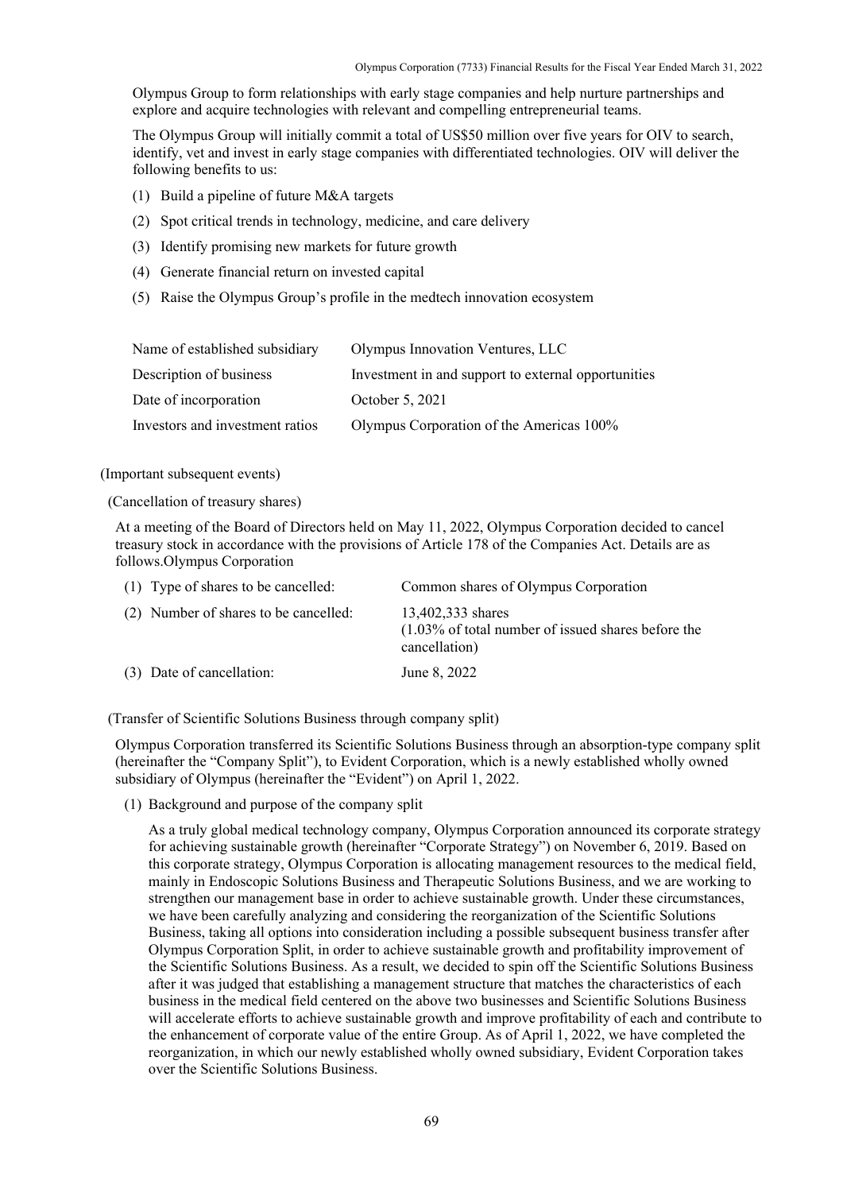Olympus Group to form relationships with early stage companies and help nurture partnerships and explore and acquire technologies with relevant and compelling entrepreneurial teams.

The Olympus Group will initially commit a total of US\$50 million over five years for OIV to search, identify, vet and invest in early stage companies with differentiated technologies. OIV will deliver the following benefits to us:

- (1) Build a pipeline of future M&A targets
- (2) Spot critical trends in technology, medicine, and care delivery
- (3) Identify promising new markets for future growth
- (4) Generate financial return on invested capital
- (5) Raise the Olympus Group's profile in the medtech innovation ecosystem

| Name of established subsidiary  | Olympus Innovation Ventures, LLC                    |
|---------------------------------|-----------------------------------------------------|
| Description of business         | Investment in and support to external opportunities |
| Date of incorporation           | October 5, 2021                                     |
| Investors and investment ratios | Olympus Corporation of the Americas 100%            |

(Important subsequent events)

(Cancellation of treasury shares)

At a meeting of the Board of Directors held on May 11, 2022, Olympus Corporation decided to cancel treasury stock in accordance with the provisions of Article 178 of the Companies Act. Details are as follows.Olympus Corporation

| (1) Type of shares to be cancelled:   | Common shares of Olympus Corporation                                                        |
|---------------------------------------|---------------------------------------------------------------------------------------------|
| (2) Number of shares to be cancelled: | 13,402,333 shares<br>$(1.03\%$ of total number of issued shares before the<br>cancellation) |
| (3) Date of cancellation:             | June 8, 2022                                                                                |

(Transfer of Scientific Solutions Business through company split)

Olympus Corporation transferred its Scientific Solutions Business through an absorption-type company split (hereinafter the "Company Split"), to Evident Corporation, which is a newly established wholly owned subsidiary of Olympus (hereinafter the "Evident") on April 1, 2022.

(1) Background and purpose of the company split

As a truly global medical technology company, Olympus Corporation announced its corporate strategy for achieving sustainable growth (hereinafter "Corporate Strategy") on November 6, 2019. Based on this corporate strategy, Olympus Corporation is allocating management resources to the medical field, mainly in Endoscopic Solutions Business and Therapeutic Solutions Business, and we are working to strengthen our management base in order to achieve sustainable growth. Under these circumstances, we have been carefully analyzing and considering the reorganization of the Scientific Solutions Business, taking all options into consideration including a possible subsequent business transfer after Olympus Corporation Split, in order to achieve sustainable growth and profitability improvement of the Scientific Solutions Business. As a result, we decided to spin off the Scientific Solutions Business after it was judged that establishing a management structure that matches the characteristics of each business in the medical field centered on the above two businesses and Scientific Solutions Business will accelerate efforts to achieve sustainable growth and improve profitability of each and contribute to the enhancement of corporate value of the entire Group. As of April 1, 2022, we have completed the reorganization, in which our newly established wholly owned subsidiary, Evident Corporation takes over the Scientific Solutions Business.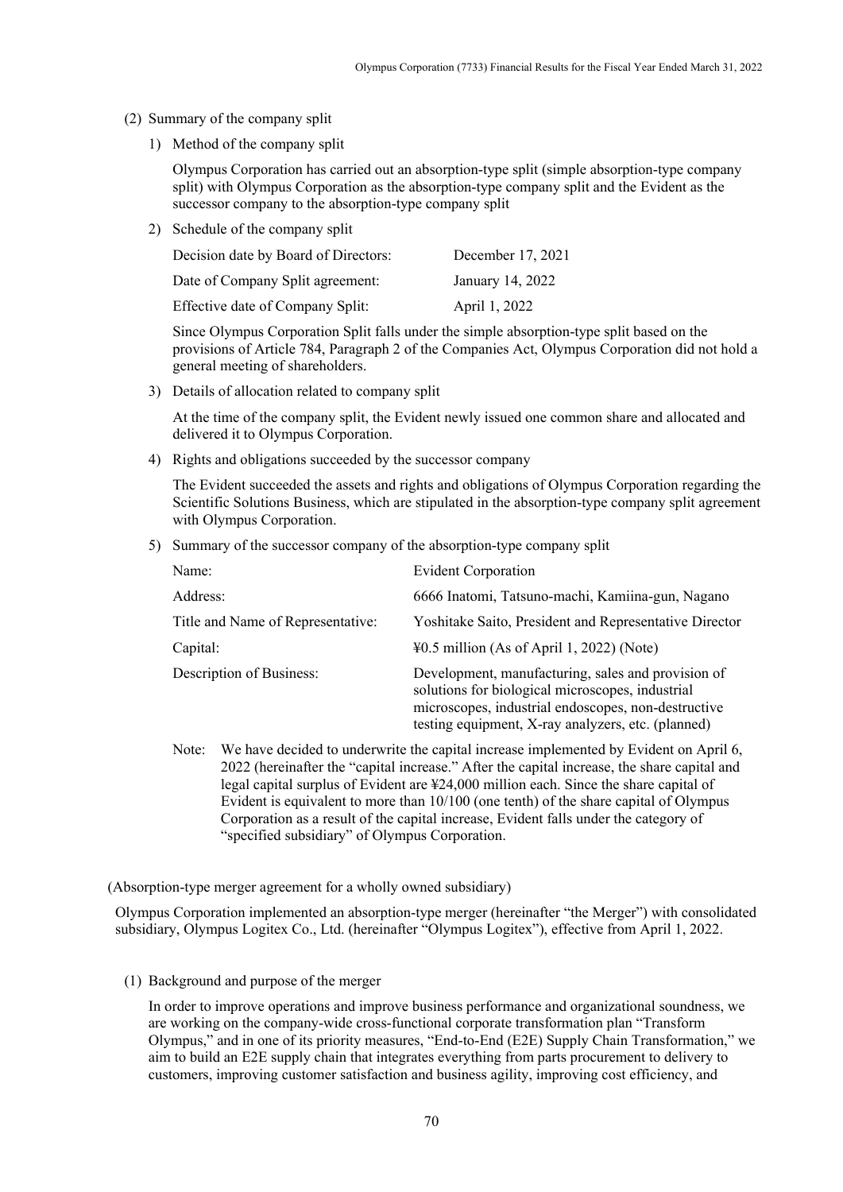- (2) Summary of the company split
	- 1) Method of the company split

Olympus Corporation has carried out an absorption-type split (simple absorption-type company split) with Olympus Corporation as the absorption-type company split and the Evident as the successor company to the absorption-type company split

2) Schedule of the company split

| Decision date by Board of Directors: | December 17, 2021 |
|--------------------------------------|-------------------|
| Date of Company Split agreement:     | January 14, 2022  |
| Effective date of Company Split:     | April 1, 2022     |

Since Olympus Corporation Split falls under the simple absorption-type split based on the provisions of Article 784, Paragraph 2 of the Companies Act, Olympus Corporation did not hold a general meeting of shareholders.

3) Details of allocation related to company split

At the time of the company split, the Evident newly issued one common share and allocated and delivered it to Olympus Corporation.

4) Rights and obligations succeeded by the successor company

The Evident succeeded the assets and rights and obligations of Olympus Corporation regarding the Scientific Solutions Business, which are stipulated in the absorption-type company split agreement with Olympus Corporation.

5) Summary of the successor company of the absorption-type company split

| Name:                             | <b>Evident Corporation</b>                                                                                                                                                                                          |
|-----------------------------------|---------------------------------------------------------------------------------------------------------------------------------------------------------------------------------------------------------------------|
| Address:                          | 6666 Inatomi, Tatsuno-machi, Kamiina-gun, Nagano                                                                                                                                                                    |
| Title and Name of Representative: | Yoshitake Saito, President and Representative Director                                                                                                                                                              |
| Capital:                          | $\text{\textsterling}0.5$ million (As of April 1, 2022) (Note)                                                                                                                                                      |
| Description of Business:          | Development, manufacturing, sales and provision of<br>solutions for biological microscopes, industrial<br>microscopes, industrial endoscopes, non-destructive<br>testing equipment, X-ray analyzers, etc. (planned) |

Note: We have decided to underwrite the capital increase implemented by Evident on April 6, 2022 (hereinafter the "capital increase." After the capital increase, the share capital and legal capital surplus of Evident are ¥24,000 million each. Since the share capital of Evident is equivalent to more than 10/100 (one tenth) of the share capital of Olympus Corporation as a result of the capital increase, Evident falls under the category of "specified subsidiary" of Olympus Corporation.

(Absorption-type merger agreement for a wholly owned subsidiary)

Olympus Corporation implemented an absorption-type merger (hereinafter "the Merger") with consolidated subsidiary, Olympus Logitex Co., Ltd. (hereinafter "Olympus Logitex"), effective from April 1, 2022.

(1) Background and purpose of the merger

In order to improve operations and improve business performance and organizational soundness, we are working on the company-wide cross-functional corporate transformation plan "Transform Olympus," and in one of its priority measures, "End-to-End (E2E) Supply Chain Transformation," we aim to build an E2E supply chain that integrates everything from parts procurement to delivery to customers, improving customer satisfaction and business agility, improving cost efficiency, and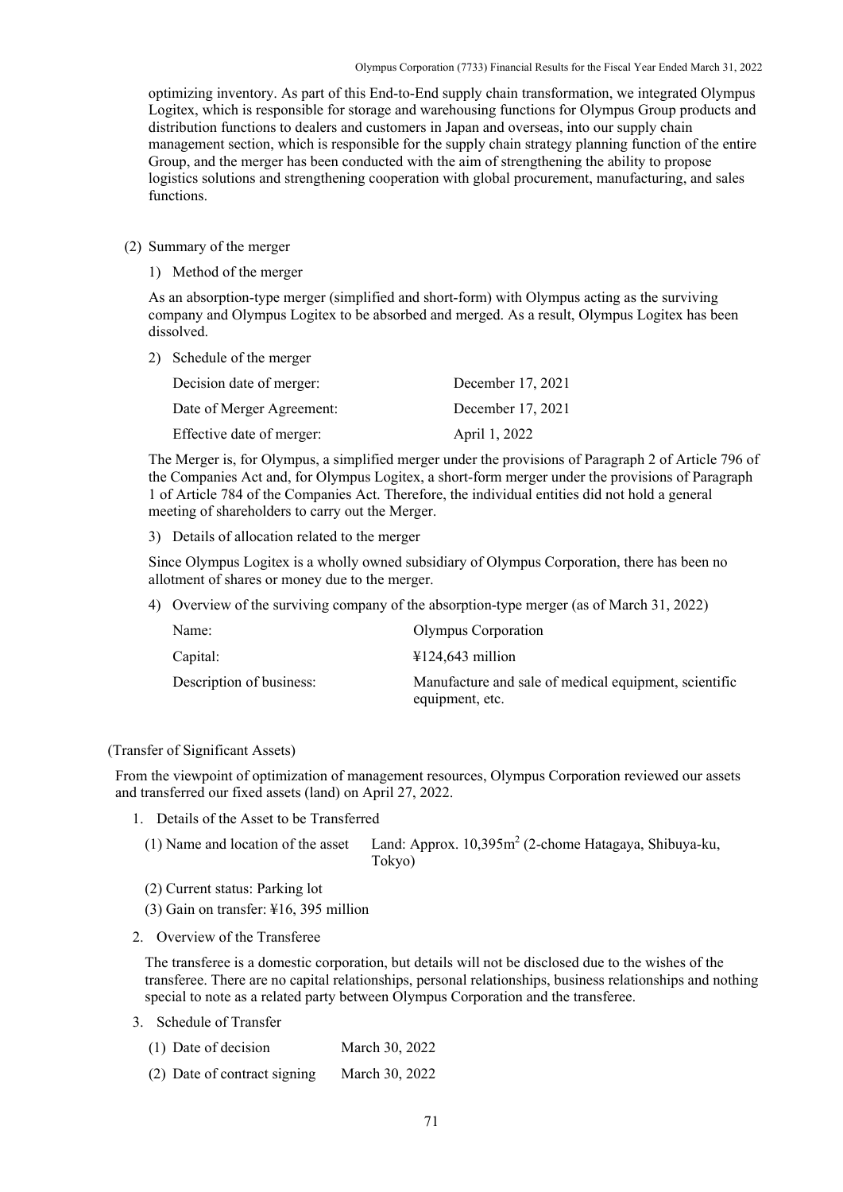optimizing inventory. As part of this End-to-End supply chain transformation, we integrated Olympus Logitex, which is responsible for storage and warehousing functions for Olympus Group products and distribution functions to dealers and customers in Japan and overseas, into our supply chain management section, which is responsible for the supply chain strategy planning function of the entire Group, and the merger has been conducted with the aim of strengthening the ability to propose logistics solutions and strengthening cooperation with global procurement, manufacturing, and sales functions.

## (2) Summary of the merger

1) Method of the merger

As an absorption-type merger (simplified and short-form) with Olympus acting as the surviving company and Olympus Logitex to be absorbed and merged. As a result, Olympus Logitex has been dissolved.

2) Schedule of the merger

| Decision date of merger:  | December 17, 2021 |
|---------------------------|-------------------|
| Date of Merger Agreement: | December 17, 2021 |
| Effective date of merger: | April 1, 2022     |

The Merger is, for Olympus, a simplified merger under the provisions of Paragraph 2 of Article 796 of the Companies Act and, for Olympus Logitex, a short-form merger under the provisions of Paragraph 1 of Article 784 of the Companies Act. Therefore, the individual entities did not hold a general meeting of shareholders to carry out the Merger.

3) Details of allocation related to the merger

Since Olympus Logitex is a wholly owned subsidiary of Olympus Corporation, there has been no allotment of shares or money due to the merger.

4) Overview of the surviving company of the absorption-type merger (as of March 31, 2022)

| Name:                    | Olympus Corporation                                                      |
|--------------------------|--------------------------------------------------------------------------|
| Capital:                 | $\text{\textsterling}124,643$ million                                    |
| Description of business: | Manufacture and sale of medical equipment, scientific<br>equipment, etc. |

## (Transfer of Significant Assets)

From the viewpoint of optimization of management resources, Olympus Corporation reviewed our assets and transferred our fixed assets (land) on April 27, 2022.

1. Details of the Asset to be Transferred

| (1) Name and location of the asset Land: Approx. $10,395m^2$ (2-chome Hatagaya, Shibuya-ku, |
|---------------------------------------------------------------------------------------------|
| Tokyo)                                                                                      |

- (2) Current status: Parking lot
- (3) Gain on transfer: ¥16, 395 million
- 2. Overview of the Transferee

The transferee is a domestic corporation, but details will not be disclosed due to the wishes of the transferee. There are no capital relationships, personal relationships, business relationships and nothing special to note as a related party between Olympus Corporation and the transferee.

- 3. Schedule of Transfer
	- (1) Date of decision March 30, 2022
	- (2) Date of contract signing March 30, 2022